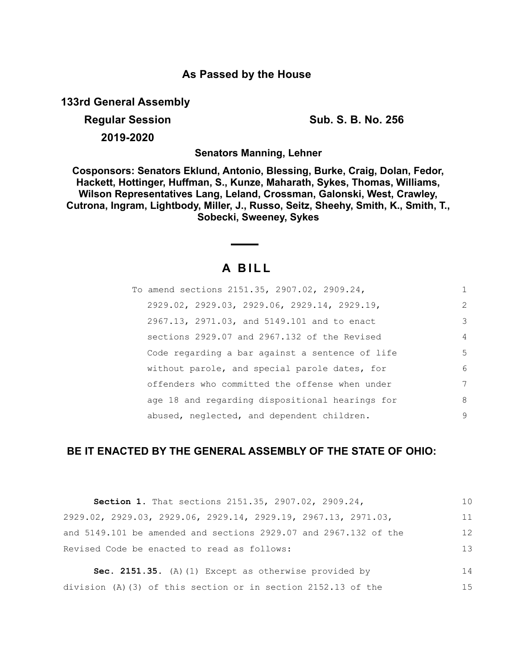### **As Passed by the House**

**133rd General Assembly**

**Regular Session Sub. S. B. No. 256 2019-2020**

**Senators Manning, Lehner**

**Cosponsors: Senators Eklund, Antonio, Blessing, Burke, Craig, Dolan, Fedor, Hackett, Hottinger, Huffman, S., Kunze, Maharath, Sykes, Thomas, Williams, Wilson Representatives Lang, Leland, Crossman, Galonski, West, Crawley, Cutrona, Ingram, Lightbody, Miller, J., Russo, Seitz, Sheehy, Smith, K., Smith, T., Sobecki, Sweeney, Sykes**

# **A B I L L**

<u> Albanya di Ba</u>

| To amend sections 2151.35, 2907.02, 2909.24,    | 1 |
|-------------------------------------------------|---|
| 2929.02, 2929.03, 2929.06, 2929.14, 2929.19,    | 2 |
| 2967.13, 2971.03, and 5149.101 and to enact     | 3 |
| sections 2929.07 and 2967.132 of the Revised    | 4 |
| Code regarding a bar against a sentence of life | 5 |
| without parole, and special parole dates, for   | 6 |
| offenders who committed the offense when under  | 7 |
| age 18 and regarding dispositional hearings for | 8 |
| abused, neglected, and dependent children.      | 9 |

## **BE IT ENACTED BY THE GENERAL ASSEMBLY OF THE STATE OF OHIO:**

| Section 1. That sections 2151.35, 2907.02, 2909.24,                | 10 |
|--------------------------------------------------------------------|----|
| 2929.02, 2929.03, 2929.06, 2929.14, 2929.19, 2967.13, 2971.03,     | 11 |
| and $5149.101$ be amended and sections 2929.07 and 2967.132 of the | 12 |
| Revised Code be enacted to read as follows:                        | 13 |
| Sec. 2151.35. (A) (1) Except as otherwise provided by              | 14 |
| division (A)(3) of this section or in section 2152.13 of the       | 15 |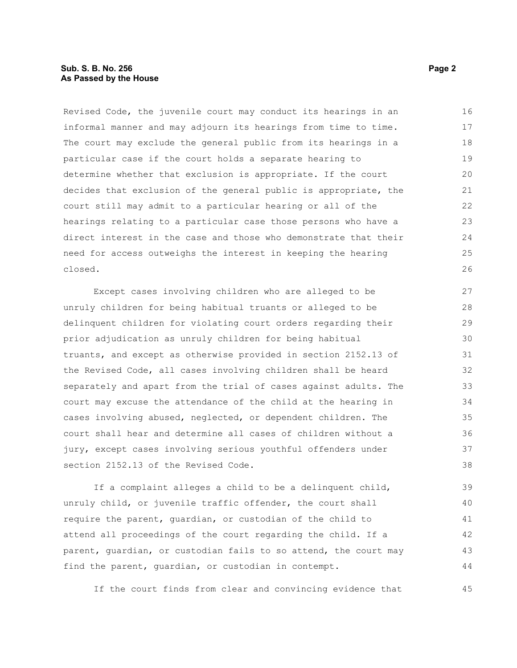#### **Sub. S. B. No. 256 Page 2 Page 2 As Passed by the House**

Revised Code, the juvenile court may conduct its hearings in an informal manner and may adjourn its hearings from time to time. The court may exclude the general public from its hearings in a particular case if the court holds a separate hearing to determine whether that exclusion is appropriate. If the court decides that exclusion of the general public is appropriate, the court still may admit to a particular hearing or all of the hearings relating to a particular case those persons who have a direct interest in the case and those who demonstrate that their need for access outweighs the interest in keeping the hearing closed. 16 17 18 19  $20$ 21 22 23 24 25 26

Except cases involving children who are alleged to be unruly children for being habitual truants or alleged to be delinquent children for violating court orders regarding their prior adjudication as unruly children for being habitual truants, and except as otherwise provided in section 2152.13 of the Revised Code, all cases involving children shall be heard separately and apart from the trial of cases against adults. The court may excuse the attendance of the child at the hearing in cases involving abused, neglected, or dependent children. The court shall hear and determine all cases of children without a jury, except cases involving serious youthful offenders under section 2152.13 of the Revised Code.

If a complaint alleges a child to be a delinquent child, unruly child, or juvenile traffic offender, the court shall require the parent, guardian, or custodian of the child to attend all proceedings of the court regarding the child. If a parent, guardian, or custodian fails to so attend, the court may find the parent, guardian, or custodian in contempt. 39 40 41 42 43 44

If the court finds from clear and convincing evidence that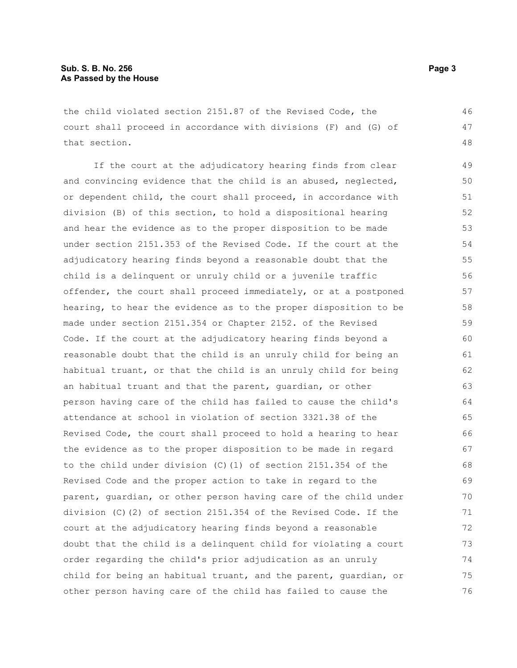the child violated section 2151.87 of the Revised Code, the court shall proceed in accordance with divisions (F) and (G) of that section.

If the court at the adjudicatory hearing finds from clear and convincing evidence that the child is an abused, neglected, or dependent child, the court shall proceed, in accordance with division (B) of this section, to hold a dispositional hearing and hear the evidence as to the proper disposition to be made under section 2151.353 of the Revised Code. If the court at the adjudicatory hearing finds beyond a reasonable doubt that the child is a delinquent or unruly child or a juvenile traffic offender, the court shall proceed immediately, or at a postponed hearing, to hear the evidence as to the proper disposition to be made under section 2151.354 or Chapter 2152. of the Revised Code. If the court at the adjudicatory hearing finds beyond a reasonable doubt that the child is an unruly child for being an habitual truant, or that the child is an unruly child for being an habitual truant and that the parent, guardian, or other person having care of the child has failed to cause the child's attendance at school in violation of section 3321.38 of the Revised Code, the court shall proceed to hold a hearing to hear the evidence as to the proper disposition to be made in regard to the child under division (C)(1) of section 2151.354 of the Revised Code and the proper action to take in regard to the parent, guardian, or other person having care of the child under division (C)(2) of section 2151.354 of the Revised Code. If the court at the adjudicatory hearing finds beyond a reasonable doubt that the child is a delinquent child for violating a court order regarding the child's prior adjudication as an unruly child for being an habitual truant, and the parent, guardian, or other person having care of the child has failed to cause the 49 50 51 52 53 54 55 56 57 58 59 60 61 62 63 64 65 66 67 68 69 70 71 72 73 74 75 76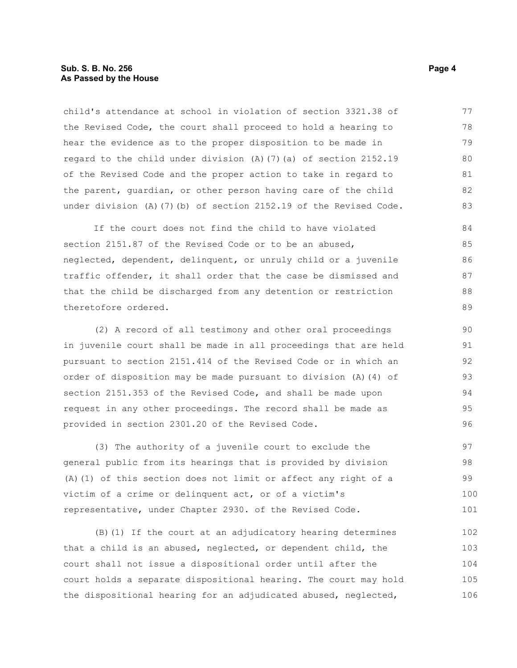#### **Sub. S. B. No. 256 Page 4 Page 4 Page 4 Page 4 Page 4 Page 4 Page 4 Page 4 As Passed by the House**

child's attendance at school in violation of section 3321.38 of the Revised Code, the court shall proceed to hold a hearing to hear the evidence as to the proper disposition to be made in regard to the child under division (A)(7)(a) of section 2152.19 of the Revised Code and the proper action to take in regard to the parent, guardian, or other person having care of the child under division (A)(7)(b) of section 2152.19 of the Revised Code. 77 78 79 80 81 82 83

If the court does not find the child to have violated section 2151.87 of the Revised Code or to be an abused, neglected, dependent, delinquent, or unruly child or a juvenile traffic offender, it shall order that the case be dismissed and that the child be discharged from any detention or restriction theretofore ordered.

(2) A record of all testimony and other oral proceedings in juvenile court shall be made in all proceedings that are held pursuant to section 2151.414 of the Revised Code or in which an order of disposition may be made pursuant to division (A)(4) of section 2151.353 of the Revised Code, and shall be made upon request in any other proceedings. The record shall be made as provided in section 2301.20 of the Revised Code.

(3) The authority of a juvenile court to exclude the general public from its hearings that is provided by division (A)(1) of this section does not limit or affect any right of a victim of a crime or delinquent act, or of a victim's representative, under Chapter 2930. of the Revised Code. 97 98 99 100 101

(B)(1) If the court at an adjudicatory hearing determines that a child is an abused, neglected, or dependent child, the court shall not issue a dispositional order until after the court holds a separate dispositional hearing. The court may hold the dispositional hearing for an adjudicated abused, neglected, 102 103 104 105 106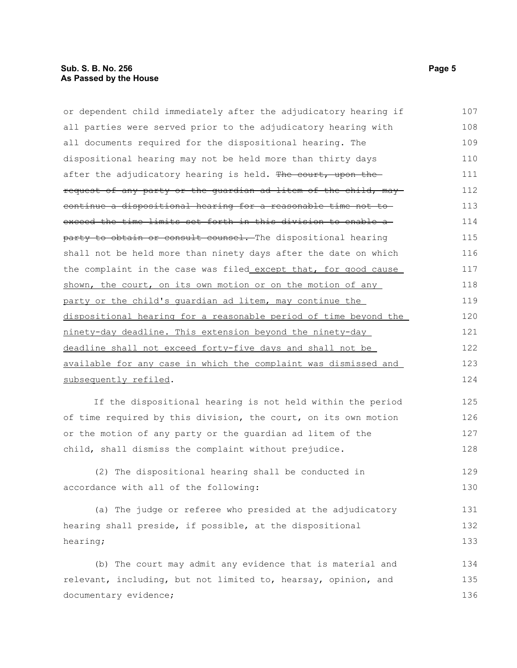| or dependent child immediately after the adjudicatory hearing if | 107 |
|------------------------------------------------------------------|-----|
| all parties were served prior to the adjudicatory hearing with   | 108 |
| all documents required for the dispositional hearing. The        | 109 |
| dispositional hearing may not be held more than thirty days      | 110 |
| after the adjudicatory hearing is held. The court, upon the      | 111 |
| request of any party or the quardian ad litem of the child, may- | 112 |
| continue a dispositional hearing for a reasonable time not to    | 113 |
| exceed the time limits set forth in this division to enable a-   | 114 |
| party to obtain or consult counsel. The dispositional hearing    | 115 |
| shall not be held more than ninety days after the date on which  | 116 |
| the complaint in the case was filed except that, for good cause  | 117 |
| shown, the court, on its own motion or on the motion of any      | 118 |
| party or the child's quardian ad litem, may continue the         | 119 |
| dispositional hearing for a reasonable period of time beyond the | 120 |
| ninety-day deadline. This extension beyond the ninety-day        | 121 |
| deadline shall not exceed forty-five days and shall not be       | 122 |
| available for any case in which the complaint was dismissed and  | 123 |
| subsequently refiled.                                            | 124 |
| If the dispositional hearing is not held within the period       | 125 |
| of time required by this division, the court, on its own motion  | 126 |
| or the motion of any party or the guardian ad litem of the       | 127 |
| child, shall dismiss the complaint without prejudice.            | 128 |
| (2) The dispositional hearing shall be conducted in              | 129 |
| accordance with all of the following:                            | 130 |
| (a) The judge or referee who presided at the adjudicatory        | 131 |
| hearing shall preside, if possible, at the dispositional         | 132 |
| hearing;                                                         | 133 |
| (b) The court may admit any evidence that is material and        | 134 |
| relevant, including, but not limited to, hearsay, opinion, and   | 135 |

documentary evidence;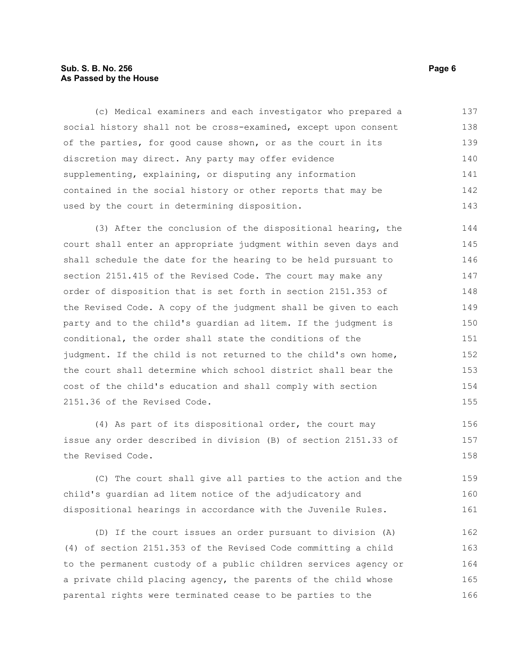#### **Sub. S. B. No. 256 Page 6 Page 6 Page 6 Page 6 Page 6 Page 6 Page 6 Page 6 As Passed by the House**

(c) Medical examiners and each investigator who prepared a social history shall not be cross-examined, except upon consent of the parties, for good cause shown, or as the court in its discretion may direct. Any party may offer evidence supplementing, explaining, or disputing any information contained in the social history or other reports that may be used by the court in determining disposition. 137 138 139 140 141 142 143

(3) After the conclusion of the dispositional hearing, the court shall enter an appropriate judgment within seven days and shall schedule the date for the hearing to be held pursuant to section 2151.415 of the Revised Code. The court may make any order of disposition that is set forth in section 2151.353 of the Revised Code. A copy of the judgment shall be given to each party and to the child's guardian ad litem. If the judgment is conditional, the order shall state the conditions of the judgment. If the child is not returned to the child's own home, the court shall determine which school district shall bear the cost of the child's education and shall comply with section 2151.36 of the Revised Code. 144 145 146 147 148 149 150 151 152 153 154 155

(4) As part of its dispositional order, the court may issue any order described in division (B) of section 2151.33 of the Revised Code.

(C) The court shall give all parties to the action and the child's guardian ad litem notice of the adjudicatory and dispositional hearings in accordance with the Juvenile Rules.

(D) If the court issues an order pursuant to division (A) (4) of section 2151.353 of the Revised Code committing a child to the permanent custody of a public children services agency or a private child placing agency, the parents of the child whose parental rights were terminated cease to be parties to the 162 163 164 165 166

156 157 158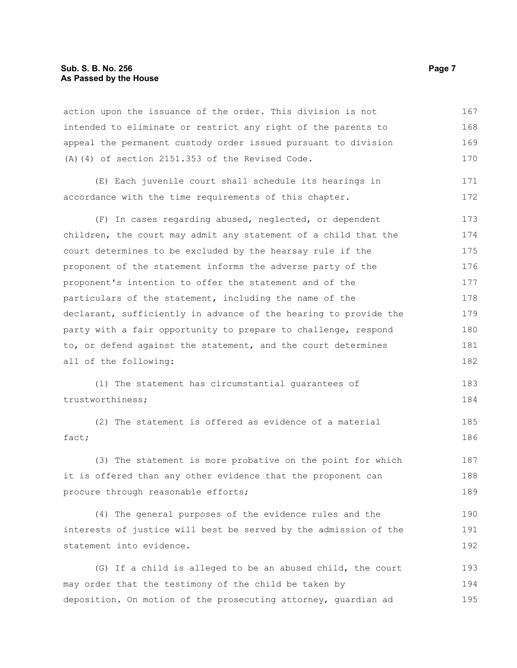action upon the issuance of the order. This division is not intended to eliminate or restrict any right of the parents to appeal the permanent custody order issued pursuant to division (A)(4) of section 2151.353 of the Revised Code. 167 168 169 170

(E) Each juvenile court shall schedule its hearings in accordance with the time requirements of this chapter. 171 172

(F) In cases regarding abused, neglected, or dependent children, the court may admit any statement of a child that the court determines to be excluded by the hearsay rule if the proponent of the statement informs the adverse party of the proponent's intention to offer the statement and of the particulars of the statement, including the name of the declarant, sufficiently in advance of the hearing to provide the party with a fair opportunity to prepare to challenge, respond to, or defend against the statement, and the court determines all of the following: 173 174 175 176 177 178 179 180 181 182

(1) The statement has circumstantial guarantees of trustworthiness; 183 184

(2) The statement is offered as evidence of a material fact; 185 186

(3) The statement is more probative on the point for which it is offered than any other evidence that the proponent can procure through reasonable efforts; 187 188 189

(4) The general purposes of the evidence rules and the interests of justice will best be served by the admission of the statement into evidence. 190 191 192

(G) If a child is alleged to be an abused child, the court may order that the testimony of the child be taken by deposition. On motion of the prosecuting attorney, guardian ad 193 194 195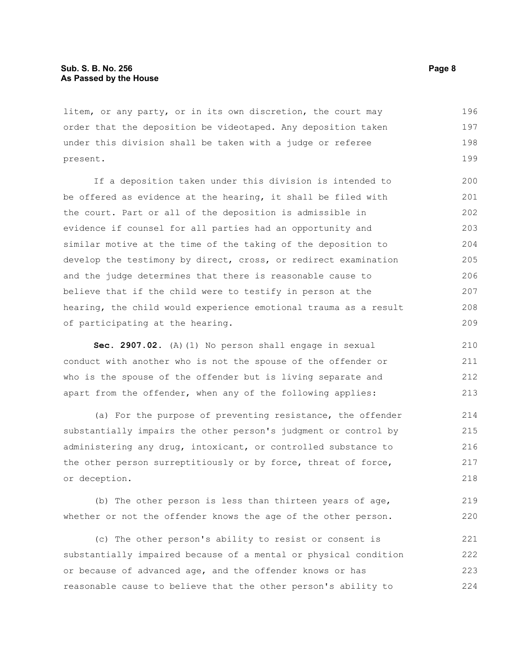litem, or any party, or in its own discretion, the court may order that the deposition be videotaped. Any deposition taken under this division shall be taken with a judge or referee present. 196 197 198 199

If a deposition taken under this division is intended to be offered as evidence at the hearing, it shall be filed with the court. Part or all of the deposition is admissible in evidence if counsel for all parties had an opportunity and similar motive at the time of the taking of the deposition to develop the testimony by direct, cross, or redirect examination and the judge determines that there is reasonable cause to believe that if the child were to testify in person at the hearing, the child would experience emotional trauma as a result of participating at the hearing. 200 201 202 203 204 205 206 207 208 209

**Sec. 2907.02.** (A)(1) No person shall engage in sexual conduct with another who is not the spouse of the offender or who is the spouse of the offender but is living separate and apart from the offender, when any of the following applies: 210 211 212 213

(a) For the purpose of preventing resistance, the offender substantially impairs the other person's judgment or control by administering any drug, intoxicant, or controlled substance to the other person surreptitiously or by force, threat of force, or deception.

(b) The other person is less than thirteen years of age, whether or not the offender knows the age of the other person. 219 220

(c) The other person's ability to resist or consent is substantially impaired because of a mental or physical condition or because of advanced age, and the offender knows or has reasonable cause to believe that the other person's ability to 221 222 223 224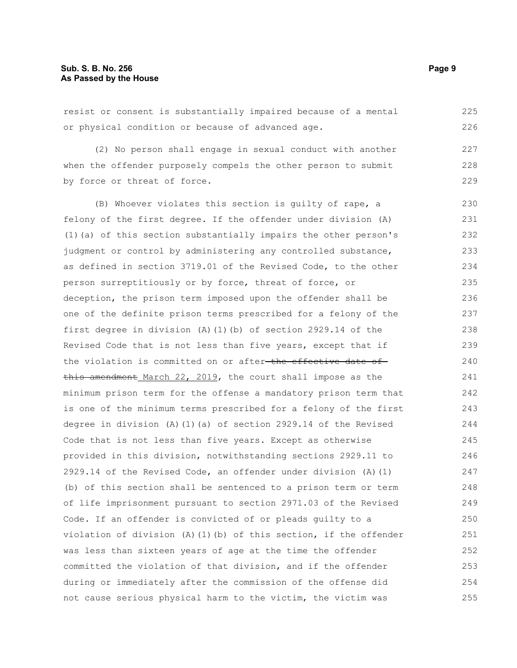resist or consent is substantially impaired because of a mental or physical condition or because of advanced age. 225 226

(2) No person shall engage in sexual conduct with another when the offender purposely compels the other person to submit by force or threat of force.

(B) Whoever violates this section is guilty of rape, a felony of the first degree. If the offender under division (A) (1)(a) of this section substantially impairs the other person's judgment or control by administering any controlled substance, as defined in section 3719.01 of the Revised Code, to the other person surreptitiously or by force, threat of force, or deception, the prison term imposed upon the offender shall be one of the definite prison terms prescribed for a felony of the first degree in division (A)(1)(b) of section 2929.14 of the Revised Code that is not less than five years, except that if the violation is committed on or after the effective date of this amendment March 22, 2019, the court shall impose as the minimum prison term for the offense a mandatory prison term that is one of the minimum terms prescribed for a felony of the first degree in division (A)(1)(a) of section 2929.14 of the Revised Code that is not less than five years. Except as otherwise provided in this division, notwithstanding sections 2929.11 to 2929.14 of the Revised Code, an offender under division (A)(1) (b) of this section shall be sentenced to a prison term or term of life imprisonment pursuant to section 2971.03 of the Revised Code. If an offender is convicted of or pleads guilty to a violation of division  $(A)$   $(1)$   $(b)$  of this section, if the offender was less than sixteen years of age at the time the offender committed the violation of that division, and if the offender during or immediately after the commission of the offense did not cause serious physical harm to the victim, the victim was 230 231 232 233 234 235 236 237 238 239 240 241 242 243 244 245 246 247 248 249 250 251 252 253 254 255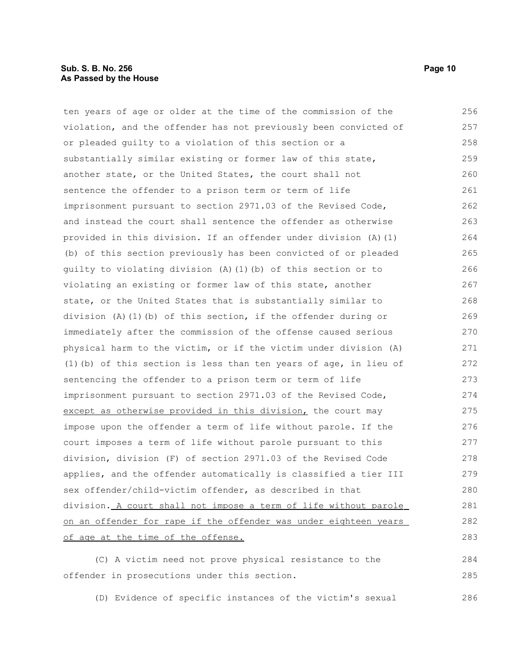ten years of age or older at the time of the commission of the violation, and the offender has not previously been convicted of or pleaded guilty to a violation of this section or a substantially similar existing or former law of this state, another state, or the United States, the court shall not sentence the offender to a prison term or term of life imprisonment pursuant to section 2971.03 of the Revised Code, and instead the court shall sentence the offender as otherwise provided in this division. If an offender under division (A)(1) (b) of this section previously has been convicted of or pleaded guilty to violating division (A)(1)(b) of this section or to violating an existing or former law of this state, another state, or the United States that is substantially similar to division  $(A)$  (1)(b) of this section, if the offender during or immediately after the commission of the offense caused serious physical harm to the victim, or if the victim under division (A) (1)(b) of this section is less than ten years of age, in lieu of sentencing the offender to a prison term or term of life imprisonment pursuant to section 2971.03 of the Revised Code, except as otherwise provided in this division, the court may impose upon the offender a term of life without parole. If the court imposes a term of life without parole pursuant to this division, division (F) of section 2971.03 of the Revised Code applies, and the offender automatically is classified a tier III sex offender/child-victim offender, as described in that division. A court shall not impose a term of life without parole on an offender for rape if the offender was under eighteen years of age at the time of the offense. 256 257 258 259 260 261 262 263 264 265 266 267 268 269 270 271 272 273 274 275 276 277 278 279 280 281 282 283

(C) A victim need not prove physical resistance to the offender in prosecutions under this section. 284 285

(D) Evidence of specific instances of the victim's sexual 286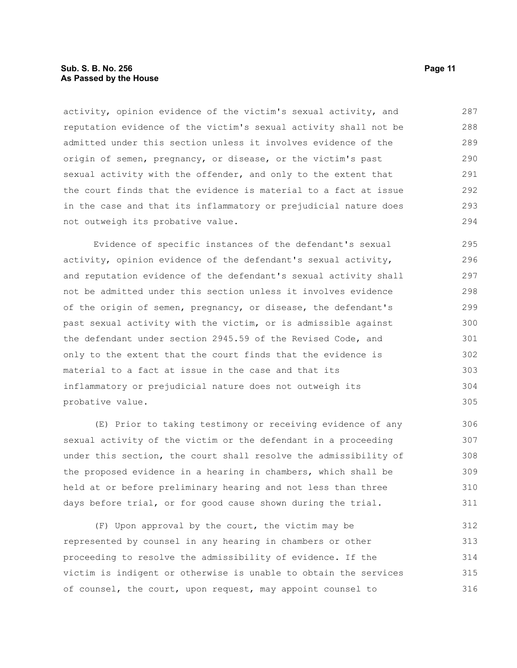#### **Sub. S. B. No. 256 Page 11 As Passed by the House**

activity, opinion evidence of the victim's sexual activity, and reputation evidence of the victim's sexual activity shall not be admitted under this section unless it involves evidence of the origin of semen, pregnancy, or disease, or the victim's past sexual activity with the offender, and only to the extent that the court finds that the evidence is material to a fact at issue in the case and that its inflammatory or prejudicial nature does not outweigh its probative value. 287 288 289 290 291 292 293 294

Evidence of specific instances of the defendant's sexual activity, opinion evidence of the defendant's sexual activity, and reputation evidence of the defendant's sexual activity shall not be admitted under this section unless it involves evidence of the origin of semen, pregnancy, or disease, the defendant's past sexual activity with the victim, or is admissible against the defendant under section 2945.59 of the Revised Code, and only to the extent that the court finds that the evidence is material to a fact at issue in the case and that its inflammatory or prejudicial nature does not outweigh its probative value.

(E) Prior to taking testimony or receiving evidence of any sexual activity of the victim or the defendant in a proceeding under this section, the court shall resolve the admissibility of the proposed evidence in a hearing in chambers, which shall be held at or before preliminary hearing and not less than three days before trial, or for good cause shown during the trial. 306 307 308 309 310 311

(F) Upon approval by the court, the victim may be represented by counsel in any hearing in chambers or other proceeding to resolve the admissibility of evidence. If the victim is indigent or otherwise is unable to obtain the services of counsel, the court, upon request, may appoint counsel to 312 313 314 315 316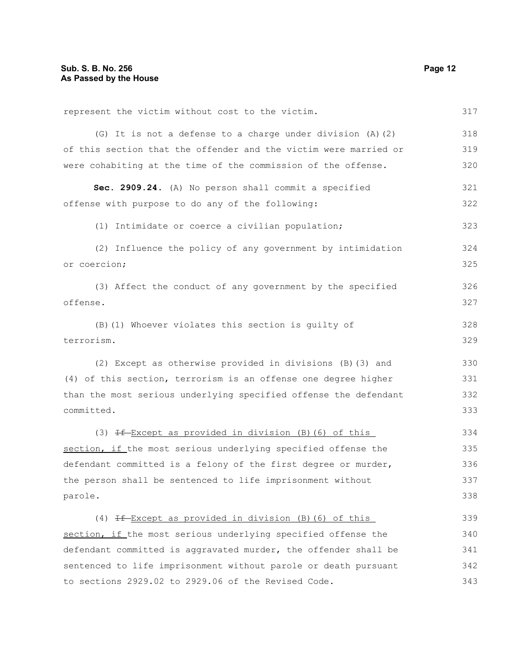| represent the victim without cost to the victim.                 | 317 |
|------------------------------------------------------------------|-----|
| (G) It is not a defense to a charge under division (A) (2)       | 318 |
| of this section that the offender and the victim were married or | 319 |
| were cohabiting at the time of the commission of the offense.    | 320 |
| Sec. 2909.24. (A) No person shall commit a specified             | 321 |
| offense with purpose to do any of the following:                 | 322 |
| (1) Intimidate or coerce a civilian population;                  | 323 |
| (2) Influence the policy of any government by intimidation       | 324 |
| or coercion;                                                     | 325 |
| (3) Affect the conduct of any government by the specified        | 326 |
| offense.                                                         | 327 |
| (B) (1) Whoever violates this section is guilty of               | 328 |
| terrorism.                                                       | 329 |
| (2) Except as otherwise provided in divisions (B) (3) and        | 330 |
| (4) of this section, terrorism is an offense one degree higher   | 331 |
| than the most serious underlying specified offense the defendant | 332 |
| committed.                                                       | 333 |
| (3) <del>If Except</del> as provided in division (B) (6) of this | 334 |
| section, if the most serious underlying specified offense the    | 335 |
| defendant committed is a felony of the first degree or murder,   | 336 |
| the person shall be sentenced to life imprisonment without       | 337 |
| parole.                                                          | 338 |
| (4) If Except as provided in division (B) (6) of this            | 339 |
| section, if the most serious underlying specified offense the    | 340 |
| defendant committed is aggravated murder, the offender shall be  | 341 |
| sentenced to life imprisonment without parole or death pursuant  | 342 |
| to sections 2929.02 to 2929.06 of the Revised Code.              | 343 |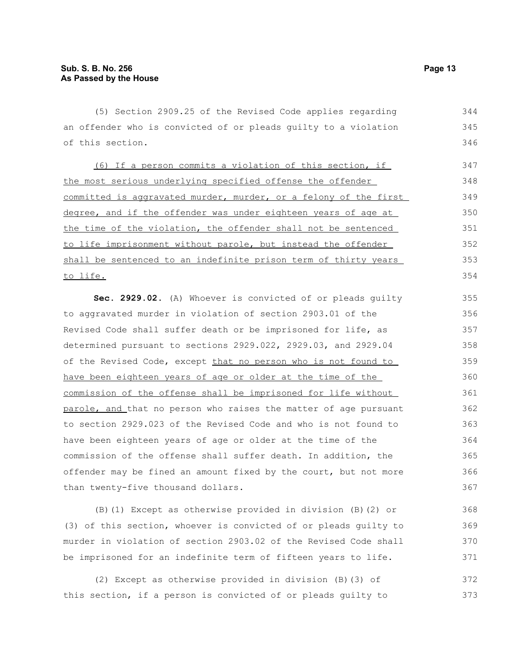(5) Section 2909.25 of the Revised Code applies regarding an offender who is convicted of or pleads guilty to a violation of this section. 344 345 346

(6) If a person commits a violation of this section, if the most serious underlying specified offense the offender committed is aggravated murder, murder, or a felony of the first degree, and if the offender was under eighteen years of age at the time of the violation, the offender shall not be sentenced to life imprisonment without parole, but instead the offender shall be sentenced to an indefinite prison term of thirty years to life. 347 348 349 350 351 352 353 354

**Sec. 2929.02.** (A) Whoever is convicted of or pleads guilty to aggravated murder in violation of section 2903.01 of the Revised Code shall suffer death or be imprisoned for life, as determined pursuant to sections 2929.022, 2929.03, and 2929.04 of the Revised Code, except that no person who is not found to have been eighteen years of age or older at the time of the commission of the offense shall be imprisoned for life without parole, and that no person who raises the matter of age pursuant to section 2929.023 of the Revised Code and who is not found to have been eighteen years of age or older at the time of the commission of the offense shall suffer death. In addition, the offender may be fined an amount fixed by the court, but not more than twenty-five thousand dollars. 355 356 357 358 359 360 361 362 363 364 365 366 367

(B)(1) Except as otherwise provided in division (B)(2) or (3) of this section, whoever is convicted of or pleads guilty to murder in violation of section 2903.02 of the Revised Code shall be imprisoned for an indefinite term of fifteen years to life. 368 369 370 371

(2) Except as otherwise provided in division (B)(3) of this section, if a person is convicted of or pleads guilty to 372 373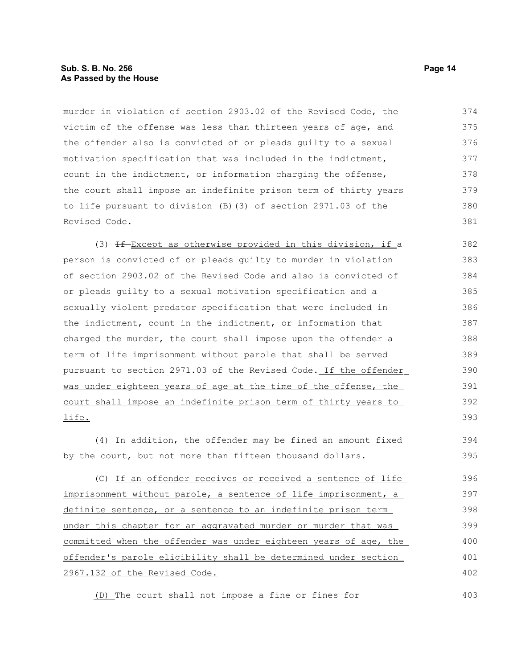#### **Sub. S. B. No. 256 Page 14 As Passed by the House**

murder in violation of section 2903.02 of the Revised Code, the victim of the offense was less than thirteen years of age, and the offender also is convicted of or pleads guilty to a sexual motivation specification that was included in the indictment, count in the indictment, or information charging the offense, the court shall impose an indefinite prison term of thirty years to life pursuant to division (B)(3) of section 2971.03 of the Revised Code. 374 375 376 377 378 379 380 381

(3) If Except as otherwise provided in this division, if a person is convicted of or pleads guilty to murder in violation of section 2903.02 of the Revised Code and also is convicted of or pleads guilty to a sexual motivation specification and a sexually violent predator specification that were included in the indictment, count in the indictment, or information that charged the murder, the court shall impose upon the offender a term of life imprisonment without parole that shall be served pursuant to section 2971.03 of the Revised Code. If the offender was under eighteen years of age at the time of the offense, the court shall impose an indefinite prison term of thirty years to life. 382 383 384 385 386 387 388 389 390 391 392 393

(4) In addition, the offender may be fined an amount fixed by the court, but not more than fifteen thousand dollars. 394 395

(C) If an offender receives or received a sentence of life imprisonment without parole, a sentence of life imprisonment, a definite sentence, or a sentence to an indefinite prison term under this chapter for an aggravated murder or murder that was committed when the offender was under eighteen years of age, the offender's parole eligibility shall be determined under section 2967.132 of the Revised Code. 396 397 398 399 400 401 402

(D) The court shall not impose a fine or fines for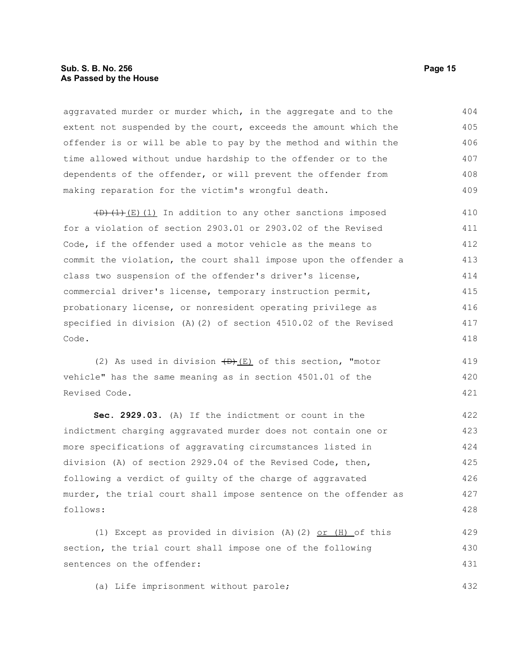#### **Sub. S. B. No. 256 Page 15 As Passed by the House**

aggravated murder or murder which, in the aggregate and to the extent not suspended by the court, exceeds the amount which the offender is or will be able to pay by the method and within the time allowed without undue hardship to the offender or to the dependents of the offender, or will prevent the offender from making reparation for the victim's wrongful death. 404 405 406 407 408 409

 $(D)$  (1)(E)(1) In addition to any other sanctions imposed for a violation of section 2903.01 or 2903.02 of the Revised Code, if the offender used a motor vehicle as the means to commit the violation, the court shall impose upon the offender a class two suspension of the offender's driver's license, commercial driver's license, temporary instruction permit, probationary license, or nonresident operating privilege as specified in division (A)(2) of section 4510.02 of the Revised Code. 410 411 412 413 414 415 416 417 418

(2) As used in division  $(D)$  (E) of this section, "motor vehicle" has the same meaning as in section 4501.01 of the Revised Code. 419 420 421

**Sec. 2929.03.** (A) If the indictment or count in the indictment charging aggravated murder does not contain one or more specifications of aggravating circumstances listed in division (A) of section 2929.04 of the Revised Code, then, following a verdict of guilty of the charge of aggravated murder, the trial court shall impose sentence on the offender as follows: 422 423 424 425 426 427 428

(1) Except as provided in division (A)(2)  $or$  (H) of this</u> section, the trial court shall impose one of the following sentences on the offender: 429 430 431

(a) Life imprisonment without parole;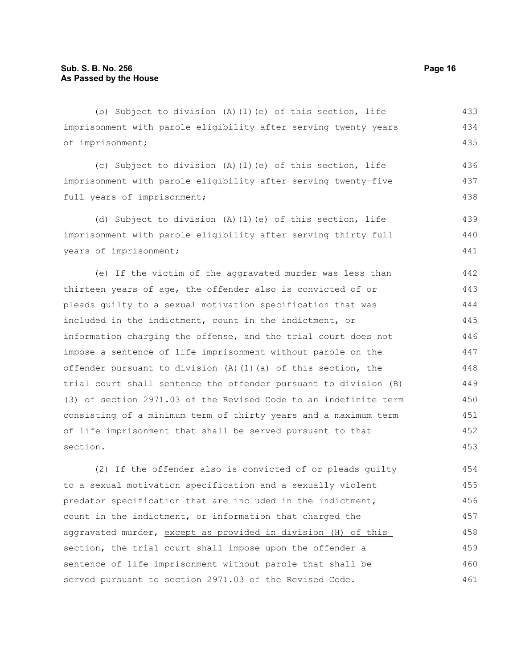(b) Subject to division (A)(1)(e) of this section, life imprisonment with parole eligibility after serving twenty years of imprisonment; 433 434 435

(c) Subject to division (A)(1)(e) of this section, life imprisonment with parole eligibility after serving twenty-five full years of imprisonment; 436 437 438

(d) Subject to division (A)(1)(e) of this section, life imprisonment with parole eligibility after serving thirty full years of imprisonment; 439 440 441

(e) If the victim of the aggravated murder was less than thirteen years of age, the offender also is convicted of or pleads guilty to a sexual motivation specification that was included in the indictment, count in the indictment, or information charging the offense, and the trial court does not impose a sentence of life imprisonment without parole on the offender pursuant to division  $(A)$   $(1)$   $(a)$  of this section, the trial court shall sentence the offender pursuant to division (B) (3) of section 2971.03 of the Revised Code to an indefinite term consisting of a minimum term of thirty years and a maximum term of life imprisonment that shall be served pursuant to that section. 442 443 444 445 446 447 448 449 450 451 452 453

(2) If the offender also is convicted of or pleads guilty to a sexual motivation specification and a sexually violent predator specification that are included in the indictment, count in the indictment, or information that charged the aggravated murder, except as provided in division (H) of this section, the trial court shall impose upon the offender a sentence of life imprisonment without parole that shall be served pursuant to section 2971.03 of the Revised Code. 454 455 456 457 458 459 460 461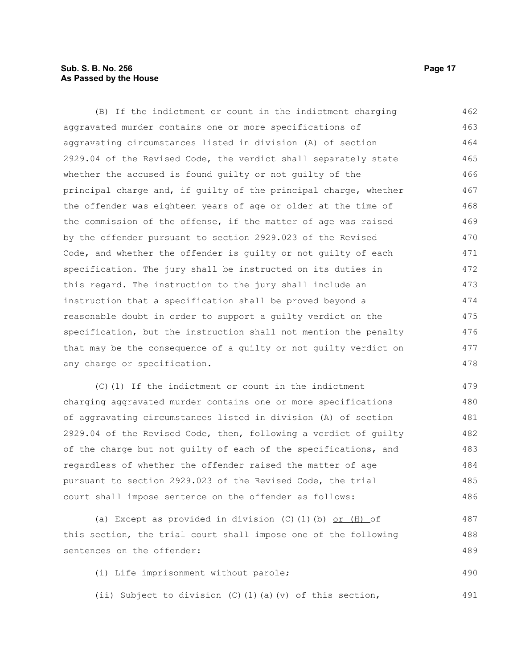#### **Sub. S. B. No. 256 Page 17 As Passed by the House**

(B) If the indictment or count in the indictment charging aggravated murder contains one or more specifications of aggravating circumstances listed in division (A) of section 2929.04 of the Revised Code, the verdict shall separately state whether the accused is found guilty or not guilty of the principal charge and, if guilty of the principal charge, whether the offender was eighteen years of age or older at the time of the commission of the offense, if the matter of age was raised by the offender pursuant to section 2929.023 of the Revised Code, and whether the offender is guilty or not guilty of each specification. The jury shall be instructed on its duties in this regard. The instruction to the jury shall include an instruction that a specification shall be proved beyond a reasonable doubt in order to support a guilty verdict on the specification, but the instruction shall not mention the penalty that may be the consequence of a guilty or not guilty verdict on any charge or specification. 462 463 464 465 466 467 468 469 470 471 472 473 474 475 476 477 478

(C)(1) If the indictment or count in the indictment charging aggravated murder contains one or more specifications of aggravating circumstances listed in division (A) of section 2929.04 of the Revised Code, then, following a verdict of guilty of the charge but not guilty of each of the specifications, and regardless of whether the offender raised the matter of age pursuant to section 2929.023 of the Revised Code, the trial court shall impose sentence on the offender as follows: 479 480 481 482 483 484 485 486

(a) Except as provided in division (C)(1)(b) or  $(H)$  of this section, the trial court shall impose one of the following sentences on the offender: 487 488 489

(i) Life imprisonment without parole; 490

(ii) Subject to division (C)(1)(a)(v) of this section,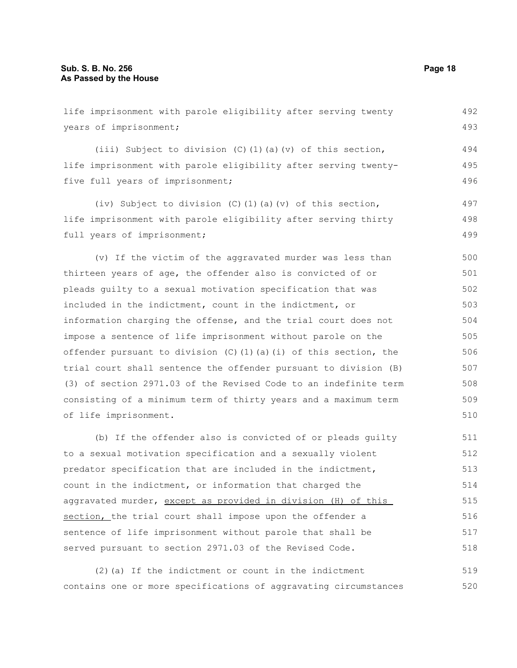life imprisonment with parole eligibility after serving twenty years of imprisonment; (iii) Subject to division (C)(1)(a)(v) of this section, life imprisonment with parole eligibility after serving twentyfive full years of imprisonment; (iv) Subject to division (C)(1)(a)(v) of this section, life imprisonment with parole eligibility after serving thirty full years of imprisonment; (v) If the victim of the aggravated murder was less than thirteen years of age, the offender also is convicted of or pleads guilty to a sexual motivation specification that was included in the indictment, count in the indictment, or information charging the offense, and the trial court does not impose a sentence of life imprisonment without parole on the offender pursuant to division  $(C)$  (1)(a)(i) of this section, the trial court shall sentence the offender pursuant to division (B) (3) of section 2971.03 of the Revised Code to an indefinite term consisting of a minimum term of thirty years and a maximum term of life imprisonment. (b) If the offender also is convicted of or pleads guilty to a sexual motivation specification and a sexually violent predator specification that are included in the indictment, count in the indictment, or information that charged the 492 493 494 495 496 497 498 499 500 501 502 503 504 505 506 507 508 509 510 511 512 513 514

aggravated murder, except as provided in division (H) of this section, the trial court shall impose upon the offender a sentence of life imprisonment without parole that shall be served pursuant to section 2971.03 of the Revised Code. 515 516 517 518

(2)(a) If the indictment or count in the indictment contains one or more specifications of aggravating circumstances 519 520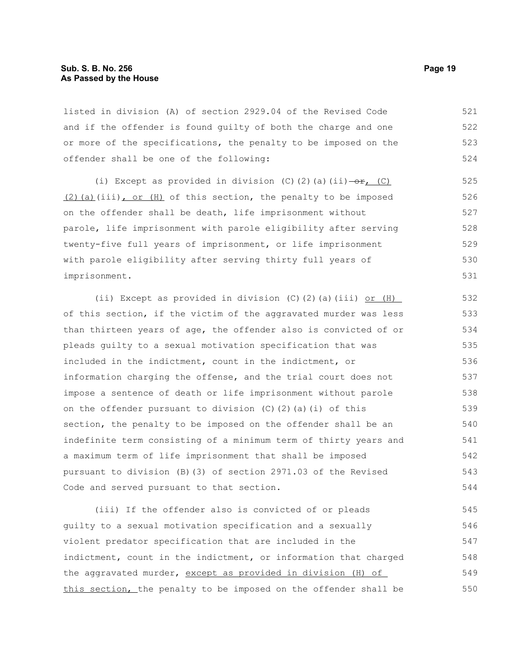listed in division (A) of section 2929.04 of the Revised Code and if the offender is found guilty of both the charge and one or more of the specifications, the penalty to be imposed on the offender shall be one of the following: 521 522 523 524

(i) Except as provided in division (C)(2)(a)(ii)  $-6f$ <sub>1</sub> (C)  $(2)$  (a)(iii), or (H) of this section, the penalty to be imposed on the offender shall be death, life imprisonment without parole, life imprisonment with parole eligibility after serving twenty-five full years of imprisonment, or life imprisonment with parole eligibility after serving thirty full years of imprisonment. 525 526 527 528 529 530 531

(ii) Except as provided in division (C)(2)(a)(iii) or (H) of this section, if the victim of the aggravated murder was less than thirteen years of age, the offender also is convicted of or pleads guilty to a sexual motivation specification that was included in the indictment, count in the indictment, or information charging the offense, and the trial court does not impose a sentence of death or life imprisonment without parole on the offender pursuant to division (C)(2)(a)(i) of this section, the penalty to be imposed on the offender shall be an indefinite term consisting of a minimum term of thirty years and a maximum term of life imprisonment that shall be imposed pursuant to division (B)(3) of section 2971.03 of the Revised Code and served pursuant to that section. 532 533 534 535 536 537 538 539 540 541 542 543 544

(iii) If the offender also is convicted of or pleads guilty to a sexual motivation specification and a sexually violent predator specification that are included in the indictment, count in the indictment, or information that charged the aggravated murder, except as provided in division (H) of this section, the penalty to be imposed on the offender shall be 545 546 547 548 549 550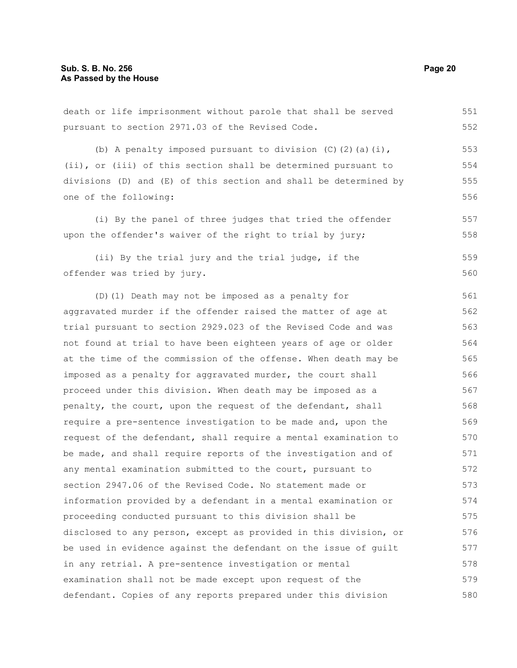death or life imprisonment without parole that shall be served pursuant to section 2971.03 of the Revised Code. 551 552

(b) A penalty imposed pursuant to division  $(C)$   $(2)$   $(a)$   $(i)$ , (ii), or (iii) of this section shall be determined pursuant to divisions (D) and (E) of this section and shall be determined by one of the following: 553 554 555 556

(i) By the panel of three judges that tried the offender upon the offender's waiver of the right to trial by jury;

(ii) By the trial jury and the trial judge, if the offender was tried by jury. 559 560

(D)(1) Death may not be imposed as a penalty for aggravated murder if the offender raised the matter of age at trial pursuant to section 2929.023 of the Revised Code and was not found at trial to have been eighteen years of age or older at the time of the commission of the offense. When death may be imposed as a penalty for aggravated murder, the court shall proceed under this division. When death may be imposed as a penalty, the court, upon the request of the defendant, shall require a pre-sentence investigation to be made and, upon the request of the defendant, shall require a mental examination to be made, and shall require reports of the investigation and of any mental examination submitted to the court, pursuant to section 2947.06 of the Revised Code. No statement made or information provided by a defendant in a mental examination or proceeding conducted pursuant to this division shall be disclosed to any person, except as provided in this division, or be used in evidence against the defendant on the issue of guilt in any retrial. A pre-sentence investigation or mental examination shall not be made except upon request of the defendant. Copies of any reports prepared under this division 561 562 563 564 565 566 567 568 569 570 571 572 573 574 575 576 577 578 579 580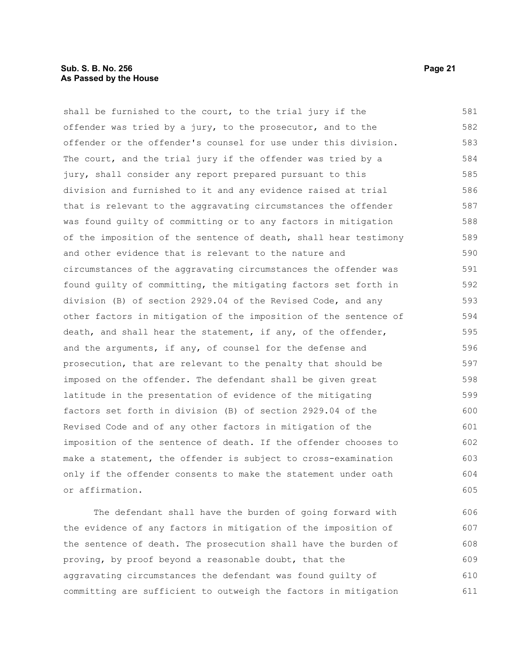#### **Sub. S. B. No. 256 Page 21 As Passed by the House**

shall be furnished to the court, to the trial jury if the offender was tried by a jury, to the prosecutor, and to the offender or the offender's counsel for use under this division. The court, and the trial jury if the offender was tried by a jury, shall consider any report prepared pursuant to this division and furnished to it and any evidence raised at trial that is relevant to the aggravating circumstances the offender was found guilty of committing or to any factors in mitigation of the imposition of the sentence of death, shall hear testimony and other evidence that is relevant to the nature and circumstances of the aggravating circumstances the offender was found guilty of committing, the mitigating factors set forth in division (B) of section 2929.04 of the Revised Code, and any other factors in mitigation of the imposition of the sentence of death, and shall hear the statement, if any, of the offender, and the arguments, if any, of counsel for the defense and prosecution, that are relevant to the penalty that should be imposed on the offender. The defendant shall be given great latitude in the presentation of evidence of the mitigating factors set forth in division (B) of section 2929.04 of the Revised Code and of any other factors in mitigation of the imposition of the sentence of death. If the offender chooses to make a statement, the offender is subject to cross-examination only if the offender consents to make the statement under oath or affirmation. 581 582 583 584 585 586 587 588 589 590 591 592 593 594 595 596 597 598 599 600 601 602 603 604 605

The defendant shall have the burden of going forward with the evidence of any factors in mitigation of the imposition of the sentence of death. The prosecution shall have the burden of proving, by proof beyond a reasonable doubt, that the aggravating circumstances the defendant was found guilty of committing are sufficient to outweigh the factors in mitigation 606 607 608 609 610 611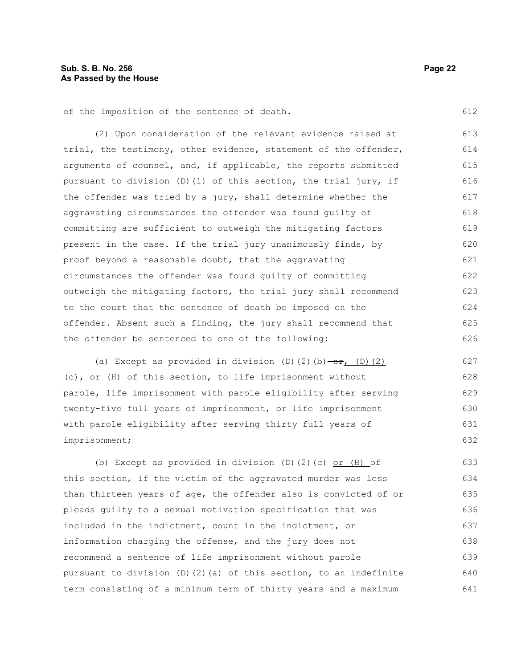of the imposition of the sentence of death.

(2) Upon consideration of the relevant evidence raised at trial, the testimony, other evidence, statement of the offender, arguments of counsel, and, if applicable, the reports submitted pursuant to division (D)(1) of this section, the trial jury, if the offender was tried by a jury, shall determine whether the aggravating circumstances the offender was found guilty of committing are sufficient to outweigh the mitigating factors present in the case. If the trial jury unanimously finds, by proof beyond a reasonable doubt, that the aggravating circumstances the offender was found guilty of committing outweigh the mitigating factors, the trial jury shall recommend to the court that the sentence of death be imposed on the offender. Absent such a finding, the jury shall recommend that the offender be sentenced to one of the following: 613 614 615 616 617 618 619 620 621 622 623 624 625 626

(a) Except as provided in division (D)(2)(b)  $-$ or, (D)(2) (c), or (H) of this section, to life imprisonment without parole, life imprisonment with parole eligibility after serving twenty-five full years of imprisonment, or life imprisonment with parole eligibility after serving thirty full years of imprisonment; 627 628 629 630

(b) Except as provided in division (D)(2)(c) or (H) of this section, if the victim of the aggravated murder was less than thirteen years of age, the offender also is convicted of or pleads guilty to a sexual motivation specification that was included in the indictment, count in the indictment, or information charging the offense, and the jury does not recommend a sentence of life imprisonment without parole pursuant to division (D)(2)(a) of this section, to an indefinite term consisting of a minimum term of thirty years and a maximum 633 634 635 636 637 638 639 640 641

612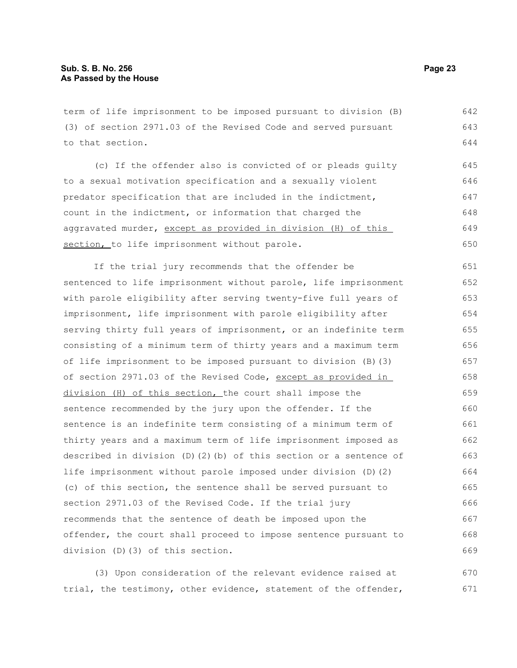term of life imprisonment to be imposed pursuant to division (B) (3) of section 2971.03 of the Revised Code and served pursuant to that section. 642 643 644

(c) If the offender also is convicted of or pleads guilty to a sexual motivation specification and a sexually violent predator specification that are included in the indictment, count in the indictment, or information that charged the aggravated murder, except as provided in division (H) of this section, to life imprisonment without parole. 645 646 647 648 649 650

If the trial jury recommends that the offender be sentenced to life imprisonment without parole, life imprisonment with parole eligibility after serving twenty-five full years of imprisonment, life imprisonment with parole eligibility after serving thirty full years of imprisonment, or an indefinite term consisting of a minimum term of thirty years and a maximum term of life imprisonment to be imposed pursuant to division (B)(3) of section 2971.03 of the Revised Code, except as provided in division (H) of this section, the court shall impose the sentence recommended by the jury upon the offender. If the sentence is an indefinite term consisting of a minimum term of thirty years and a maximum term of life imprisonment imposed as described in division (D)(2)(b) of this section or a sentence of life imprisonment without parole imposed under division (D)(2) (c) of this section, the sentence shall be served pursuant to section 2971.03 of the Revised Code. If the trial jury recommends that the sentence of death be imposed upon the offender, the court shall proceed to impose sentence pursuant to division (D)(3) of this section. 651 652 653 654 655 656 657 658 659 660 661 662 663 664 665 666 667 668 669

(3) Upon consideration of the relevant evidence raised at trial, the testimony, other evidence, statement of the offender, 670 671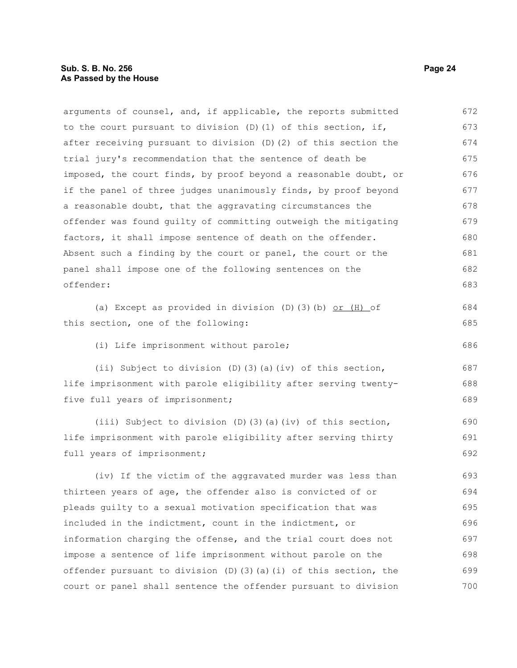arguments of counsel, and, if applicable, the reports submitted to the court pursuant to division  $(D)$  (1) of this section, if, after receiving pursuant to division (D)(2) of this section the trial jury's recommendation that the sentence of death be imposed, the court finds, by proof beyond a reasonable doubt, or if the panel of three judges unanimously finds, by proof beyond a reasonable doubt, that the aggravating circumstances the offender was found guilty of committing outweigh the mitigating factors, it shall impose sentence of death on the offender. Absent such a finding by the court or panel, the court or the panel shall impose one of the following sentences on the offender: 672 673 674 675 676 677 678 679 680 681 682 683

(a) Except as provided in division (D)(3)(b) or (H) of this section, one of the following:

(i) Life imprisonment without parole;

(ii) Subject to division (D)(3)(a)(iv) of this section, life imprisonment with parole eligibility after serving twentyfive full years of imprisonment;

(iii) Subject to division (D)(3)(a)(iv) of this section, life imprisonment with parole eligibility after serving thirty full years of imprisonment;

(iv) If the victim of the aggravated murder was less than thirteen years of age, the offender also is convicted of or pleads guilty to a sexual motivation specification that was included in the indictment, count in the indictment, or information charging the offense, and the trial court does not impose a sentence of life imprisonment without parole on the offender pursuant to division  $(D)$  (3)(a)(i) of this section, the court or panel shall sentence the offender pursuant to division 693 694 695 696 697 698 699 700

684 685

686

687 688 689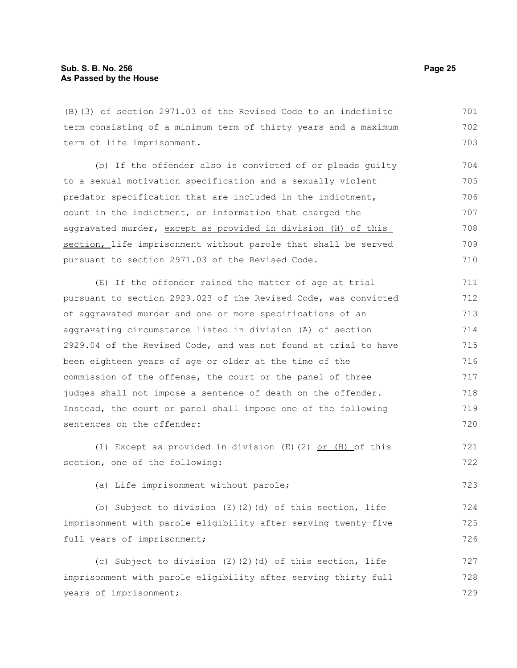(B)(3) of section 2971.03 of the Revised Code to an indefinite term consisting of a minimum term of thirty years and a maximum term of life imprisonment. 701 702 703

(b) If the offender also is convicted of or pleads guilty to a sexual motivation specification and a sexually violent predator specification that are included in the indictment, count in the indictment, or information that charged the aggravated murder, except as provided in division (H) of this section, life imprisonment without parole that shall be served pursuant to section 2971.03 of the Revised Code. 704 705 706 707 708 709 710

(E) If the offender raised the matter of age at trial pursuant to section 2929.023 of the Revised Code, was convicted of aggravated murder and one or more specifications of an aggravating circumstance listed in division (A) of section 2929.04 of the Revised Code, and was not found at trial to have been eighteen years of age or older at the time of the commission of the offense, the court or the panel of three judges shall not impose a sentence of death on the offender. Instead, the court or panel shall impose one of the following sentences on the offender: 711 712 713 714 715 716 717 718 719 720

(1) Except as provided in division  $(E)$  (2) or  $(H)$  of this section, one of the following:

(a) Life imprisonment without parole;

(b) Subject to division (E)(2)(d) of this section, life imprisonment with parole eligibility after serving twenty-five full years of imprisonment; 724 725 726

(c) Subject to division (E)(2)(d) of this section, life imprisonment with parole eligibility after serving thirty full years of imprisonment; 727 728 729

721 722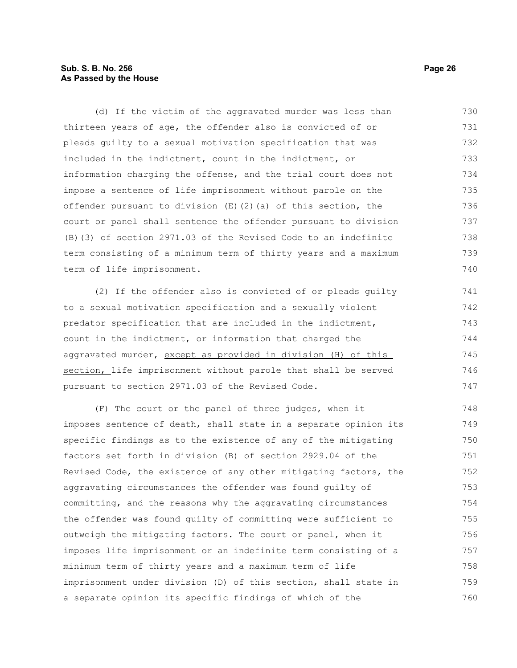#### **Sub. S. B. No. 256 Page 26 As Passed by the House**

(d) If the victim of the aggravated murder was less than thirteen years of age, the offender also is convicted of or pleads guilty to a sexual motivation specification that was included in the indictment, count in the indictment, or information charging the offense, and the trial court does not impose a sentence of life imprisonment without parole on the offender pursuant to division  $(E)(2)(a)$  of this section, the court or panel shall sentence the offender pursuant to division (B)(3) of section 2971.03 of the Revised Code to an indefinite term consisting of a minimum term of thirty years and a maximum term of life imprisonment. 730 731 732 733 734 735 736 737 738 739 740

(2) If the offender also is convicted of or pleads guilty to a sexual motivation specification and a sexually violent predator specification that are included in the indictment, count in the indictment, or information that charged the aggravated murder, except as provided in division (H) of this section, life imprisonment without parole that shall be served pursuant to section 2971.03 of the Revised Code. 741 742 743 744 745 746 747

(F) The court or the panel of three judges, when it imposes sentence of death, shall state in a separate opinion its specific findings as to the existence of any of the mitigating factors set forth in division (B) of section 2929.04 of the Revised Code, the existence of any other mitigating factors, the aggravating circumstances the offender was found guilty of committing, and the reasons why the aggravating circumstances the offender was found guilty of committing were sufficient to outweigh the mitigating factors. The court or panel, when it imposes life imprisonment or an indefinite term consisting of a minimum term of thirty years and a maximum term of life imprisonment under division (D) of this section, shall state in a separate opinion its specific findings of which of the 748 749 750 751 752 753 754 755 756 757 758 759 760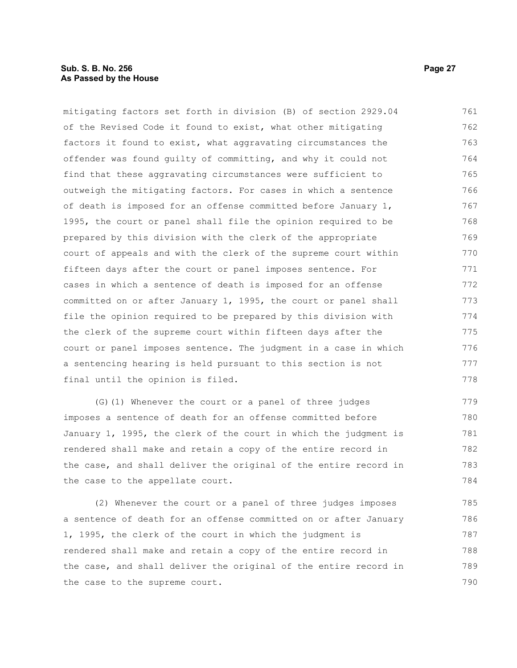#### **Sub. S. B. No. 256 Page 27 As Passed by the House**

mitigating factors set forth in division (B) of section 2929.04 of the Revised Code it found to exist, what other mitigating factors it found to exist, what aggravating circumstances the offender was found guilty of committing, and why it could not find that these aggravating circumstances were sufficient to outweigh the mitigating factors. For cases in which a sentence of death is imposed for an offense committed before January 1, 1995, the court or panel shall file the opinion required to be prepared by this division with the clerk of the appropriate court of appeals and with the clerk of the supreme court within fifteen days after the court or panel imposes sentence. For cases in which a sentence of death is imposed for an offense committed on or after January 1, 1995, the court or panel shall file the opinion required to be prepared by this division with the clerk of the supreme court within fifteen days after the court or panel imposes sentence. The judgment in a case in which a sentencing hearing is held pursuant to this section is not final until the opinion is filed. 761 762 763 764 765 766 767 768 769 770 771 772 773 774 775 776 777 778

(G)(1) Whenever the court or a panel of three judges imposes a sentence of death for an offense committed before January 1, 1995, the clerk of the court in which the judgment is rendered shall make and retain a copy of the entire record in the case, and shall deliver the original of the entire record in the case to the appellate court. 779 780 781 782 783 784

(2) Whenever the court or a panel of three judges imposes a sentence of death for an offense committed on or after January 1, 1995, the clerk of the court in which the judgment is rendered shall make and retain a copy of the entire record in the case, and shall deliver the original of the entire record in the case to the supreme court. 785 786 787 788 789 790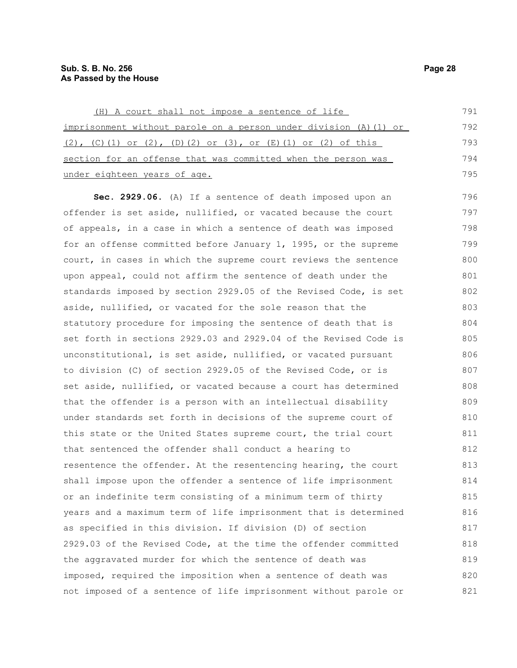| (H) A court shall not impose a sentence of life                                       | 791 |
|---------------------------------------------------------------------------------------|-----|
| imprisonment without parole on a person under division (A)(1) or                      | 792 |
| $(2)$ , $(C)$ $(1)$ or $(2)$ , $(D)$ $(2)$ or $(3)$ , or $(E)$ $(1)$ or $(2)$ of this | 793 |
| section for an offense that was committed when the person was                         | 794 |
| under eighteen years of age.                                                          | 795 |

**Sec. 2929.06.** (A) If a sentence of death imposed upon an offender is set aside, nullified, or vacated because the court of appeals, in a case in which a sentence of death was imposed for an offense committed before January 1, 1995, or the supreme court, in cases in which the supreme court reviews the sentence upon appeal, could not affirm the sentence of death under the standards imposed by section 2929.05 of the Revised Code, is set aside, nullified, or vacated for the sole reason that the statutory procedure for imposing the sentence of death that is set forth in sections 2929.03 and 2929.04 of the Revised Code is unconstitutional, is set aside, nullified, or vacated pursuant to division (C) of section 2929.05 of the Revised Code, or is set aside, nullified, or vacated because a court has determined that the offender is a person with an intellectual disability under standards set forth in decisions of the supreme court of this state or the United States supreme court, the trial court that sentenced the offender shall conduct a hearing to resentence the offender. At the resentencing hearing, the court shall impose upon the offender a sentence of life imprisonment or an indefinite term consisting of a minimum term of thirty years and a maximum term of life imprisonment that is determined as specified in this division. If division (D) of section 2929.03 of the Revised Code, at the time the offender committed the aggravated murder for which the sentence of death was imposed, required the imposition when a sentence of death was not imposed of a sentence of life imprisonment without parole or 796 797 798 799 800 801 802 803 804 805 806 807 808 809 810 811 812 813 814 815 816 817 818 819 820 821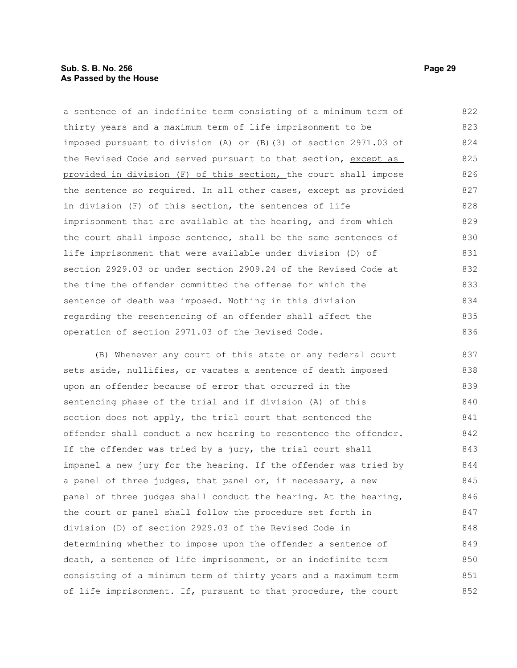#### **Sub. S. B. No. 256 Page 29 As Passed by the House**

a sentence of an indefinite term consisting of a minimum term of thirty years and a maximum term of life imprisonment to be imposed pursuant to division (A) or (B)(3) of section 2971.03 of the Revised Code and served pursuant to that section, except as provided in division (F) of this section, the court shall impose the sentence so required. In all other cases, except as provided in division (F) of this section, the sentences of life imprisonment that are available at the hearing, and from which the court shall impose sentence, shall be the same sentences of life imprisonment that were available under division (D) of section 2929.03 or under section 2909.24 of the Revised Code at the time the offender committed the offense for which the sentence of death was imposed. Nothing in this division regarding the resentencing of an offender shall affect the operation of section 2971.03 of the Revised Code. 822 823 824 825 826 827 828 829 830 831 832 833 834 835 836

(B) Whenever any court of this state or any federal court sets aside, nullifies, or vacates a sentence of death imposed upon an offender because of error that occurred in the sentencing phase of the trial and if division (A) of this section does not apply, the trial court that sentenced the offender shall conduct a new hearing to resentence the offender. If the offender was tried by a jury, the trial court shall impanel a new jury for the hearing. If the offender was tried by a panel of three judges, that panel or, if necessary, a new panel of three judges shall conduct the hearing. At the hearing, the court or panel shall follow the procedure set forth in division (D) of section 2929.03 of the Revised Code in determining whether to impose upon the offender a sentence of death, a sentence of life imprisonment, or an indefinite term consisting of a minimum term of thirty years and a maximum term of life imprisonment. If, pursuant to that procedure, the court 837 838 839 840 841 842 843 844 845 846 847 848 849 850 851 852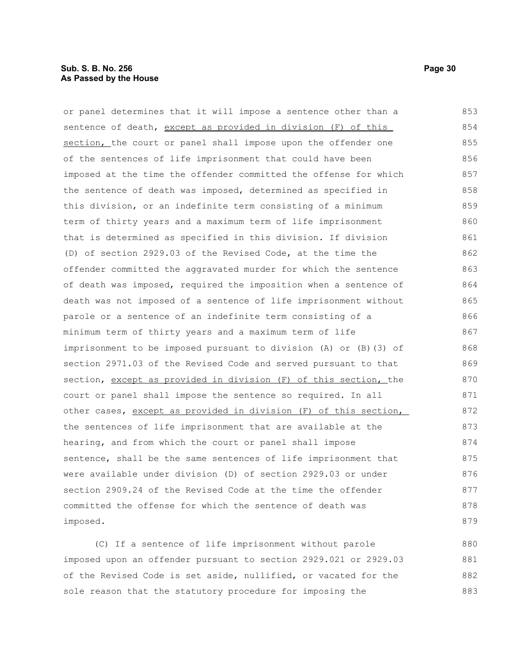#### **Sub. S. B. No. 256 Page 30 As Passed by the House**

or panel determines that it will impose a sentence other than a sentence of death, except as provided in division (F) of this section, the court or panel shall impose upon the offender one of the sentences of life imprisonment that could have been imposed at the time the offender committed the offense for which the sentence of death was imposed, determined as specified in this division, or an indefinite term consisting of a minimum term of thirty years and a maximum term of life imprisonment that is determined as specified in this division. If division (D) of section 2929.03 of the Revised Code, at the time the offender committed the aggravated murder for which the sentence of death was imposed, required the imposition when a sentence of death was not imposed of a sentence of life imprisonment without parole or a sentence of an indefinite term consisting of a minimum term of thirty years and a maximum term of life imprisonment to be imposed pursuant to division (A) or (B)(3) of section 2971.03 of the Revised Code and served pursuant to that section, except as provided in division (F) of this section, the court or panel shall impose the sentence so required. In all other cases, except as provided in division (F) of this section, the sentences of life imprisonment that are available at the hearing, and from which the court or panel shall impose sentence, shall be the same sentences of life imprisonment that were available under division (D) of section 2929.03 or under section 2909.24 of the Revised Code at the time the offender committed the offense for which the sentence of death was imposed. 853 854 855 856 857 858 859 860 861 862 863 864 865 866 867 868 869 870 871 872 873 874 875 876 877 878 879

(C) If a sentence of life imprisonment without parole imposed upon an offender pursuant to section 2929.021 or 2929.03 of the Revised Code is set aside, nullified, or vacated for the sole reason that the statutory procedure for imposing the 880 881 882 883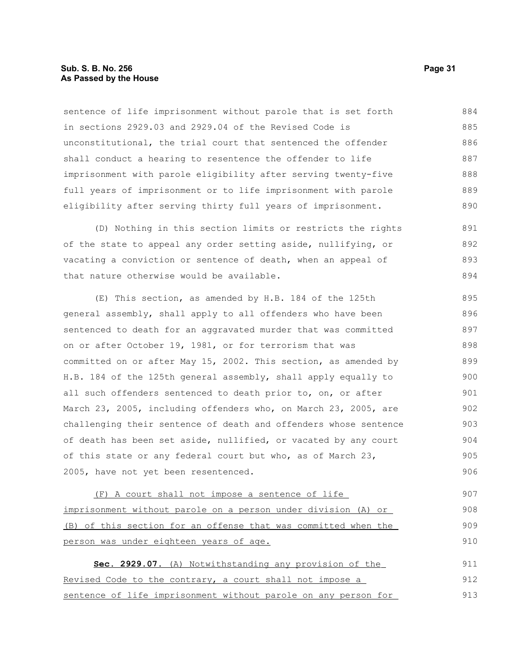sentence of life imprisonment without parole that is set forth in sections 2929.03 and 2929.04 of the Revised Code is unconstitutional, the trial court that sentenced the offender shall conduct a hearing to resentence the offender to life imprisonment with parole eligibility after serving twenty-five full years of imprisonment or to life imprisonment with parole eligibility after serving thirty full years of imprisonment. 884 885 886 887 888 889 890

(D) Nothing in this section limits or restricts the rights of the state to appeal any order setting aside, nullifying, or vacating a conviction or sentence of death, when an appeal of that nature otherwise would be available. 891 892 893 894

(E) This section, as amended by H.B. 184 of the 125th general assembly, shall apply to all offenders who have been sentenced to death for an aggravated murder that was committed on or after October 19, 1981, or for terrorism that was committed on or after May 15, 2002. This section, as amended by H.B. 184 of the 125th general assembly, shall apply equally to all such offenders sentenced to death prior to, on, or after March 23, 2005, including offenders who, on March 23, 2005, are challenging their sentence of death and offenders whose sentence of death has been set aside, nullified, or vacated by any court of this state or any federal court but who, as of March 23, 2005, have not yet been resentenced. 895 896 897 898 899 900 901 902 903 904 905 906

(F) A court shall not impose a sentence of life imprisonment without parole on a person under division (A) or (B) of this section for an offense that was committed when the person was under eighteen years of age. 907 908 909 910

 **Sec. 2929.07.** (A) Notwithstanding any provision of the Revised Code to the contrary, a court shall not impose a sentence of life imprisonment without parole on any person for 911 912 913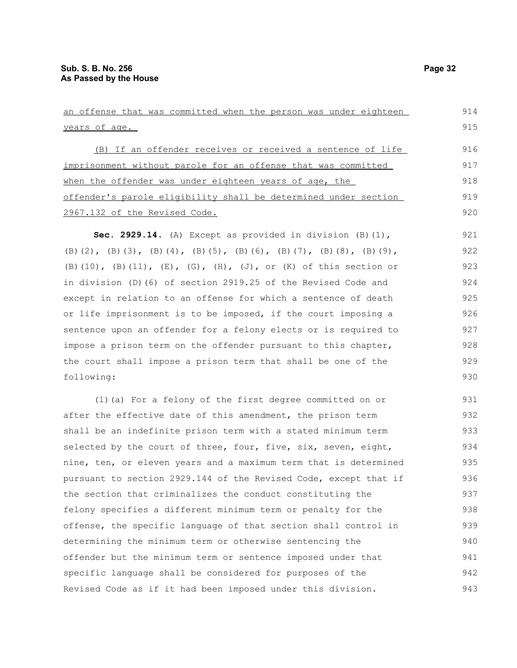an offense that was committed when the person was under eighteen years of age. (B) If an offender receives or received a sentence of life imprisonment without parole for an offense that was committed when the offender was under eighteen years of age, the offender's parole eligibility shall be determined under section 2967.132 of the Revised Code. **Sec. 2929.14.** (A) Except as provided in division (B)(1), (B)(2), (B)(3), (B)(4), (B)(5), (B)(6), (B)(7), (B)(8), (B)(9), (B)(10), (B)(11), (E), (G), (H), (J), or (K) of this section or in division (D)(6) of section 2919.25 of the Revised Code and except in relation to an offense for which a sentence of death or life imprisonment is to be imposed, if the court imposing a sentence upon an offender for a felony elects or is required to impose a prison term on the offender pursuant to this chapter, the court shall impose a prison term that shall be one of the following: (1)(a) For a felony of the first degree committed on or after the effective date of this amendment, the prison term shall be an indefinite prison term with a stated minimum term selected by the court of three, four, five, six, seven, eight, nine, ten, or eleven years and a maximum term that is determined pursuant to section 2929.144 of the Revised Code, except that if the section that criminalizes the conduct constituting the felony specifies a different minimum term or penalty for the offense, the specific language of that section shall control in determining the minimum term or otherwise sentencing the offender but the minimum term or sentence imposed under that specific language shall be considered for purposes of the 914 915 916 917 918 919 920 921 922 923 924 925 926 927 928 929 930 931 932 933 934 935 936 937 938 939 940 941 942

Revised Code as if it had been imposed under this division.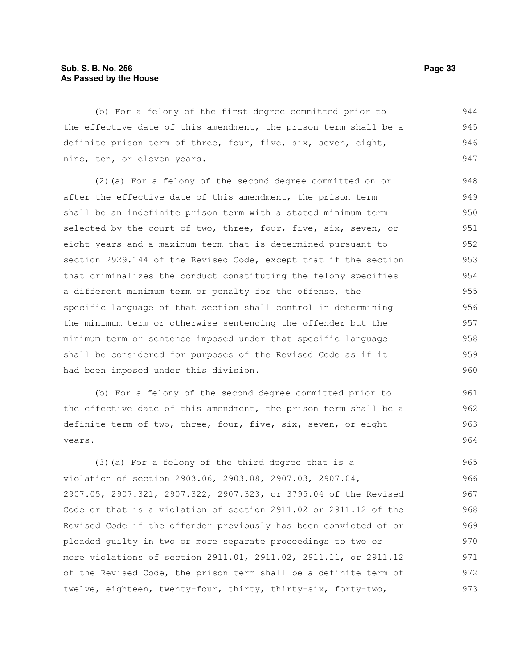#### **Sub. S. B. No. 256 Page 33 As Passed by the House**

(b) For a felony of the first degree committed prior to the effective date of this amendment, the prison term shall be a definite prison term of three, four, five, six, seven, eight, nine, ten, or eleven years. 944 945 946 947

(2)(a) For a felony of the second degree committed on or after the effective date of this amendment, the prison term shall be an indefinite prison term with a stated minimum term selected by the court of two, three, four, five, six, seven, or eight years and a maximum term that is determined pursuant to section 2929.144 of the Revised Code, except that if the section that criminalizes the conduct constituting the felony specifies a different minimum term or penalty for the offense, the specific language of that section shall control in determining the minimum term or otherwise sentencing the offender but the minimum term or sentence imposed under that specific language shall be considered for purposes of the Revised Code as if it had been imposed under this division. 948 949 950 951 952 953 954 955 956 957 958 959 960

(b) For a felony of the second degree committed prior to the effective date of this amendment, the prison term shall be a definite term of two, three, four, five, six, seven, or eight years. 961 962 963 964

(3)(a) For a felony of the third degree that is a violation of section 2903.06, 2903.08, 2907.03, 2907.04, 2907.05, 2907.321, 2907.322, 2907.323, or 3795.04 of the Revised Code or that is a violation of section 2911.02 or 2911.12 of the Revised Code if the offender previously has been convicted of or pleaded guilty in two or more separate proceedings to two or more violations of section 2911.01, 2911.02, 2911.11, or 2911.12 of the Revised Code, the prison term shall be a definite term of twelve, eighteen, twenty-four, thirty, thirty-six, forty-two, 965 966 967 968 969 970 971 972 973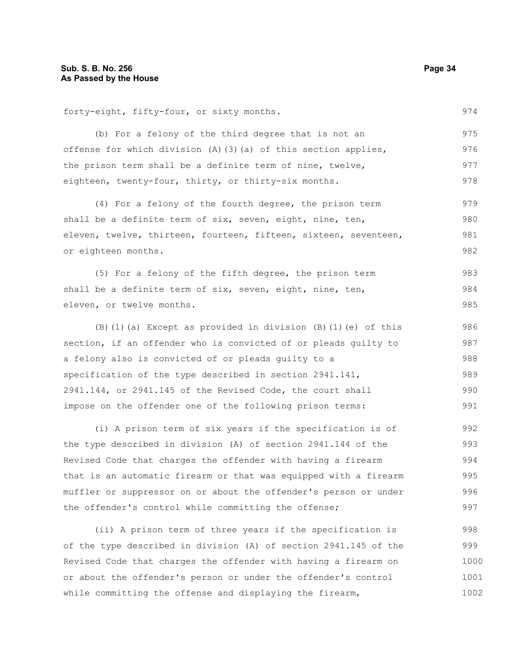974

forty-eight, fifty-four, or sixty months.

(b) For a felony of the third degree that is not an offense for which division  $(A)$   $(3)$   $(a)$  of this section applies, the prison term shall be a definite term of nine, twelve, eighteen, twenty-four, thirty, or thirty-six months. 975 976 977 978

(4) For a felony of the fourth degree, the prison term shall be a definite term of six, seven, eight, nine, ten, eleven, twelve, thirteen, fourteen, fifteen, sixteen, seventeen, or eighteen months. 979 980 981 982

(5) For a felony of the fifth degree, the prison term shall be a definite term of six, seven, eight, nine, ten, eleven, or twelve months. 983 984 985

(B)(1)(a) Except as provided in division (B)(1)(e) of this section, if an offender who is convicted of or pleads guilty to a felony also is convicted of or pleads guilty to a specification of the type described in section 2941.141, 2941.144, or 2941.145 of the Revised Code, the court shall impose on the offender one of the following prison terms: 986 987 988 989 990 991

(i) A prison term of six years if the specification is of the type described in division (A) of section 2941.144 of the Revised Code that charges the offender with having a firearm that is an automatic firearm or that was equipped with a firearm muffler or suppressor on or about the offender's person or under the offender's control while committing the offense; 992 993 994 995 996 997

(ii) A prison term of three years if the specification is of the type described in division (A) of section 2941.145 of the Revised Code that charges the offender with having a firearm on or about the offender's person or under the offender's control while committing the offense and displaying the firearm, 998 999 1000 1001 1002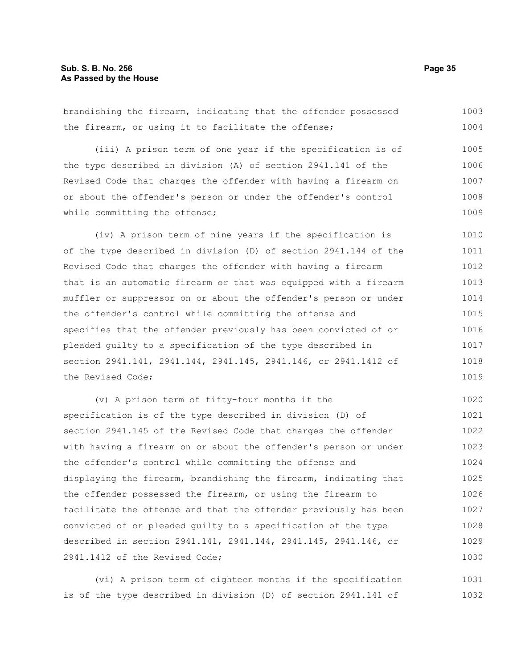#### **Sub. S. B. No. 256 Page 35 As Passed by the House**

brandishing the firearm, indicating that the offender possessed the firearm, or using it to facilitate the offense; (iii) A prison term of one year if the specification is of the type described in division (A) of section 2941.141 of the Revised Code that charges the offender with having a firearm on or about the offender's person or under the offender's control while committing the offense; (iv) A prison term of nine years if the specification is 1003 1004 1005 1006 1007 1008 1009 1010

of the type described in division (D) of section 2941.144 of the Revised Code that charges the offender with having a firearm that is an automatic firearm or that was equipped with a firearm muffler or suppressor on or about the offender's person or under the offender's control while committing the offense and specifies that the offender previously has been convicted of or pleaded guilty to a specification of the type described in section 2941.141, 2941.144, 2941.145, 2941.146, or 2941.1412 of the Revised Code; 1011 1012 1013 1014 1015 1016 1017 1018 1019

(v) A prison term of fifty-four months if the specification is of the type described in division (D) of section 2941.145 of the Revised Code that charges the offender with having a firearm on or about the offender's person or under the offender's control while committing the offense and displaying the firearm, brandishing the firearm, indicating that the offender possessed the firearm, or using the firearm to facilitate the offense and that the offender previously has been convicted of or pleaded guilty to a specification of the type described in section 2941.141, 2941.144, 2941.145, 2941.146, or 2941.1412 of the Revised Code; 1020 1021 1022 1023 1024 1025 1026 1027 1028 1029 1030

(vi) A prison term of eighteen months if the specification is of the type described in division (D) of section 2941.141 of 1031 1032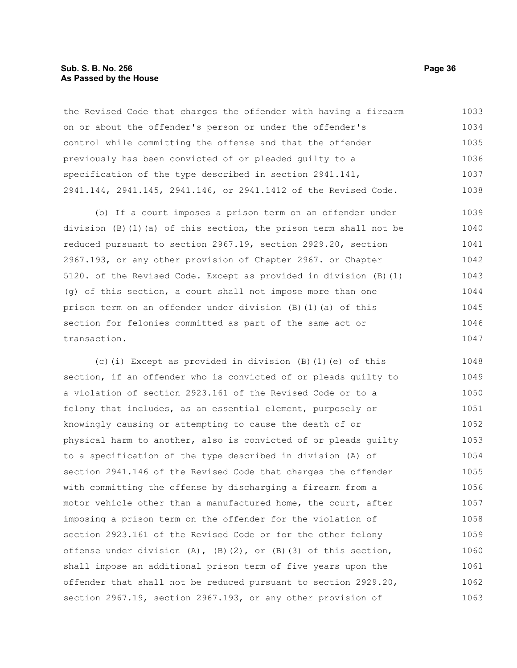#### **Sub. S. B. No. 256 Page 36 As Passed by the House**

the Revised Code that charges the offender with having a firearm on or about the offender's person or under the offender's control while committing the offense and that the offender previously has been convicted of or pleaded guilty to a specification of the type described in section 2941.141, 2941.144, 2941.145, 2941.146, or 2941.1412 of the Revised Code. 1033 1034 1035 1036 1037 1038

(b) If a court imposes a prison term on an offender under division (B)(1)(a) of this section, the prison term shall not be reduced pursuant to section 2967.19, section 2929.20, section 2967.193, or any other provision of Chapter 2967. or Chapter 5120. of the Revised Code. Except as provided in division (B)(1) (g) of this section, a court shall not impose more than one prison term on an offender under division (B)(1)(a) of this section for felonies committed as part of the same act or transaction. 1039 1040 1041 1042 1043 1044 1045 1046 1047

(c)(i) Except as provided in division (B)(1)(e) of this section, if an offender who is convicted of or pleads guilty to a violation of section 2923.161 of the Revised Code or to a felony that includes, as an essential element, purposely or knowingly causing or attempting to cause the death of or physical harm to another, also is convicted of or pleads guilty to a specification of the type described in division (A) of section 2941.146 of the Revised Code that charges the offender with committing the offense by discharging a firearm from a motor vehicle other than a manufactured home, the court, after imposing a prison term on the offender for the violation of section 2923.161 of the Revised Code or for the other felony offense under division  $(A)$ ,  $(B)$  $(2)$ , or  $(B)$  $(3)$  of this section, shall impose an additional prison term of five years upon the offender that shall not be reduced pursuant to section 2929.20, section 2967.19, section 2967.193, or any other provision of 1048 1049 1050 1051 1052 1053 1054 1055 1056 1057 1058 1059 1060 1061 1062 1063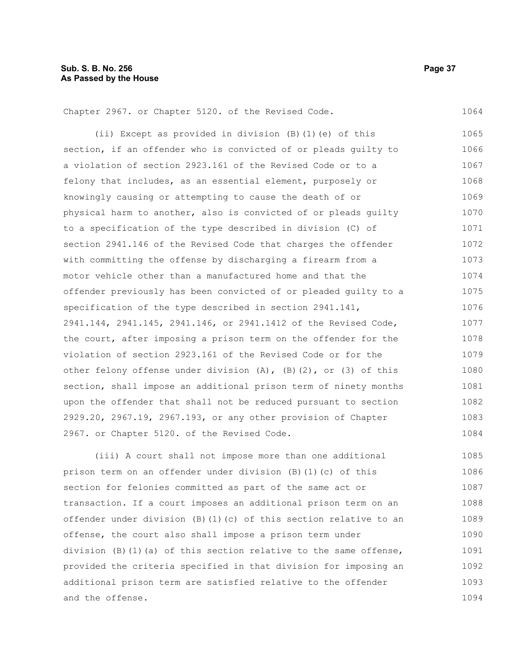Chapter 2967. or Chapter 5120. of the Revised Code.

(ii) Except as provided in division (B)(1)(e) of this section, if an offender who is convicted of or pleads guilty to a violation of section 2923.161 of the Revised Code or to a felony that includes, as an essential element, purposely or knowingly causing or attempting to cause the death of or physical harm to another, also is convicted of or pleads guilty to a specification of the type described in division (C) of section 2941.146 of the Revised Code that charges the offender with committing the offense by discharging a firearm from a motor vehicle other than a manufactured home and that the offender previously has been convicted of or pleaded guilty to a specification of the type described in section 2941.141, 2941.144, 2941.145, 2941.146, or 2941.1412 of the Revised Code, the court, after imposing a prison term on the offender for the violation of section 2923.161 of the Revised Code or for the other felony offense under division  $(A)$ ,  $(B)$   $(2)$ , or  $(3)$  of this section, shall impose an additional prison term of ninety months upon the offender that shall not be reduced pursuant to section 2929.20, 2967.19, 2967.193, or any other provision of Chapter 2967. or Chapter 5120. of the Revised Code. 1065 1066 1067 1068 1069 1070 1071 1072 1073 1074 1075 1076 1077 1078 1079 1080 1081 1082 1083 1084

(iii) A court shall not impose more than one additional prison term on an offender under division (B)(1)(c) of this section for felonies committed as part of the same act or transaction. If a court imposes an additional prison term on an offender under division (B)(1)(c) of this section relative to an offense, the court also shall impose a prison term under division  $(B)$  (1)(a) of this section relative to the same offense, provided the criteria specified in that division for imposing an additional prison term are satisfied relative to the offender and the offense. 1085 1086 1087 1088 1089 1090 1091 1092 1093 1094

1064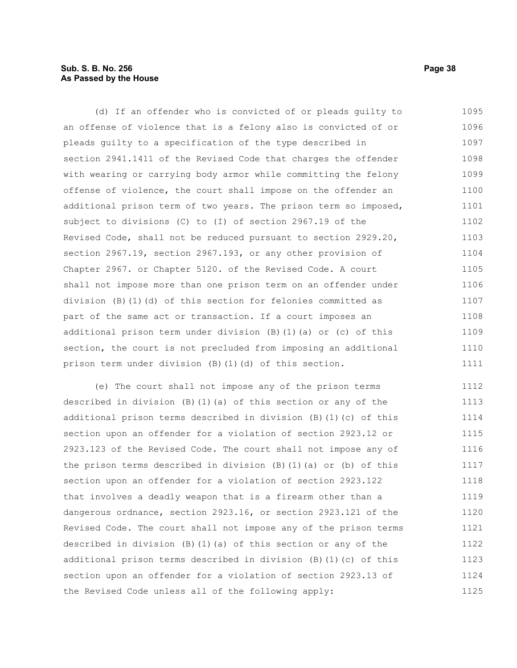# **Sub. S. B. No. 256 Page 38 As Passed by the House**

(d) If an offender who is convicted of or pleads guilty to an offense of violence that is a felony also is convicted of or pleads guilty to a specification of the type described in section 2941.1411 of the Revised Code that charges the offender with wearing or carrying body armor while committing the felony offense of violence, the court shall impose on the offender an additional prison term of two years. The prison term so imposed, subject to divisions (C) to (I) of section 2967.19 of the Revised Code, shall not be reduced pursuant to section 2929.20, section 2967.19, section 2967.193, or any other provision of Chapter 2967. or Chapter 5120. of the Revised Code. A court shall not impose more than one prison term on an offender under division (B)(1)(d) of this section for felonies committed as part of the same act or transaction. If a court imposes an additional prison term under division (B)(1)(a) or (c) of this section, the court is not precluded from imposing an additional prison term under division (B)(1)(d) of this section. 1095 1096 1097 1098 1099 1100 1101 1102 1103 1104 1105 1106 1107 1108 1109 1110 1111

(e) The court shall not impose any of the prison terms described in division (B)(1)(a) of this section or any of the additional prison terms described in division (B)(1)(c) of this section upon an offender for a violation of section 2923.12 or 2923.123 of the Revised Code. The court shall not impose any of the prison terms described in division (B)(1)(a) or (b) of this section upon an offender for a violation of section 2923.122 that involves a deadly weapon that is a firearm other than a dangerous ordnance, section 2923.16, or section 2923.121 of the Revised Code. The court shall not impose any of the prison terms described in division (B)(1)(a) of this section or any of the additional prison terms described in division (B)(1)(c) of this section upon an offender for a violation of section 2923.13 of the Revised Code unless all of the following apply: 1112 1113 1114 1115 1116 1117 1118 1119 1120 1121 1122 1123 1124 1125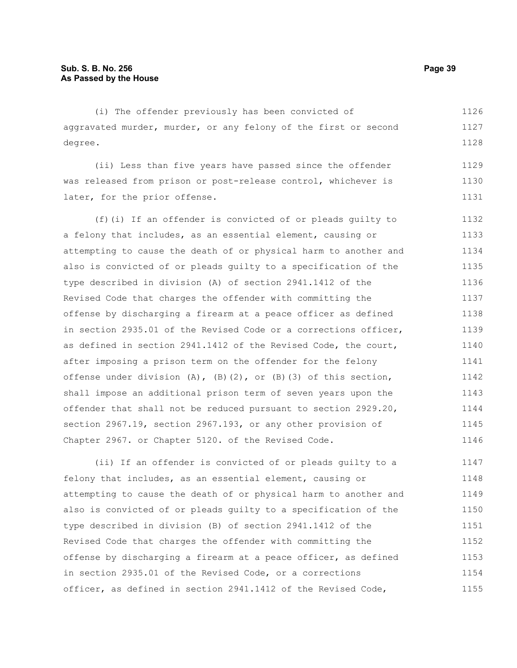(i) The offender previously has been convicted of aggravated murder, murder, or any felony of the first or second degree. 1126 1127 1128

(ii) Less than five years have passed since the offender was released from prison or post-release control, whichever is later, for the prior offense. 1129 1130 1131

(f)(i) If an offender is convicted of or pleads guilty to a felony that includes, as an essential element, causing or attempting to cause the death of or physical harm to another and also is convicted of or pleads guilty to a specification of the type described in division (A) of section 2941.1412 of the Revised Code that charges the offender with committing the offense by discharging a firearm at a peace officer as defined in section 2935.01 of the Revised Code or a corrections officer, as defined in section 2941.1412 of the Revised Code, the court, after imposing a prison term on the offender for the felony offense under division (A), (B)(2), or (B)(3) of this section, shall impose an additional prison term of seven years upon the offender that shall not be reduced pursuant to section 2929.20, section 2967.19, section 2967.193, or any other provision of Chapter 2967. or Chapter 5120. of the Revised Code. 1132 1133 1134 1135 1136 1137 1138 1139 1140 1141 1142 1143 1144 1145 1146

(ii) If an offender is convicted of or pleads guilty to a felony that includes, as an essential element, causing or attempting to cause the death of or physical harm to another and also is convicted of or pleads guilty to a specification of the type described in division (B) of section 2941.1412 of the Revised Code that charges the offender with committing the offense by discharging a firearm at a peace officer, as defined in section 2935.01 of the Revised Code, or a corrections officer, as defined in section 2941.1412 of the Revised Code, 1147 1148 1149 1150 1151 1152 1153 1154 1155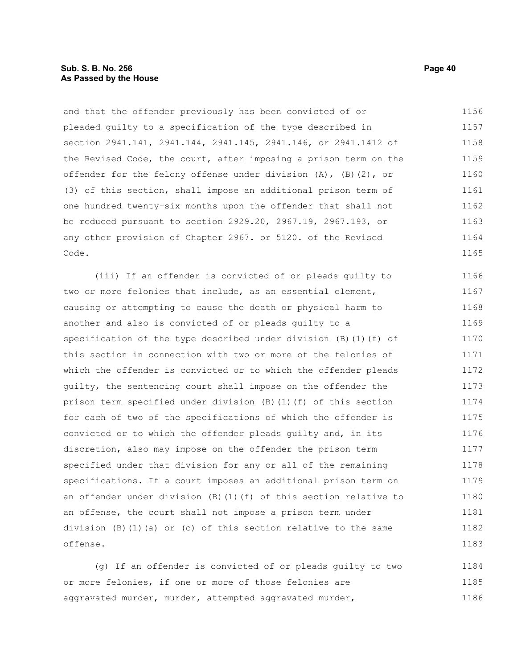and that the offender previously has been convicted of or pleaded guilty to a specification of the type described in section 2941.141, 2941.144, 2941.145, 2941.146, or 2941.1412 of the Revised Code, the court, after imposing a prison term on the offender for the felony offense under division  $(A)$ ,  $(B)$   $(2)$ , or (3) of this section, shall impose an additional prison term of one hundred twenty-six months upon the offender that shall not be reduced pursuant to section 2929.20, 2967.19, 2967.193, or any other provision of Chapter 2967. or 5120. of the Revised Code. 1156 1157 1158 1159 1160 1161 1162 1163 1164 1165

(iii) If an offender is convicted of or pleads guilty to two or more felonies that include, as an essential element, causing or attempting to cause the death or physical harm to another and also is convicted of or pleads guilty to a specification of the type described under division (B)(1)(f) of this section in connection with two or more of the felonies of which the offender is convicted or to which the offender pleads guilty, the sentencing court shall impose on the offender the prison term specified under division (B)(1)(f) of this section for each of two of the specifications of which the offender is convicted or to which the offender pleads guilty and, in its discretion, also may impose on the offender the prison term specified under that division for any or all of the remaining specifications. If a court imposes an additional prison term on an offender under division (B)(1)(f) of this section relative to an offense, the court shall not impose a prison term under division (B)(1)(a) or (c) of this section relative to the same offense. 1166 1167 1168 1169 1170 1171 1172 1173 1174 1175 1176 1177 1178 1179 1180 1181 1182 1183

(g) If an offender is convicted of or pleads guilty to two or more felonies, if one or more of those felonies are aggravated murder, murder, attempted aggravated murder, 1184 1185 1186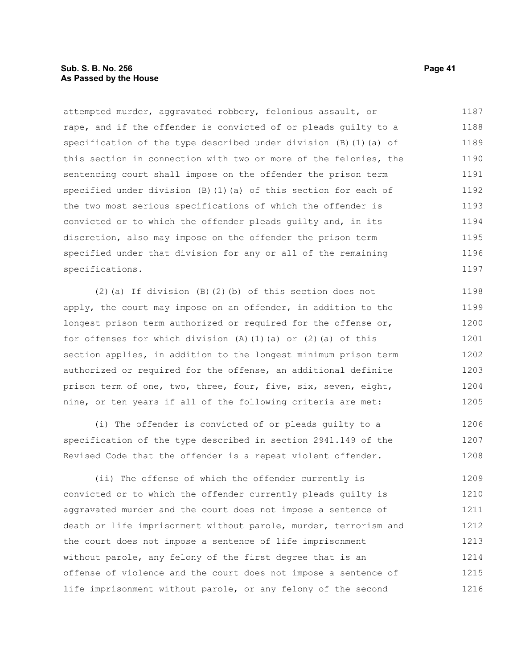# **Sub. S. B. No. 256 Page 41 As Passed by the House**

attempted murder, aggravated robbery, felonious assault, or rape, and if the offender is convicted of or pleads guilty to a specification of the type described under division  $(B)$  (1)(a) of this section in connection with two or more of the felonies, the sentencing court shall impose on the offender the prison term specified under division (B)(1)(a) of this section for each of the two most serious specifications of which the offender is convicted or to which the offender pleads guilty and, in its discretion, also may impose on the offender the prison term specified under that division for any or all of the remaining specifications. 1187 1188 1189 1190 1191 1192 1193 1194 1195 1196 1197

(2)(a) If division (B)(2)(b) of this section does not apply, the court may impose on an offender, in addition to the longest prison term authorized or required for the offense or, for offenses for which division  $(A)$   $(1)$   $(a)$  or  $(2)$   $(a)$  of this section applies, in addition to the longest minimum prison term authorized or required for the offense, an additional definite prison term of one, two, three, four, five, six, seven, eight, nine, or ten years if all of the following criteria are met: 1198 1199 1200 1201 1202 1203 1204 1205

(i) The offender is convicted of or pleads guilty to a specification of the type described in section 2941.149 of the Revised Code that the offender is a repeat violent offender. 1206 1207 1208

(ii) The offense of which the offender currently is convicted or to which the offender currently pleads guilty is aggravated murder and the court does not impose a sentence of death or life imprisonment without parole, murder, terrorism and the court does not impose a sentence of life imprisonment without parole, any felony of the first degree that is an offense of violence and the court does not impose a sentence of life imprisonment without parole, or any felony of the second 1209 1210 1211 1212 1213 1214 1215 1216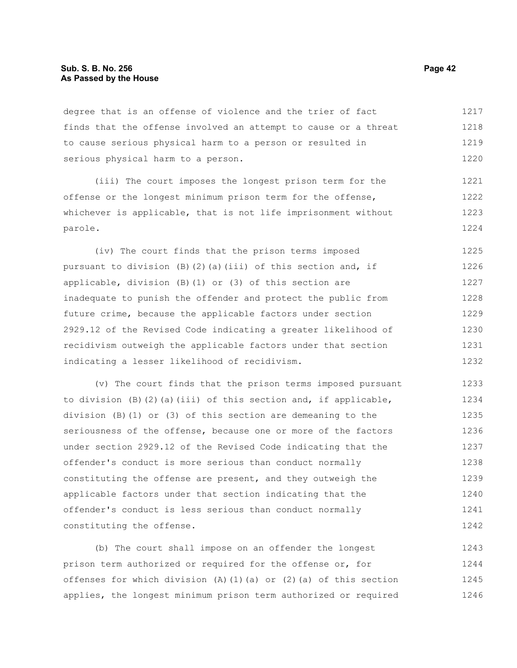degree that is an offense of violence and the trier of fact finds that the offense involved an attempt to cause or a threat to cause serious physical harm to a person or resulted in serious physical harm to a person. 1217 1218 1219 1220

(iii) The court imposes the longest prison term for the offense or the longest minimum prison term for the offense, whichever is applicable, that is not life imprisonment without parole. 1221 1222 1223 1224

(iv) The court finds that the prison terms imposed pursuant to division  $(B)(2)(a)(iii)$  of this section and, if applicable, division (B)(1) or (3) of this section are inadequate to punish the offender and protect the public from future crime, because the applicable factors under section 2929.12 of the Revised Code indicating a greater likelihood of recidivism outweigh the applicable factors under that section indicating a lesser likelihood of recidivism. 1225 1226 1227 1228 1229 1230 1231 1232

(v) The court finds that the prison terms imposed pursuant to division  $(B)$   $(2)$   $(a)$  (iii) of this section and, if applicable, division (B)(1) or (3) of this section are demeaning to the seriousness of the offense, because one or more of the factors under section 2929.12 of the Revised Code indicating that the offender's conduct is more serious than conduct normally constituting the offense are present, and they outweigh the applicable factors under that section indicating that the offender's conduct is less serious than conduct normally constituting the offense. 1233 1234 1235 1236 1237 1238 1239 1240 1241 1242

(b) The court shall impose on an offender the longest prison term authorized or required for the offense or, for offenses for which division  $(A)$   $(1)$   $(a)$  or  $(2)$   $(a)$  of this section applies, the longest minimum prison term authorized or required 1243 1244 1245 1246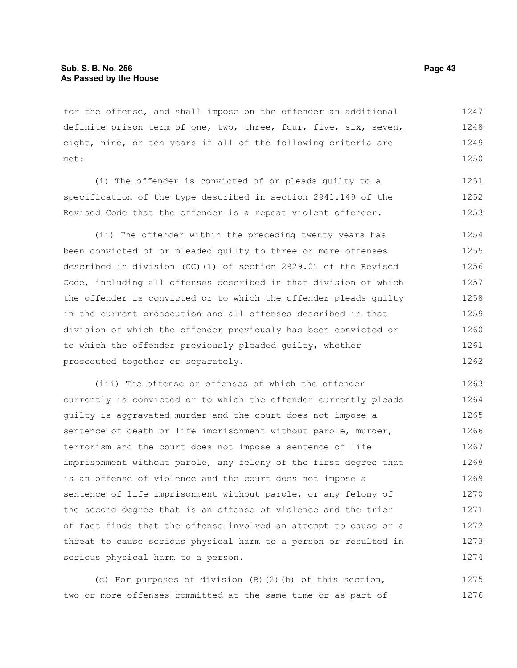for the offense, and shall impose on the offender an additional definite prison term of one, two, three, four, five, six, seven, eight, nine, or ten years if all of the following criteria are met: 1247 1248 1249 1250

(i) The offender is convicted of or pleads guilty to a specification of the type described in section 2941.149 of the Revised Code that the offender is a repeat violent offender. 1251 1252 1253

(ii) The offender within the preceding twenty years has been convicted of or pleaded guilty to three or more offenses described in division (CC)(1) of section 2929.01 of the Revised Code, including all offenses described in that division of which the offender is convicted or to which the offender pleads guilty in the current prosecution and all offenses described in that division of which the offender previously has been convicted or to which the offender previously pleaded guilty, whether prosecuted together or separately. 1254 1255 1256 1257 1258 1259 1260 1261 1262

(iii) The offense or offenses of which the offender currently is convicted or to which the offender currently pleads guilty is aggravated murder and the court does not impose a sentence of death or life imprisonment without parole, murder, terrorism and the court does not impose a sentence of life imprisonment without parole, any felony of the first degree that is an offense of violence and the court does not impose a sentence of life imprisonment without parole, or any felony of the second degree that is an offense of violence and the trier of fact finds that the offense involved an attempt to cause or a threat to cause serious physical harm to a person or resulted in serious physical harm to a person. 1263 1264 1265 1266 1267 1268 1269 1270 1271 1272 1273 1274

(c) For purposes of division (B)(2)(b) of this section, two or more offenses committed at the same time or as part of 1275 1276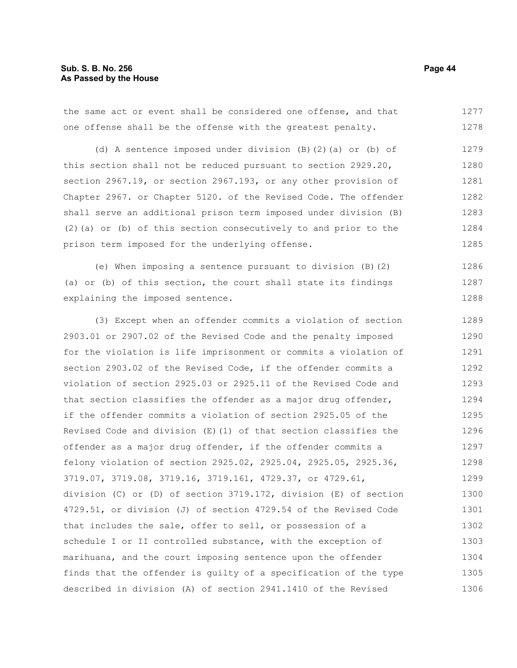the same act or event shall be considered one offense, and that one offense shall be the offense with the greatest penalty. 1277 1278

(d) A sentence imposed under division (B)(2)(a) or (b) of this section shall not be reduced pursuant to section 2929.20, section 2967.19, or section 2967.193, or any other provision of Chapter 2967. or Chapter 5120. of the Revised Code. The offender shall serve an additional prison term imposed under division (B) (2)(a) or (b) of this section consecutively to and prior to the prison term imposed for the underlying offense. 1279 1280 1281 1282 1283 1284 1285

(e) When imposing a sentence pursuant to division (B)(2) (a) or (b) of this section, the court shall state its findings explaining the imposed sentence. 1286 1287 1288

(3) Except when an offender commits a violation of section 2903.01 or 2907.02 of the Revised Code and the penalty imposed for the violation is life imprisonment or commits a violation of section 2903.02 of the Revised Code, if the offender commits a violation of section 2925.03 or 2925.11 of the Revised Code and that section classifies the offender as a major drug offender, if the offender commits a violation of section 2925.05 of the Revised Code and division  $(E)$  (1) of that section classifies the offender as a major drug offender, if the offender commits a felony violation of section 2925.02, 2925.04, 2925.05, 2925.36, 3719.07, 3719.08, 3719.16, 3719.161, 4729.37, or 4729.61, division (C) or (D) of section 3719.172, division (E) of section 4729.51, or division (J) of section 4729.54 of the Revised Code that includes the sale, offer to sell, or possession of a schedule I or II controlled substance, with the exception of marihuana, and the court imposing sentence upon the offender finds that the offender is guilty of a specification of the type described in division (A) of section 2941.1410 of the Revised 1289 1290 1291 1292 1293 1294 1295 1296 1297 1298 1299 1300 1301 1302 1303 1304 1305 1306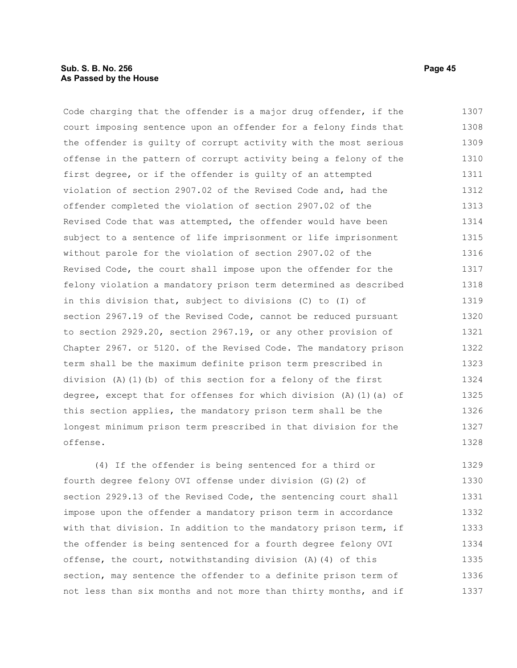## **Sub. S. B. No. 256 Page 45 As Passed by the House**

Code charging that the offender is a major drug offender, if the court imposing sentence upon an offender for a felony finds that the offender is guilty of corrupt activity with the most serious offense in the pattern of corrupt activity being a felony of the first degree, or if the offender is guilty of an attempted violation of section 2907.02 of the Revised Code and, had the offender completed the violation of section 2907.02 of the Revised Code that was attempted, the offender would have been subject to a sentence of life imprisonment or life imprisonment without parole for the violation of section 2907.02 of the Revised Code, the court shall impose upon the offender for the felony violation a mandatory prison term determined as described in this division that, subject to divisions (C) to (I) of section 2967.19 of the Revised Code, cannot be reduced pursuant to section 2929.20, section 2967.19, or any other provision of Chapter 2967. or 5120. of the Revised Code. The mandatory prison term shall be the maximum definite prison term prescribed in division (A)(1)(b) of this section for a felony of the first degree, except that for offenses for which division (A)(1)(a) of this section applies, the mandatory prison term shall be the longest minimum prison term prescribed in that division for the offense. 1307 1308 1309 1310 1311 1312 1313 1314 1315 1316 1317 1318 1319 1320 1321 1322 1323 1324 1325 1326 1327 1328

(4) If the offender is being sentenced for a third or fourth degree felony OVI offense under division (G)(2) of section 2929.13 of the Revised Code, the sentencing court shall impose upon the offender a mandatory prison term in accordance with that division. In addition to the mandatory prison term, if the offender is being sentenced for a fourth degree felony OVI offense, the court, notwithstanding division (A)(4) of this section, may sentence the offender to a definite prison term of not less than six months and not more than thirty months, and if 1329 1330 1331 1332 1333 1334 1335 1336 1337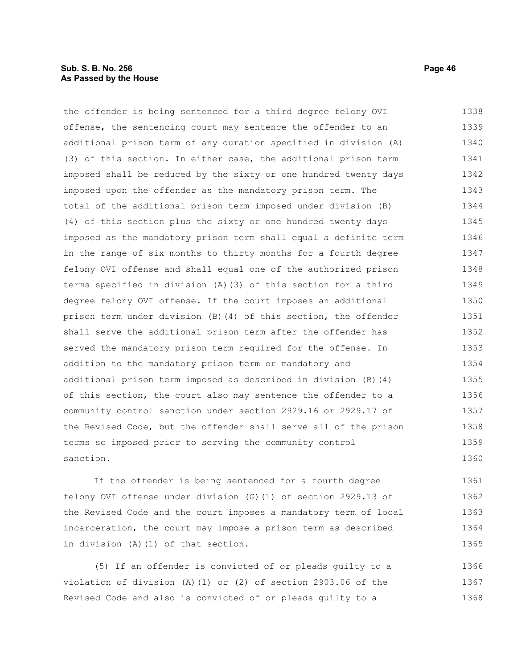## **Sub. S. B. No. 256 Page 46 As Passed by the House**

the offender is being sentenced for a third degree felony OVI offense, the sentencing court may sentence the offender to an additional prison term of any duration specified in division (A) (3) of this section. In either case, the additional prison term imposed shall be reduced by the sixty or one hundred twenty days imposed upon the offender as the mandatory prison term. The total of the additional prison term imposed under division (B) (4) of this section plus the sixty or one hundred twenty days imposed as the mandatory prison term shall equal a definite term in the range of six months to thirty months for a fourth degree felony OVI offense and shall equal one of the authorized prison terms specified in division (A)(3) of this section for a third degree felony OVI offense. If the court imposes an additional prison term under division (B)(4) of this section, the offender shall serve the additional prison term after the offender has served the mandatory prison term required for the offense. In addition to the mandatory prison term or mandatory and additional prison term imposed as described in division (B)(4) of this section, the court also may sentence the offender to a community control sanction under section 2929.16 or 2929.17 of the Revised Code, but the offender shall serve all of the prison terms so imposed prior to serving the community control sanction. 1338 1339 1340 1341 1342 1343 1344 1345 1346 1347 1348 1349 1350 1351 1352 1353 1354 1355 1356 1357 1358 1359 1360

If the offender is being sentenced for a fourth degree felony OVI offense under division (G)(1) of section 2929.13 of the Revised Code and the court imposes a mandatory term of local incarceration, the court may impose a prison term as described in division (A)(1) of that section. 1361 1362 1363 1364 1365

(5) If an offender is convicted of or pleads guilty to a violation of division (A)(1) or (2) of section 2903.06 of the Revised Code and also is convicted of or pleads guilty to a 1366 1367 1368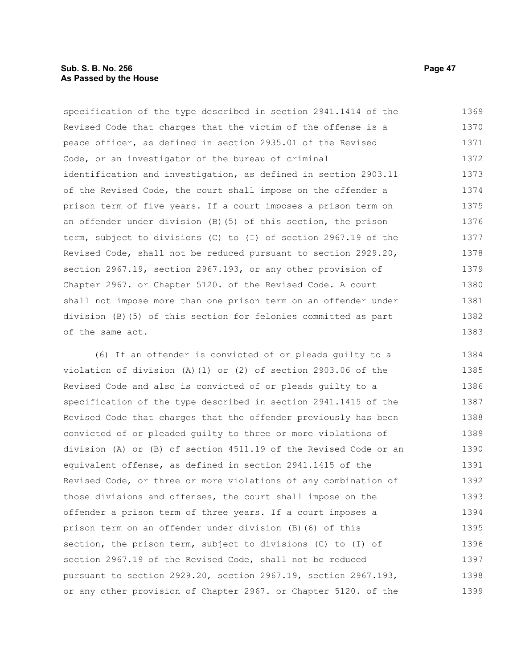specification of the type described in section 2941.1414 of the Revised Code that charges that the victim of the offense is a peace officer, as defined in section 2935.01 of the Revised Code, or an investigator of the bureau of criminal identification and investigation, as defined in section 2903.11 of the Revised Code, the court shall impose on the offender a prison term of five years. If a court imposes a prison term on an offender under division (B)(5) of this section, the prison term, subject to divisions (C) to (I) of section 2967.19 of the Revised Code, shall not be reduced pursuant to section 2929.20, section 2967.19, section 2967.193, or any other provision of Chapter 2967. or Chapter 5120. of the Revised Code. A court shall not impose more than one prison term on an offender under division (B)(5) of this section for felonies committed as part of the same act. 1369 1370 1371 1372 1373 1374 1375 1376 1377 1378 1379 1380 1381 1382 1383

(6) If an offender is convicted of or pleads guilty to a violation of division (A)(1) or (2) of section 2903.06 of the Revised Code and also is convicted of or pleads guilty to a specification of the type described in section 2941.1415 of the Revised Code that charges that the offender previously has been convicted of or pleaded guilty to three or more violations of division (A) or (B) of section 4511.19 of the Revised Code or an equivalent offense, as defined in section 2941.1415 of the Revised Code, or three or more violations of any combination of those divisions and offenses, the court shall impose on the offender a prison term of three years. If a court imposes a prison term on an offender under division (B)(6) of this section, the prison term, subject to divisions (C) to (I) of section 2967.19 of the Revised Code, shall not be reduced pursuant to section 2929.20, section 2967.19, section 2967.193, or any other provision of Chapter 2967. or Chapter 5120. of the 1384 1385 1386 1387 1388 1389 1390 1391 1392 1393 1394 1395 1396 1397 1398 1399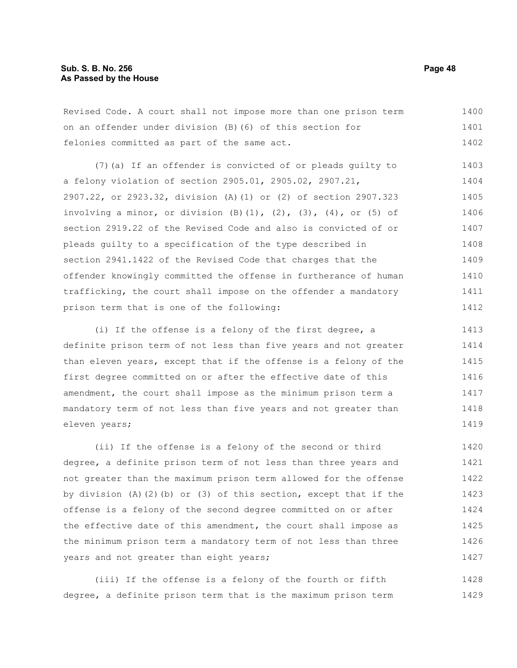Revised Code. A court shall not impose more than one prison term on an offender under division (B)(6) of this section for felonies committed as part of the same act. 1400 1401 1402

(7)(a) If an offender is convicted of or pleads guilty to a felony violation of section 2905.01, 2905.02, 2907.21, 2907.22, or 2923.32, division (A)(1) or (2) of section 2907.323 involving a minor, or division  $(B)(1)$ ,  $(2)$ ,  $(3)$ ,  $(4)$ , or  $(5)$  of section 2919.22 of the Revised Code and also is convicted of or pleads guilty to a specification of the type described in section 2941.1422 of the Revised Code that charges that the offender knowingly committed the offense in furtherance of human trafficking, the court shall impose on the offender a mandatory prison term that is one of the following: 1403 1404 1405 1406 1407 1408 1409 1410 1411 1412

(i) If the offense is a felony of the first degree, a definite prison term of not less than five years and not greater than eleven years, except that if the offense is a felony of the first degree committed on or after the effective date of this amendment, the court shall impose as the minimum prison term a mandatory term of not less than five years and not greater than eleven years; 1413 1414 1415 1416 1417 1418 1419

(ii) If the offense is a felony of the second or third degree, a definite prison term of not less than three years and not greater than the maximum prison term allowed for the offense by division  $(A)$   $(2)$   $(b)$  or  $(3)$  of this section, except that if the offense is a felony of the second degree committed on or after the effective date of this amendment, the court shall impose as the minimum prison term a mandatory term of not less than three years and not greater than eight years; 1420 1421 1422 1423 1424 1425 1426 1427

(iii) If the offense is a felony of the fourth or fifth degree, a definite prison term that is the maximum prison term 1428 1429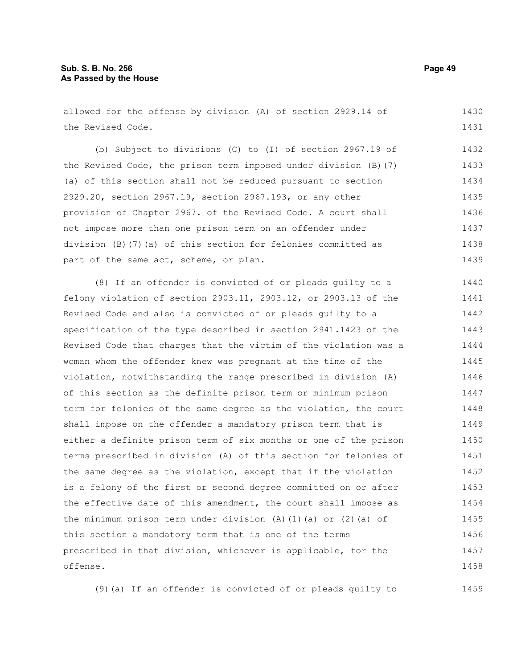allowed for the offense by division (A) of section 2929.14 of the Revised Code. 1430 1431

(b) Subject to divisions (C) to (I) of section 2967.19 of the Revised Code, the prison term imposed under division (B)(7) (a) of this section shall not be reduced pursuant to section 2929.20, section 2967.19, section 2967.193, or any other provision of Chapter 2967. of the Revised Code. A court shall not impose more than one prison term on an offender under division (B)(7)(a) of this section for felonies committed as part of the same act, scheme, or plan. 1432 1433 1434 1435 1436 1437 1438 1439

(8) If an offender is convicted of or pleads guilty to a felony violation of section 2903.11, 2903.12, or 2903.13 of the Revised Code and also is convicted of or pleads guilty to a specification of the type described in section 2941.1423 of the Revised Code that charges that the victim of the violation was a woman whom the offender knew was pregnant at the time of the violation, notwithstanding the range prescribed in division (A) of this section as the definite prison term or minimum prison term for felonies of the same degree as the violation, the court shall impose on the offender a mandatory prison term that is either a definite prison term of six months or one of the prison terms prescribed in division (A) of this section for felonies of the same degree as the violation, except that if the violation is a felony of the first or second degree committed on or after the effective date of this amendment, the court shall impose as the minimum prison term under division (A)(1)(a) or (2)(a) of this section a mandatory term that is one of the terms prescribed in that division, whichever is applicable, for the offense. 1440 1441 1442 1443 1444 1445 1446 1447 1448 1449 1450 1451 1452 1453 1454 1455 1456 1457 1458

(9)(a) If an offender is convicted of or pleads guilty to

1459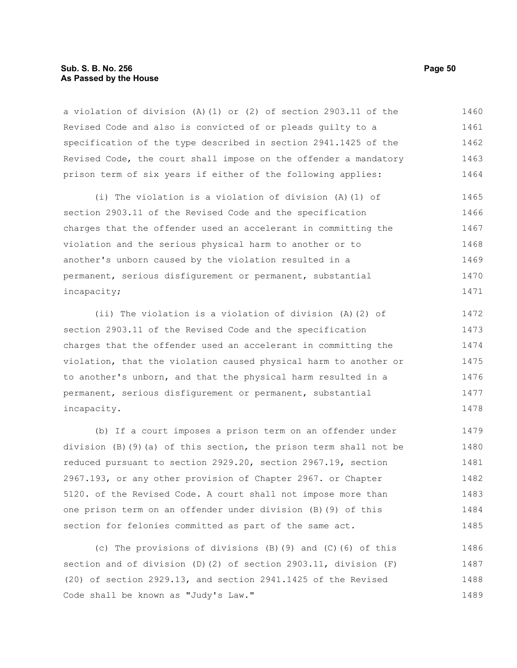### **Sub. S. B. No. 256 Page 50 As Passed by the House**

a violation of division (A)(1) or (2) of section 2903.11 of the Revised Code and also is convicted of or pleads guilty to a specification of the type described in section 2941.1425 of the Revised Code, the court shall impose on the offender a mandatory prison term of six years if either of the following applies: 1460 1461 1462 1463 1464

(i) The violation is a violation of division (A)(1) of section 2903.11 of the Revised Code and the specification charges that the offender used an accelerant in committing the violation and the serious physical harm to another or to another's unborn caused by the violation resulted in a permanent, serious disfigurement or permanent, substantial incapacity; 1465 1466 1467 1468 1469 1470 1471

(ii) The violation is a violation of division (A)(2) of section 2903.11 of the Revised Code and the specification charges that the offender used an accelerant in committing the violation, that the violation caused physical harm to another or to another's unborn, and that the physical harm resulted in a permanent, serious disfigurement or permanent, substantial incapacity. 1472 1473 1474 1475 1476 1477 1478

(b) If a court imposes a prison term on an offender under division (B)(9)(a) of this section, the prison term shall not be reduced pursuant to section 2929.20, section 2967.19, section 2967.193, or any other provision of Chapter 2967. or Chapter 5120. of the Revised Code. A court shall not impose more than one prison term on an offender under division (B)(9) of this section for felonies committed as part of the same act. 1479 1480 1481 1482 1483 1484 1485

(c) The provisions of divisions (B)(9) and (C)(6) of this section and of division (D)(2) of section 2903.11, division (F) (20) of section 2929.13, and section 2941.1425 of the Revised Code shall be known as "Judy's Law." 1486 1487 1488 1489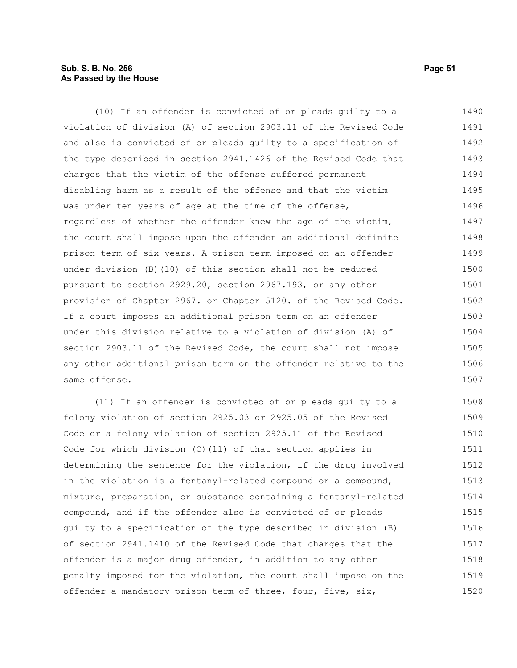# **Sub. S. B. No. 256 Page 51 As Passed by the House**

(10) If an offender is convicted of or pleads guilty to a violation of division (A) of section 2903.11 of the Revised Code and also is convicted of or pleads guilty to a specification of the type described in section 2941.1426 of the Revised Code that charges that the victim of the offense suffered permanent disabling harm as a result of the offense and that the victim was under ten years of age at the time of the offense, regardless of whether the offender knew the age of the victim, the court shall impose upon the offender an additional definite prison term of six years. A prison term imposed on an offender under division (B)(10) of this section shall not be reduced pursuant to section 2929.20, section 2967.193, or any other provision of Chapter 2967. or Chapter 5120. of the Revised Code. If a court imposes an additional prison term on an offender under this division relative to a violation of division (A) of section 2903.11 of the Revised Code, the court shall not impose any other additional prison term on the offender relative to the same offense. 1490 1491 1492 1493 1494 1495 1496 1497 1498 1499 1500 1501 1502 1503 1504 1505 1506 1507

(11) If an offender is convicted of or pleads guilty to a felony violation of section 2925.03 or 2925.05 of the Revised Code or a felony violation of section 2925.11 of the Revised Code for which division (C)(11) of that section applies in determining the sentence for the violation, if the drug involved in the violation is a fentanyl-related compound or a compound, mixture, preparation, or substance containing a fentanyl-related compound, and if the offender also is convicted of or pleads guilty to a specification of the type described in division (B) of section 2941.1410 of the Revised Code that charges that the offender is a major drug offender, in addition to any other penalty imposed for the violation, the court shall impose on the offender a mandatory prison term of three, four, five, six, 1508 1509 1510 1511 1512 1513 1514 1515 1516 1517 1518 1519 1520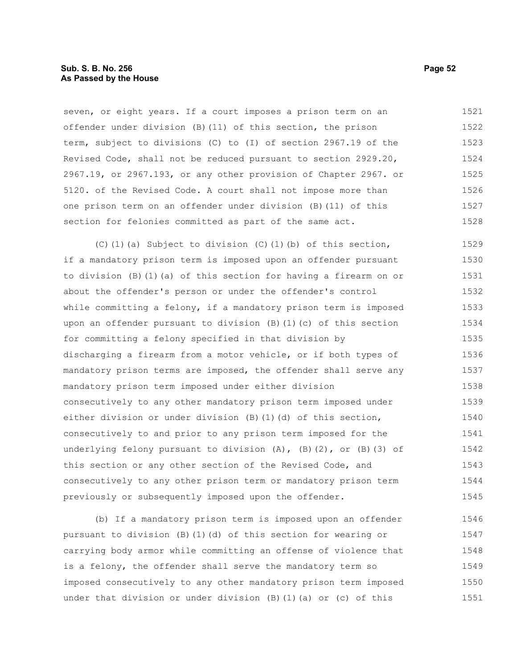seven, or eight years. If a court imposes a prison term on an offender under division (B)(11) of this section, the prison term, subject to divisions (C) to (I) of section 2967.19 of the Revised Code, shall not be reduced pursuant to section 2929.20, 2967.19, or 2967.193, or any other provision of Chapter 2967. or 5120. of the Revised Code. A court shall not impose more than one prison term on an offender under division (B)(11) of this section for felonies committed as part of the same act. 1521 1522 1523 1524 1525 1526 1527 1528

(C)(1)(a) Subject to division (C)(1)(b) of this section, if a mandatory prison term is imposed upon an offender pursuant to division (B)(1)(a) of this section for having a firearm on or about the offender's person or under the offender's control while committing a felony, if a mandatory prison term is imposed upon an offender pursuant to division (B)(1)(c) of this section for committing a felony specified in that division by discharging a firearm from a motor vehicle, or if both types of mandatory prison terms are imposed, the offender shall serve any mandatory prison term imposed under either division consecutively to any other mandatory prison term imposed under either division or under division (B)(1)(d) of this section, consecutively to and prior to any prison term imposed for the underlying felony pursuant to division  $(A)$ ,  $(B)$   $(2)$ , or  $(B)$   $(3)$  of this section or any other section of the Revised Code, and consecutively to any other prison term or mandatory prison term previously or subsequently imposed upon the offender. 1529 1530 1531 1532 1533 1534 1535 1536 1537 1538 1539 1540 1541 1542 1543 1544 1545

(b) If a mandatory prison term is imposed upon an offender pursuant to division (B)(1)(d) of this section for wearing or carrying body armor while committing an offense of violence that is a felony, the offender shall serve the mandatory term so imposed consecutively to any other mandatory prison term imposed under that division or under division (B)(1)(a) or (c) of this 1546 1547 1548 1549 1550 1551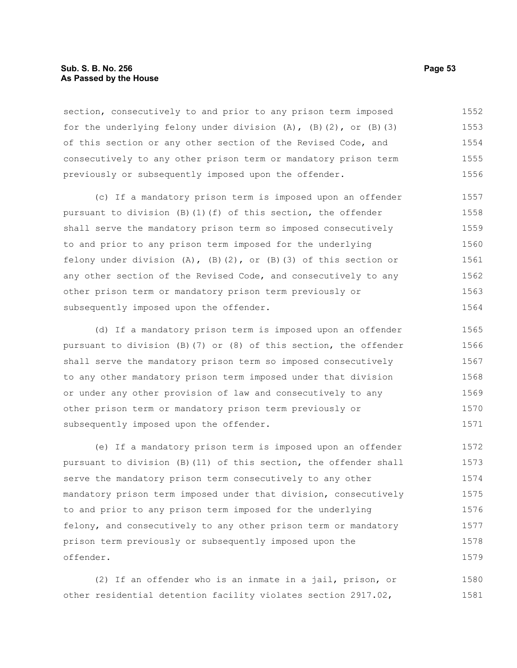## **Sub. S. B. No. 256 Page 53 As Passed by the House**

section, consecutively to and prior to any prison term imposed for the underlying felony under division  $(A)$ ,  $(B)$   $(2)$ , or  $(B)$   $(3)$ of this section or any other section of the Revised Code, and consecutively to any other prison term or mandatory prison term previously or subsequently imposed upon the offender. 1552 1553 1554 1555 1556

(c) If a mandatory prison term is imposed upon an offender pursuant to division  $(B)(1)(f)$  of this section, the offender shall serve the mandatory prison term so imposed consecutively to and prior to any prison term imposed for the underlying felony under division  $(A)$ ,  $(B)$   $(2)$ , or  $(B)$   $(3)$  of this section or any other section of the Revised Code, and consecutively to any other prison term or mandatory prison term previously or subsequently imposed upon the offender. 1557 1558 1559 1560 1561 1562 1563 1564

(d) If a mandatory prison term is imposed upon an offender pursuant to division (B)(7) or (8) of this section, the offender shall serve the mandatory prison term so imposed consecutively to any other mandatory prison term imposed under that division or under any other provision of law and consecutively to any other prison term or mandatory prison term previously or subsequently imposed upon the offender. 1565 1566 1567 1568 1569 1570 1571

(e) If a mandatory prison term is imposed upon an offender pursuant to division (B)(11) of this section, the offender shall serve the mandatory prison term consecutively to any other mandatory prison term imposed under that division, consecutively to and prior to any prison term imposed for the underlying felony, and consecutively to any other prison term or mandatory prison term previously or subsequently imposed upon the offender. 1572 1573 1574 1575 1576 1577 1578 1579

(2) If an offender who is an inmate in a jail, prison, or other residential detention facility violates section 2917.02, 1580 1581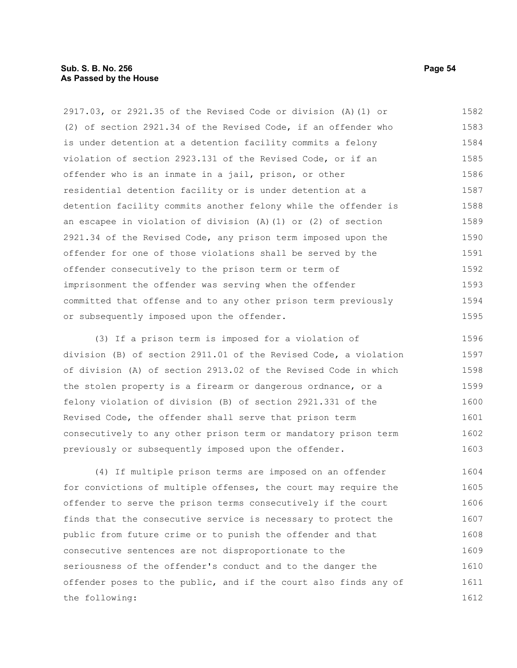2917.03, or 2921.35 of the Revised Code or division (A)(1) or (2) of section 2921.34 of the Revised Code, if an offender who is under detention at a detention facility commits a felony violation of section 2923.131 of the Revised Code, or if an offender who is an inmate in a jail, prison, or other residential detention facility or is under detention at a detention facility commits another felony while the offender is an escapee in violation of division (A)(1) or (2) of section 2921.34 of the Revised Code, any prison term imposed upon the offender for one of those violations shall be served by the offender consecutively to the prison term or term of imprisonment the offender was serving when the offender committed that offense and to any other prison term previously or subsequently imposed upon the offender. 1582 1583 1584 1585 1586 1587 1588 1589 1590 1591 1592 1593 1594 1595

(3) If a prison term is imposed for a violation of division (B) of section 2911.01 of the Revised Code, a violation of division (A) of section 2913.02 of the Revised Code in which the stolen property is a firearm or dangerous ordnance, or a felony violation of division (B) of section 2921.331 of the Revised Code, the offender shall serve that prison term consecutively to any other prison term or mandatory prison term previously or subsequently imposed upon the offender. 1596 1597 1598 1599 1600 1601 1602 1603

(4) If multiple prison terms are imposed on an offender for convictions of multiple offenses, the court may require the offender to serve the prison terms consecutively if the court finds that the consecutive service is necessary to protect the public from future crime or to punish the offender and that consecutive sentences are not disproportionate to the seriousness of the offender's conduct and to the danger the offender poses to the public, and if the court also finds any of the following: 1604 1605 1606 1607 1608 1609 1610 1611 1612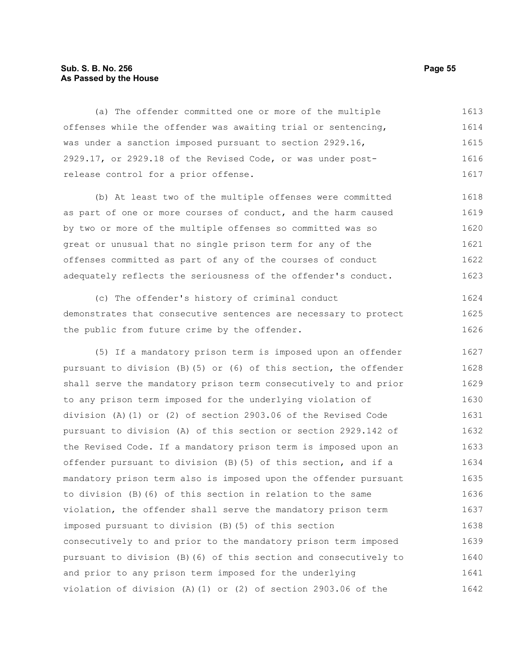# **Sub. S. B. No. 256 Page 55 As Passed by the House**

(a) The offender committed one or more of the multiple offenses while the offender was awaiting trial or sentencing, was under a sanction imposed pursuant to section 2929.16, 2929.17, or 2929.18 of the Revised Code, or was under postrelease control for a prior offense. 1613 1614 1615 1616 1617

(b) At least two of the multiple offenses were committed as part of one or more courses of conduct, and the harm caused by two or more of the multiple offenses so committed was so great or unusual that no single prison term for any of the offenses committed as part of any of the courses of conduct adequately reflects the seriousness of the offender's conduct. 1618 1619 1620 1621 1622 1623

(c) The offender's history of criminal conduct demonstrates that consecutive sentences are necessary to protect the public from future crime by the offender. 1624 1625 1626

(5) If a mandatory prison term is imposed upon an offender pursuant to division (B)(5) or (6) of this section, the offender shall serve the mandatory prison term consecutively to and prior to any prison term imposed for the underlying violation of division (A)(1) or (2) of section 2903.06 of the Revised Code pursuant to division (A) of this section or section 2929.142 of the Revised Code. If a mandatory prison term is imposed upon an offender pursuant to division (B)(5) of this section, and if a mandatory prison term also is imposed upon the offender pursuant to division (B)(6) of this section in relation to the same violation, the offender shall serve the mandatory prison term imposed pursuant to division (B)(5) of this section consecutively to and prior to the mandatory prison term imposed pursuant to division (B)(6) of this section and consecutively to and prior to any prison term imposed for the underlying violation of division (A)(1) or (2) of section 2903.06 of the 1627 1628 1629 1630 1631 1632 1633 1634 1635 1636 1637 1638 1639 1640 1641 1642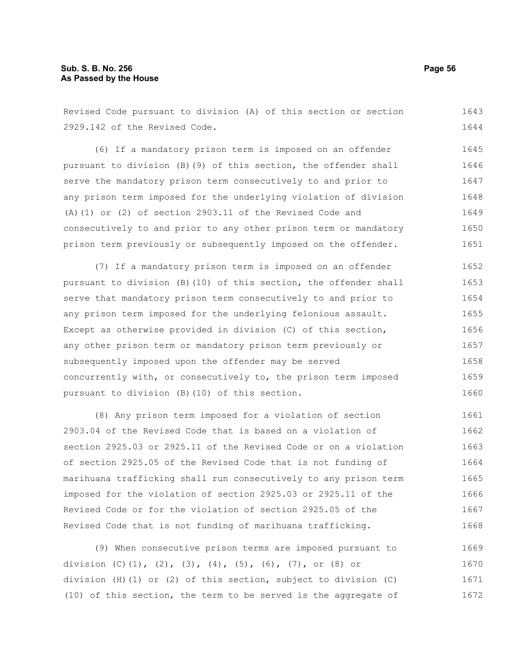Revised Code pursuant to division (A) of this section or section 2929.142 of the Revised Code. 1643 1644

(6) If a mandatory prison term is imposed on an offender pursuant to division (B)(9) of this section, the offender shall serve the mandatory prison term consecutively to and prior to any prison term imposed for the underlying violation of division (A)(1) or (2) of section 2903.11 of the Revised Code and consecutively to and prior to any other prison term or mandatory prison term previously or subsequently imposed on the offender. 1645 1646 1647 1648 1649 1650 1651

(7) If a mandatory prison term is imposed on an offender pursuant to division (B)(10) of this section, the offender shall serve that mandatory prison term consecutively to and prior to any prison term imposed for the underlying felonious assault. Except as otherwise provided in division (C) of this section, any other prison term or mandatory prison term previously or subsequently imposed upon the offender may be served concurrently with, or consecutively to, the prison term imposed pursuant to division (B)(10) of this section. 1652 1653 1654 1655 1656 1657 1658 1659 1660

(8) Any prison term imposed for a violation of section 2903.04 of the Revised Code that is based on a violation of section 2925.03 or 2925.11 of the Revised Code or on a violation of section 2925.05 of the Revised Code that is not funding of marihuana trafficking shall run consecutively to any prison term imposed for the violation of section 2925.03 or 2925.11 of the Revised Code or for the violation of section 2925.05 of the Revised Code that is not funding of marihuana trafficking. 1661 1662 1663 1664 1665 1666 1667 1668

(9) When consecutive prison terms are imposed pursuant to division (C)(1), (2), (3), (4), (5), (6), (7), or (8) or division (H)(1) or (2) of this section, subject to division (C) (10) of this section, the term to be served is the aggregate of 1669 1670 1671 1672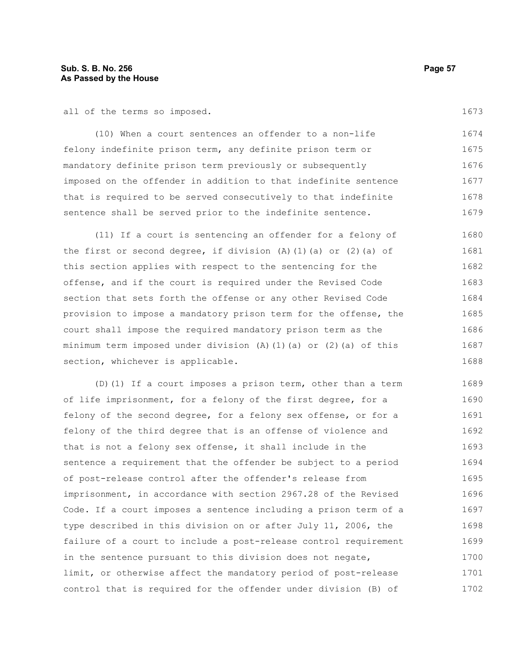all of the terms so imposed.

(10) When a court sentences an offender to a non-life felony indefinite prison term, any definite prison term or mandatory definite prison term previously or subsequently imposed on the offender in addition to that indefinite sentence that is required to be served consecutively to that indefinite sentence shall be served prior to the indefinite sentence. 1674 1675 1676 1677 1678 1679

(11) If a court is sentencing an offender for a felony of the first or second degree, if division (A)(1)(a) or (2)(a) of this section applies with respect to the sentencing for the offense, and if the court is required under the Revised Code section that sets forth the offense or any other Revised Code provision to impose a mandatory prison term for the offense, the court shall impose the required mandatory prison term as the minimum term imposed under division  $(A)$   $(1)$   $(a)$  or  $(2)$   $(a)$  of this section, whichever is applicable. 1680 1681 1682 1683 1684 1685 1686 1687 1688

(D)(1) If a court imposes a prison term, other than a term of life imprisonment, for a felony of the first degree, for a felony of the second degree, for a felony sex offense, or for a felony of the third degree that is an offense of violence and that is not a felony sex offense, it shall include in the sentence a requirement that the offender be subject to a period of post-release control after the offender's release from imprisonment, in accordance with section 2967.28 of the Revised Code. If a court imposes a sentence including a prison term of a type described in this division on or after July 11, 2006, the failure of a court to include a post-release control requirement in the sentence pursuant to this division does not negate, limit, or otherwise affect the mandatory period of post-release control that is required for the offender under division (B) of 1689 1690 1691 1692 1693 1694 1695 1696 1697 1698 1699 1700 1701 1702

1673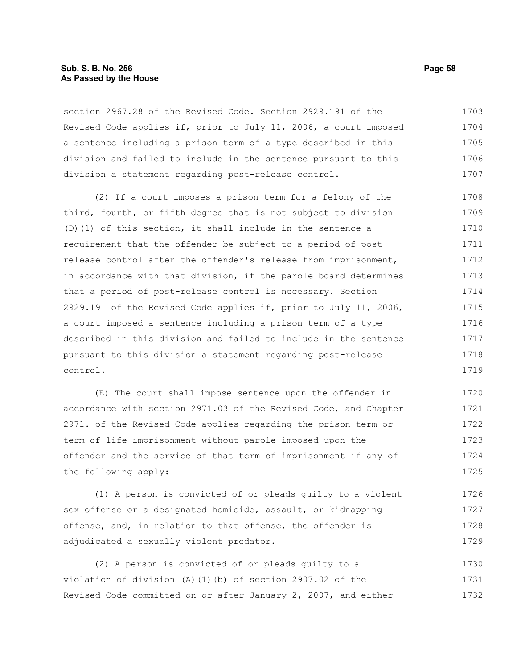### **Sub. S. B. No. 256 Page 58 As Passed by the House**

section 2967.28 of the Revised Code. Section 2929.191 of the Revised Code applies if, prior to July 11, 2006, a court imposed a sentence including a prison term of a type described in this division and failed to include in the sentence pursuant to this division a statement regarding post-release control. 1703 1704 1705 1706 1707

(2) If a court imposes a prison term for a felony of the third, fourth, or fifth degree that is not subject to division (D)(1) of this section, it shall include in the sentence a requirement that the offender be subject to a period of postrelease control after the offender's release from imprisonment, in accordance with that division, if the parole board determines that a period of post-release control is necessary. Section 2929.191 of the Revised Code applies if, prior to July 11, 2006, a court imposed a sentence including a prison term of a type described in this division and failed to include in the sentence pursuant to this division a statement regarding post-release control. 1708 1709 1710 1711 1712 1713 1714 1715 1716 1717 1718 1719

(E) The court shall impose sentence upon the offender in accordance with section 2971.03 of the Revised Code, and Chapter 2971. of the Revised Code applies regarding the prison term or term of life imprisonment without parole imposed upon the offender and the service of that term of imprisonment if any of the following apply: 1720 1721 1722 1723 1724 1725

(1) A person is convicted of or pleads guilty to a violent sex offense or a designated homicide, assault, or kidnapping offense, and, in relation to that offense, the offender is adjudicated a sexually violent predator. 1726 1727 1728 1729

(2) A person is convicted of or pleads guilty to a violation of division (A)(1)(b) of section 2907.02 of the Revised Code committed on or after January 2, 2007, and either 1730 1731 1732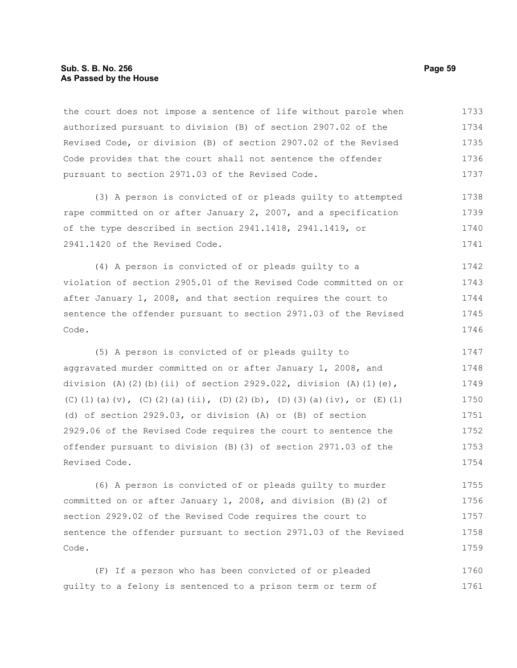### **Sub. S. B. No. 256 Page 59 As Passed by the House**

the court does not impose a sentence of life without parole when authorized pursuant to division (B) of section 2907.02 of the Revised Code, or division (B) of section 2907.02 of the Revised Code provides that the court shall not sentence the offender pursuant to section 2971.03 of the Revised Code. 1733 1734 1735 1736 1737

(3) A person is convicted of or pleads guilty to attempted rape committed on or after January 2, 2007, and a specification of the type described in section 2941.1418, 2941.1419, or 2941.1420 of the Revised Code. 1738 1739 1740 1741

(4) A person is convicted of or pleads guilty to a violation of section 2905.01 of the Revised Code committed on or after January 1, 2008, and that section requires the court to sentence the offender pursuant to section 2971.03 of the Revised Code. 1742 1743 1744 1745 1746

(5) A person is convicted of or pleads guilty to aggravated murder committed on or after January 1, 2008, and division (A)(2)(b)(ii) of section 2929.022, division (A)(1)(e), (C)(1)(a)(v), (C)(2)(a)(ii), (D)(2)(b), (D)(3)(a)(iv), or (E)(1) (d) of section 2929.03, or division (A) or (B) of section 2929.06 of the Revised Code requires the court to sentence the offender pursuant to division (B)(3) of section 2971.03 of the Revised Code. 1747 1748 1749 1750 1751 1752 1753 1754

(6) A person is convicted of or pleads guilty to murder committed on or after January 1, 2008, and division (B)(2) of section 2929.02 of the Revised Code requires the court to sentence the offender pursuant to section 2971.03 of the Revised Code. 1755 1756 1757 1758 1759

(F) If a person who has been convicted of or pleaded guilty to a felony is sentenced to a prison term or term of 1760 1761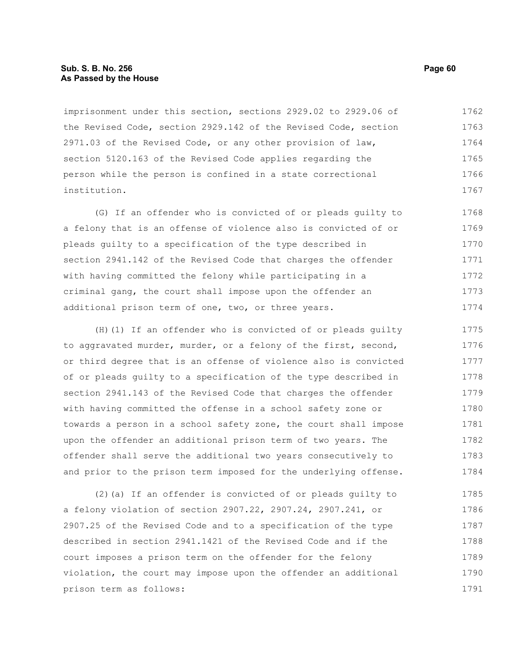# **Sub. S. B. No. 256 Page 60 As Passed by the House**

imprisonment under this section, sections 2929.02 to 2929.06 of the Revised Code, section 2929.142 of the Revised Code, section 2971.03 of the Revised Code, or any other provision of law, section 5120.163 of the Revised Code applies regarding the person while the person is confined in a state correctional institution. 1762 1763 1764 1765 1766 1767

(G) If an offender who is convicted of or pleads guilty to a felony that is an offense of violence also is convicted of or pleads guilty to a specification of the type described in section 2941.142 of the Revised Code that charges the offender with having committed the felony while participating in a criminal gang, the court shall impose upon the offender an additional prison term of one, two, or three years. 1768 1769 1770 1771 1772 1773 1774

(H)(1) If an offender who is convicted of or pleads guilty to aggravated murder, murder, or a felony of the first, second, or third degree that is an offense of violence also is convicted of or pleads guilty to a specification of the type described in section 2941.143 of the Revised Code that charges the offender with having committed the offense in a school safety zone or towards a person in a school safety zone, the court shall impose upon the offender an additional prison term of two years. The offender shall serve the additional two years consecutively to and prior to the prison term imposed for the underlying offense. 1775 1776 1777 1778 1779 1780 1781 1782 1783 1784

(2)(a) If an offender is convicted of or pleads guilty to a felony violation of section 2907.22, 2907.24, 2907.241, or 2907.25 of the Revised Code and to a specification of the type described in section 2941.1421 of the Revised Code and if the court imposes a prison term on the offender for the felony violation, the court may impose upon the offender an additional prison term as follows: 1785 1786 1787 1788 1789 1790 1791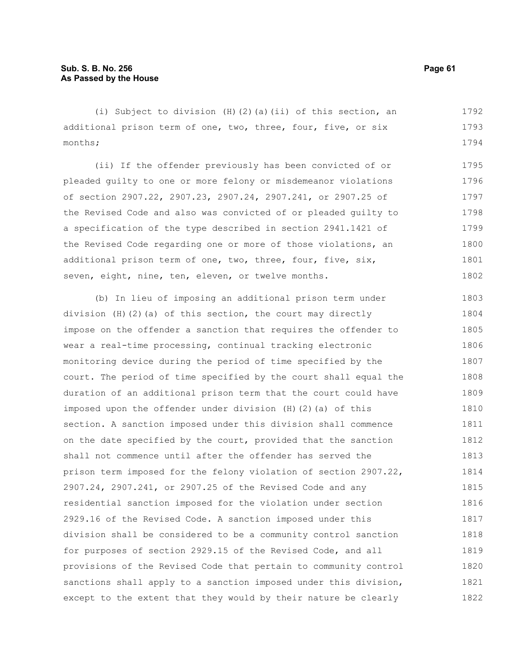(i) Subject to division (H)(2)(a)(ii) of this section, an additional prison term of one, two, three, four, five, or six months; 1792 1793 1794

(ii) If the offender previously has been convicted of or pleaded guilty to one or more felony or misdemeanor violations of section 2907.22, 2907.23, 2907.24, 2907.241, or 2907.25 of the Revised Code and also was convicted of or pleaded guilty to a specification of the type described in section 2941.1421 of the Revised Code regarding one or more of those violations, an additional prison term of one, two, three, four, five, six, seven, eight, nine, ten, eleven, or twelve months. 1795 1796 1797 1798 1799 1800 1801 1802

(b) In lieu of imposing an additional prison term under division  $(H)(2)(a)$  of this section, the court may directly impose on the offender a sanction that requires the offender to wear a real-time processing, continual tracking electronic monitoring device during the period of time specified by the court. The period of time specified by the court shall equal the duration of an additional prison term that the court could have imposed upon the offender under division (H)(2)(a) of this section. A sanction imposed under this division shall commence on the date specified by the court, provided that the sanction shall not commence until after the offender has served the prison term imposed for the felony violation of section 2907.22, 2907.24, 2907.241, or 2907.25 of the Revised Code and any residential sanction imposed for the violation under section 2929.16 of the Revised Code. A sanction imposed under this division shall be considered to be a community control sanction for purposes of section 2929.15 of the Revised Code, and all provisions of the Revised Code that pertain to community control sanctions shall apply to a sanction imposed under this division, except to the extent that they would by their nature be clearly 1803 1804 1805 1806 1807 1808 1809 1810 1811 1812 1813 1814 1815 1816 1817 1818 1819 1820 1821 1822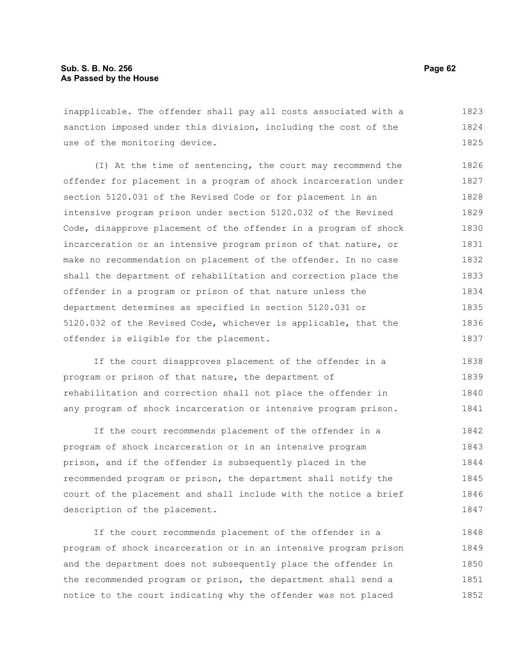inapplicable. The offender shall pay all costs associated with a sanction imposed under this division, including the cost of the use of the monitoring device. 1823 1824 1825

(I) At the time of sentencing, the court may recommend the offender for placement in a program of shock incarceration under section 5120.031 of the Revised Code or for placement in an intensive program prison under section 5120.032 of the Revised Code, disapprove placement of the offender in a program of shock incarceration or an intensive program prison of that nature, or make no recommendation on placement of the offender. In no case shall the department of rehabilitation and correction place the offender in a program or prison of that nature unless the department determines as specified in section 5120.031 or 5120.032 of the Revised Code, whichever is applicable, that the offender is eligible for the placement. 1826 1827 1828 1829 1830 1831 1832 1833 1834 1835 1836 1837

If the court disapproves placement of the offender in a program or prison of that nature, the department of rehabilitation and correction shall not place the offender in any program of shock incarceration or intensive program prison. 1838 1839 1840 1841

If the court recommends placement of the offender in a program of shock incarceration or in an intensive program prison, and if the offender is subsequently placed in the recommended program or prison, the department shall notify the court of the placement and shall include with the notice a brief description of the placement. 1842 1843 1844 1845 1846 1847

If the court recommends placement of the offender in a program of shock incarceration or in an intensive program prison and the department does not subsequently place the offender in the recommended program or prison, the department shall send a notice to the court indicating why the offender was not placed 1848 1849 1850 1851 1852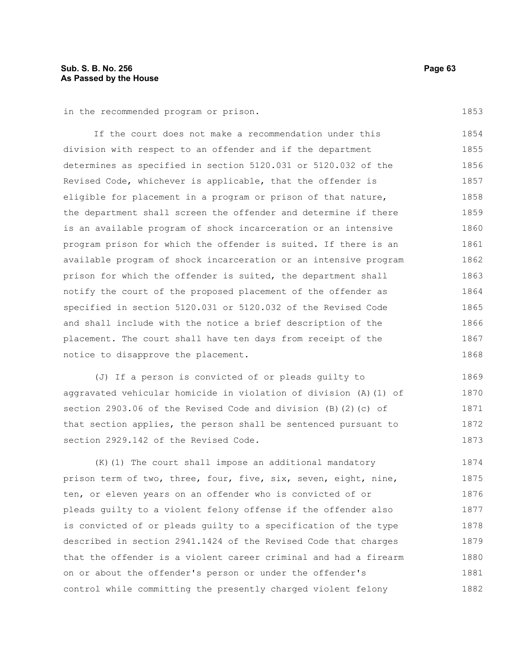in the recommended program or prison.

If the court does not make a recommendation under this division with respect to an offender and if the department determines as specified in section 5120.031 or 5120.032 of the Revised Code, whichever is applicable, that the offender is eligible for placement in a program or prison of that nature, the department shall screen the offender and determine if there is an available program of shock incarceration or an intensive program prison for which the offender is suited. If there is an available program of shock incarceration or an intensive program prison for which the offender is suited, the department shall notify the court of the proposed placement of the offender as specified in section 5120.031 or 5120.032 of the Revised Code and shall include with the notice a brief description of the placement. The court shall have ten days from receipt of the notice to disapprove the placement. 1854 1855 1856 1857 1858 1859 1860 1861 1862 1863 1864 1865 1866 1867 1868

(J) If a person is convicted of or pleads guilty to aggravated vehicular homicide in violation of division (A)(1) of section 2903.06 of the Revised Code and division (B)(2)(c) of that section applies, the person shall be sentenced pursuant to section 2929.142 of the Revised Code. 1869 1870 1871 1872 1873

(K)(1) The court shall impose an additional mandatory prison term of two, three, four, five, six, seven, eight, nine, ten, or eleven years on an offender who is convicted of or pleads guilty to a violent felony offense if the offender also is convicted of or pleads guilty to a specification of the type described in section 2941.1424 of the Revised Code that charges that the offender is a violent career criminal and had a firearm on or about the offender's person or under the offender's control while committing the presently charged violent felony 1874 1875 1876 1877 1878 1879 1880 1881 1882

1853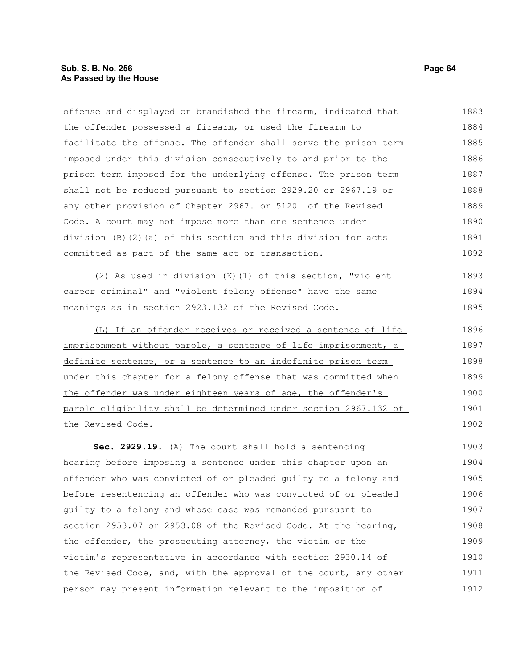offense and displayed or brandished the firearm, indicated that the offender possessed a firearm, or used the firearm to facilitate the offense. The offender shall serve the prison term imposed under this division consecutively to and prior to the prison term imposed for the underlying offense. The prison term shall not be reduced pursuant to section 2929.20 or 2967.19 or any other provision of Chapter 2967. or 5120. of the Revised Code. A court may not impose more than one sentence under division (B)(2)(a) of this section and this division for acts committed as part of the same act or transaction. 1883 1884 1885 1886 1887 1888 1889 1890 1891 1892

(2) As used in division (K)(1) of this section, "violent career criminal" and "violent felony offense" have the same meanings as in section 2923.132 of the Revised Code. 1893 1894 1895

(L) If an offender receives or received a sentence of life imprisonment without parole, a sentence of life imprisonment, a definite sentence, or a sentence to an indefinite prison term under this chapter for a felony offense that was committed when the offender was under eighteen years of age, the offender's parole eligibility shall be determined under section 2967.132 of the Revised Code. 1896 1897 1898 1899 1900 1901 1902

**Sec. 2929.19.** (A) The court shall hold a sentencing hearing before imposing a sentence under this chapter upon an offender who was convicted of or pleaded guilty to a felony and before resentencing an offender who was convicted of or pleaded guilty to a felony and whose case was remanded pursuant to section 2953.07 or 2953.08 of the Revised Code. At the hearing, the offender, the prosecuting attorney, the victim or the victim's representative in accordance with section 2930.14 of the Revised Code, and, with the approval of the court, any other person may present information relevant to the imposition of 1903 1904 1905 1906 1907 1908 1909 1910 1911 1912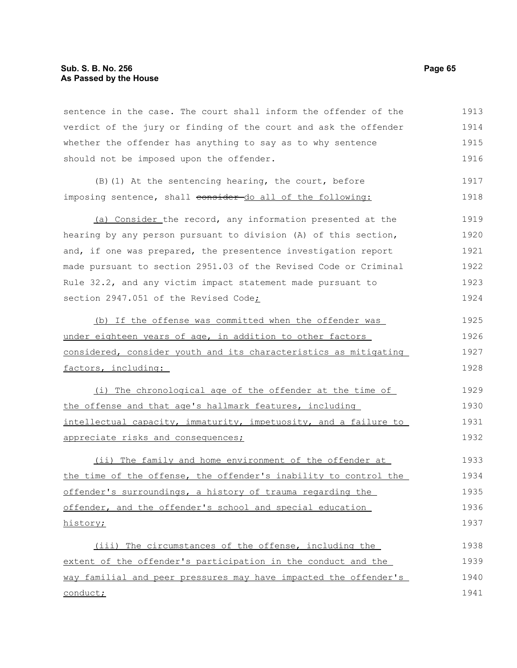sentence in the case. The court shall inform the offender of the verdict of the jury or finding of the court and ask the offender whether the offender has anything to say as to why sentence should not be imposed upon the offender. 1913 1914 1915 1916

(B)(1) At the sentencing hearing, the court, before imposing sentence, shall consider-do all of the following: 1917 1918

(a) Consider the record, any information presented at the hearing by any person pursuant to division (A) of this section, and, if one was prepared, the presentence investigation report made pursuant to section 2951.03 of the Revised Code or Criminal Rule 32.2, and any victim impact statement made pursuant to section 2947.051 of the Revised Code; 1919 1920 1921 1922 1923 1924

(b) If the offense was committed when the offender was under eighteen years of age, in addition to other factors considered, consider youth and its characteristics as mitigating factors, including: 1925 1926 1927 1928

(i) The chronological age of the offender at the time of the offense and that age's hallmark features, including intellectual capacity, immaturity, impetuosity, and a failure to appreciate risks and consequences; 1929 1930 1931 1932

(ii) The family and home environment of the offender at the time of the offense, the offender's inability to control the offender's surroundings, a history of trauma regarding the offender, and the offender's school and special education history; 1933 1934 1935 1936 1937

(iii) The circumstances of the offense, including the extent of the offender's participation in the conduct and the way familial and peer pressures may have impacted the offender's conduct; 1938 1939 1940 1941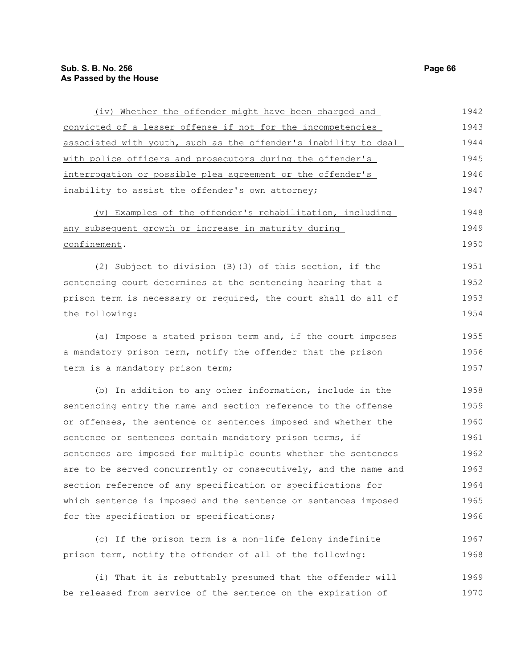| (iv) Whether the offender might have been charged and            | 1942 |
|------------------------------------------------------------------|------|
| convicted of a lesser offense if not for the incompetencies      | 1943 |
| associated with youth, such as the offender's inability to deal  | 1944 |
| with police officers and prosecutors during the offender's       | 1945 |
| interrogation or possible plea agreement or the offender's       | 1946 |
| inability to assist the offender's own attorney;                 | 1947 |
| (v) Examples of the offender's rehabilitation, including         | 1948 |
| any subsequent growth or increase in maturity during             | 1949 |
| confinement.                                                     | 1950 |
| (2) Subject to division (B) (3) of this section, if the          | 1951 |
| sentencing court determines at the sentencing hearing that a     | 1952 |
| prison term is necessary or required, the court shall do all of  | 1953 |
| the following:                                                   | 1954 |
| (a) Impose a stated prison term and, if the court imposes        | 1955 |
| a mandatory prison term, notify the offender that the prison     | 1956 |
| term is a mandatory prison term;                                 | 1957 |
| (b) In addition to any other information, include in the         | 1958 |
| sentencing entry the name and section reference to the offense   | 1959 |
| or offenses, the sentence or sentences imposed and whether the   | 1960 |
| sentence or sentences contain mandatory prison terms, if         | 1961 |
| sentences are imposed for multiple counts whether the sentences  | 1962 |
| are to be served concurrently or consecutively, and the name and | 1963 |
| section reference of any specification or specifications for     | 1964 |
| which sentence is imposed and the sentence or sentences imposed  | 1965 |
| for the specification or specifications;                         | 1966 |
| (c) If the prison term is a non-life felony indefinite           | 1967 |
| prison term, notify the offender of all of the following:        | 1968 |
| (i) That it is rebuttably presumed that the offender will        | 1969 |
| be released from service of the sentence on the expiration of    | 1970 |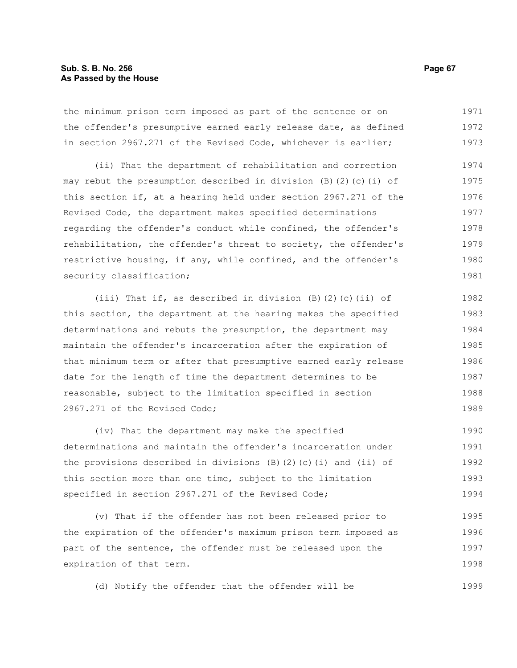## **Sub. S. B. No. 256 Page 67 As Passed by the House**

the minimum prison term imposed as part of the sentence or on the offender's presumptive earned early release date, as defined in section 2967.271 of the Revised Code, whichever is earlier; 1971 1972 1973

(ii) That the department of rehabilitation and correction may rebut the presumption described in division  $(B)$   $(2)$   $(c)$   $(i)$  of this section if, at a hearing held under section 2967.271 of the Revised Code, the department makes specified determinations regarding the offender's conduct while confined, the offender's rehabilitation, the offender's threat to society, the offender's restrictive housing, if any, while confined, and the offender's security classification; 1974 1975 1976 1977 1978 1979 1980 1981

(iii) That if, as described in division  $(B)$   $(2)$   $(c)$   $(ii)$  of this section, the department at the hearing makes the specified determinations and rebuts the presumption, the department may maintain the offender's incarceration after the expiration of that minimum term or after that presumptive earned early release date for the length of time the department determines to be reasonable, subject to the limitation specified in section 2967.271 of the Revised Code; 1982 1983 1984 1985 1986 1987 1988 1989

(iv) That the department may make the specified determinations and maintain the offender's incarceration under the provisions described in divisions  $(B)(2)(c)(i)$  and (ii) of this section more than one time, subject to the limitation specified in section 2967.271 of the Revised Code; 1990 1991 1992 1993 1994

(v) That if the offender has not been released prior to the expiration of the offender's maximum prison term imposed as part of the sentence, the offender must be released upon the expiration of that term. 1995 1996 1997 1998

(d) Notify the offender that the offender will be

1999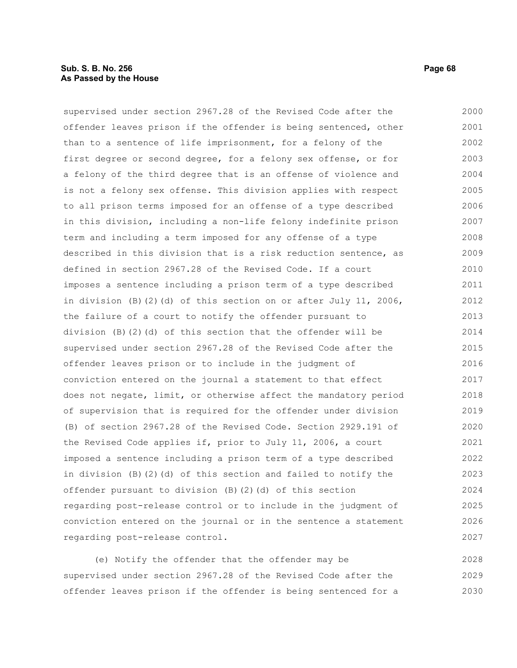## **Sub. S. B. No. 256 Page 68 As Passed by the House**

supervised under section 2967.28 of the Revised Code after the offender leaves prison if the offender is being sentenced, other than to a sentence of life imprisonment, for a felony of the first degree or second degree, for a felony sex offense, or for a felony of the third degree that is an offense of violence and is not a felony sex offense. This division applies with respect to all prison terms imposed for an offense of a type described in this division, including a non-life felony indefinite prison term and including a term imposed for any offense of a type described in this division that is a risk reduction sentence, as defined in section 2967.28 of the Revised Code. If a court imposes a sentence including a prison term of a type described in division  $(B)$   $(2)$   $(d)$  of this section on or after July 11, 2006, the failure of a court to notify the offender pursuant to division (B)(2)(d) of this section that the offender will be supervised under section 2967.28 of the Revised Code after the offender leaves prison or to include in the judgment of conviction entered on the journal a statement to that effect does not negate, limit, or otherwise affect the mandatory period of supervision that is required for the offender under division (B) of section 2967.28 of the Revised Code. Section 2929.191 of the Revised Code applies if, prior to July 11, 2006, a court imposed a sentence including a prison term of a type described in division (B)(2)(d) of this section and failed to notify the offender pursuant to division (B)(2)(d) of this section regarding post-release control or to include in the judgment of conviction entered on the journal or in the sentence a statement regarding post-release control. 2000 2001 2002 2003 2004 2005 2006 2007 2008 2009 2010 2011 2012 2013 2014 2015 2016 2017 2018 2019 2020 2021 2022 2023 2024 2025 2026 2027

(e) Notify the offender that the offender may be supervised under section 2967.28 of the Revised Code after the offender leaves prison if the offender is being sentenced for a 2028 2029 2030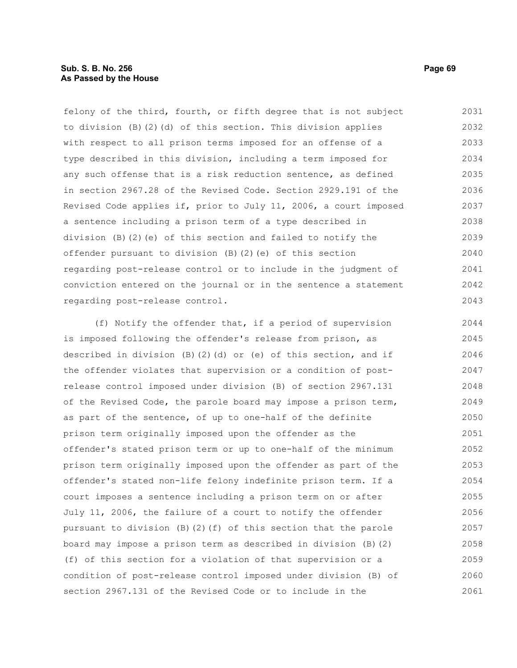felony of the third, fourth, or fifth degree that is not subject to division (B)(2)(d) of this section. This division applies with respect to all prison terms imposed for an offense of a type described in this division, including a term imposed for any such offense that is a risk reduction sentence, as defined in section 2967.28 of the Revised Code. Section 2929.191 of the Revised Code applies if, prior to July 11, 2006, a court imposed a sentence including a prison term of a type described in division (B)(2)(e) of this section and failed to notify the offender pursuant to division (B)(2)(e) of this section regarding post-release control or to include in the judgment of conviction entered on the journal or in the sentence a statement regarding post-release control. 2031 2032 2033 2034 2035 2036 2037 2038 2039 2040 2041 2042 2043

(f) Notify the offender that, if a period of supervision is imposed following the offender's release from prison, as described in division (B)(2)(d) or (e) of this section, and if the offender violates that supervision or a condition of postrelease control imposed under division (B) of section 2967.131 of the Revised Code, the parole board may impose a prison term, as part of the sentence, of up to one-half of the definite prison term originally imposed upon the offender as the offender's stated prison term or up to one-half of the minimum prison term originally imposed upon the offender as part of the offender's stated non-life felony indefinite prison term. If a court imposes a sentence including a prison term on or after July 11, 2006, the failure of a court to notify the offender pursuant to division (B)(2)(f) of this section that the parole board may impose a prison term as described in division (B)(2) (f) of this section for a violation of that supervision or a condition of post-release control imposed under division (B) of section 2967.131 of the Revised Code or to include in the 2044 2045 2046 2047 2048 2049 2050 2051 2052 2053 2054 2055 2056 2057 2058 2059 2060 2061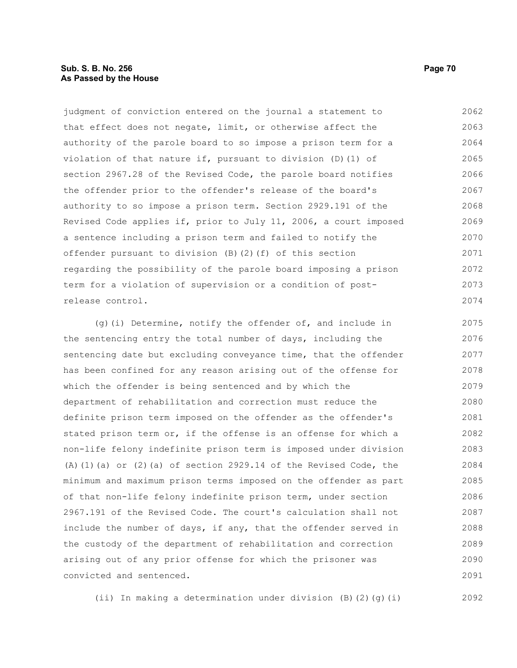# **Sub. S. B. No. 256 Page 70 As Passed by the House**

judgment of conviction entered on the journal a statement to that effect does not negate, limit, or otherwise affect the authority of the parole board to so impose a prison term for a violation of that nature if, pursuant to division (D)(1) of section 2967.28 of the Revised Code, the parole board notifies the offender prior to the offender's release of the board's authority to so impose a prison term. Section 2929.191 of the Revised Code applies if, prior to July 11, 2006, a court imposed a sentence including a prison term and failed to notify the offender pursuant to division (B)(2)(f) of this section regarding the possibility of the parole board imposing a prison term for a violation of supervision or a condition of postrelease control. 2062 2063 2064 2065 2066 2067 2068 2069 2070 2071 2072 2073 2074

(g)(i) Determine, notify the offender of, and include in the sentencing entry the total number of days, including the sentencing date but excluding conveyance time, that the offender has been confined for any reason arising out of the offense for which the offender is being sentenced and by which the department of rehabilitation and correction must reduce the definite prison term imposed on the offender as the offender's stated prison term or, if the offense is an offense for which a non-life felony indefinite prison term is imposed under division (A)(1)(a) or (2)(a) of section  $2929.14$  of the Revised Code, the minimum and maximum prison terms imposed on the offender as part of that non-life felony indefinite prison term, under section 2967.191 of the Revised Code. The court's calculation shall not include the number of days, if any, that the offender served in the custody of the department of rehabilitation and correction arising out of any prior offense for which the prisoner was convicted and sentenced. 2075 2076 2077 2078 2079 2080 2081 2082 2083 2084 2085 2086 2087 2088 2089 2090 2091

(ii) In making a determination under division (B)(2)(g)(i) 2092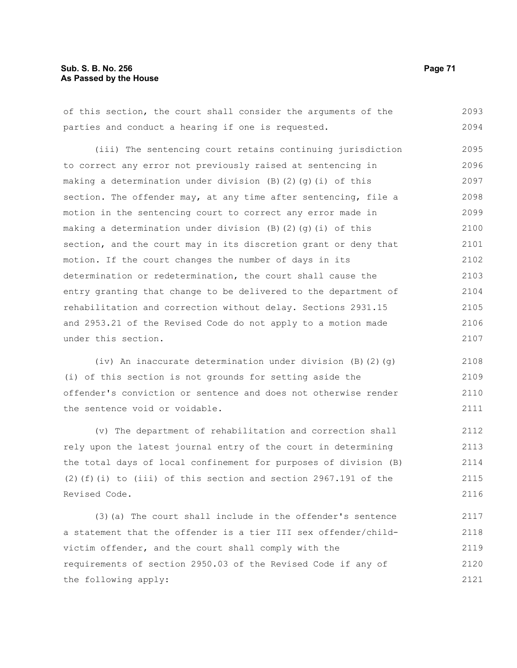of this section, the court shall consider the arguments of the parties and conduct a hearing if one is requested. 2093 2094

(iii) The sentencing court retains continuing jurisdiction to correct any error not previously raised at sentencing in making a determination under division (B)(2)(g)(i) of this section. The offender may, at any time after sentencing, file a motion in the sentencing court to correct any error made in making a determination under division  $(B)$   $(2)$   $(q)$   $(i)$  of this section, and the court may in its discretion grant or deny that motion. If the court changes the number of days in its determination or redetermination, the court shall cause the entry granting that change to be delivered to the department of rehabilitation and correction without delay. Sections 2931.15 and 2953.21 of the Revised Code do not apply to a motion made under this section. 2095 2096 2097 2098 2099 2100 2101 2102 2103 2104 2105 2106 2107

(iv) An inaccurate determination under division (B)(2)(g) (i) of this section is not grounds for setting aside the offender's conviction or sentence and does not otherwise render the sentence void or voidable. 2108 2109 2110 2111

(v) The department of rehabilitation and correction shall rely upon the latest journal entry of the court in determining the total days of local confinement for purposes of division (B) (2)(f)(i) to (iii) of this section and section 2967.191 of the Revised Code. 2112 2113 2114 2115 2116

(3)(a) The court shall include in the offender's sentence a statement that the offender is a tier III sex offender/childvictim offender, and the court shall comply with the requirements of section 2950.03 of the Revised Code if any of the following apply: 2117 2118 2119 2120 2121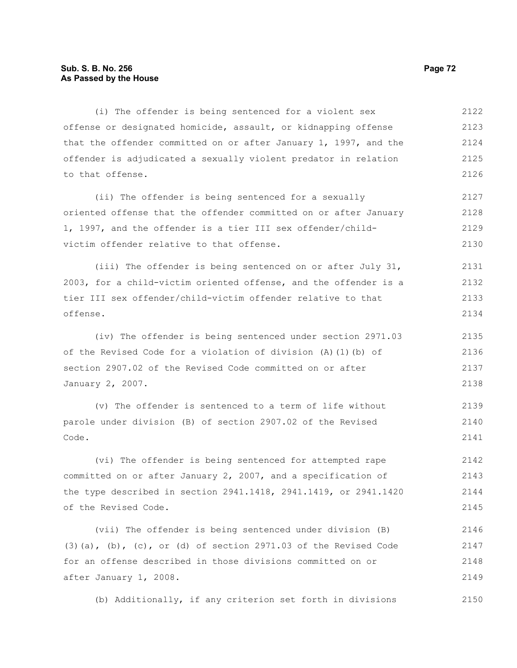# **Sub. S. B. No. 256 Page 72 As Passed by the House**

(i) The offender is being sentenced for a violent sex offense or designated homicide, assault, or kidnapping offense that the offender committed on or after January 1, 1997, and the offender is adjudicated a sexually violent predator in relation to that offense. (ii) The offender is being sentenced for a sexually oriented offense that the offender committed on or after January 1, 1997, and the offender is a tier III sex offender/childvictim offender relative to that offense. (iii) The offender is being sentenced on or after July 31, 2003, for a child-victim oriented offense, and the offender is a tier III sex offender/child-victim offender relative to that offense. 2122 2123 2124 2125 2126 2127 2128 2129 2130 2131 2132 2133 2134

(iv) The offender is being sentenced under section 2971.03 of the Revised Code for a violation of division (A)(1)(b) of section 2907.02 of the Revised Code committed on or after January 2, 2007. 2135 2136 2137 2138

(v) The offender is sentenced to a term of life without parole under division (B) of section 2907.02 of the Revised Code. 2139 2140 2141

(vi) The offender is being sentenced for attempted rape committed on or after January 2, 2007, and a specification of the type described in section 2941.1418, 2941.1419, or 2941.1420 of the Revised Code. 2142 2143 2144 2145

(vii) The offender is being sentenced under division (B)  $(3)(a)$ ,  $(b)$ ,  $(c)$ , or  $(d)$  of section 2971.03 of the Revised Code for an offense described in those divisions committed on or after January 1, 2008. 2146 2147 2148 2149

(b) Additionally, if any criterion set forth in divisions 2150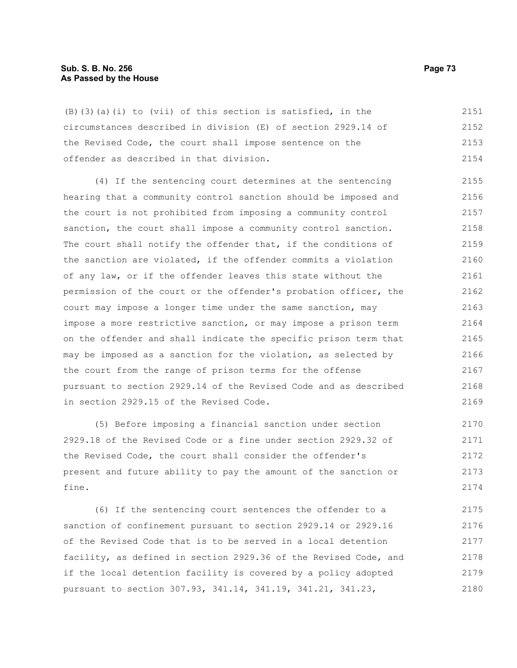## **Sub. S. B. No. 256 Page 73 As Passed by the House**

 $(B)$ (3)(a)(i) to (vii) of this section is satisfied, in the circumstances described in division (E) of section 2929.14 of the Revised Code, the court shall impose sentence on the offender as described in that division. 2151 2152 2153 2154

(4) If the sentencing court determines at the sentencing hearing that a community control sanction should be imposed and the court is not prohibited from imposing a community control sanction, the court shall impose a community control sanction. The court shall notify the offender that, if the conditions of the sanction are violated, if the offender commits a violation of any law, or if the offender leaves this state without the permission of the court or the offender's probation officer, the court may impose a longer time under the same sanction, may impose a more restrictive sanction, or may impose a prison term on the offender and shall indicate the specific prison term that may be imposed as a sanction for the violation, as selected by the court from the range of prison terms for the offense pursuant to section 2929.14 of the Revised Code and as described in section 2929.15 of the Revised Code. 2155 2156 2157 2158 2159 2160 2161 2162 2163 2164 2165 2166 2167 2168 2169

(5) Before imposing a financial sanction under section 2929.18 of the Revised Code or a fine under section 2929.32 of the Revised Code, the court shall consider the offender's present and future ability to pay the amount of the sanction or fine. 2170 2171 2172 2173 2174

(6) If the sentencing court sentences the offender to a sanction of confinement pursuant to section 2929.14 or 2929.16 of the Revised Code that is to be served in a local detention facility, as defined in section 2929.36 of the Revised Code, and if the local detention facility is covered by a policy adopted pursuant to section 307.93, 341.14, 341.19, 341.21, 341.23, 2175 2176 2177 2178 2179 2180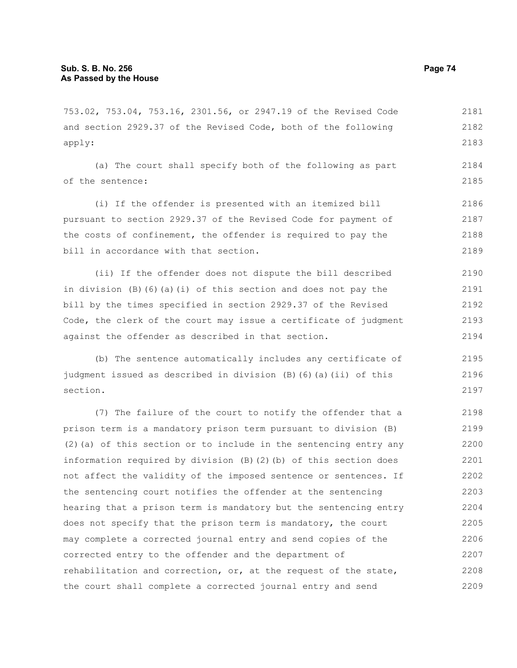753.02, 753.04, 753.16, 2301.56, or 2947.19 of the Revised Code and section 2929.37 of the Revised Code, both of the following apply: 2181 2182 2183

(a) The court shall specify both of the following as part of the sentence: 2184 2185

(i) If the offender is presented with an itemized bill pursuant to section 2929.37 of the Revised Code for payment of the costs of confinement, the offender is required to pay the bill in accordance with that section. 2186 2187 2188 2189

(ii) If the offender does not dispute the bill described in division  $(B)$   $(6)$   $(a)$   $(i)$  of this section and does not pay the bill by the times specified in section 2929.37 of the Revised Code, the clerk of the court may issue a certificate of judgment against the offender as described in that section. 2190 2191 2192 2193 2194

(b) The sentence automatically includes any certificate of judgment issued as described in division (B)(6)(a)(ii) of this section. 2195 2196 2197

(7) The failure of the court to notify the offender that a prison term is a mandatory prison term pursuant to division (B) (2)(a) of this section or to include in the sentencing entry any information required by division  $(B)(2)(b)$  of this section does not affect the validity of the imposed sentence or sentences. If the sentencing court notifies the offender at the sentencing hearing that a prison term is mandatory but the sentencing entry does not specify that the prison term is mandatory, the court may complete a corrected journal entry and send copies of the corrected entry to the offender and the department of rehabilitation and correction, or, at the request of the state, the court shall complete a corrected journal entry and send 2198 2199 2200 2201 2202 2203 2204 2205 2206 2207 2208 2209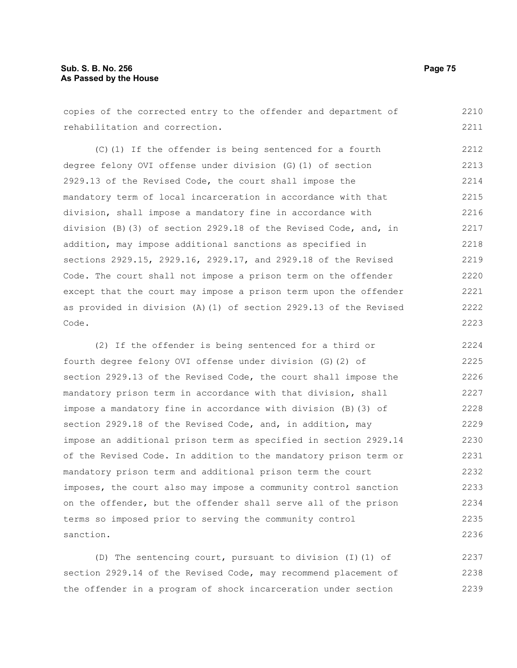copies of the corrected entry to the offender and department of rehabilitation and correction. 2210 2211

(C)(1) If the offender is being sentenced for a fourth degree felony OVI offense under division (G)(1) of section 2929.13 of the Revised Code, the court shall impose the mandatory term of local incarceration in accordance with that division, shall impose a mandatory fine in accordance with division (B)(3) of section 2929.18 of the Revised Code, and, in addition, may impose additional sanctions as specified in sections 2929.15, 2929.16, 2929.17, and 2929.18 of the Revised Code. The court shall not impose a prison term on the offender except that the court may impose a prison term upon the offender as provided in division (A)(1) of section 2929.13 of the Revised Code. 2212 2213 2214 2215 2216 2217 2218 2219 2220 2221 2222 2223

(2) If the offender is being sentenced for a third or fourth degree felony OVI offense under division (G)(2) of section 2929.13 of the Revised Code, the court shall impose the mandatory prison term in accordance with that division, shall impose a mandatory fine in accordance with division (B)(3) of section 2929.18 of the Revised Code, and, in addition, may impose an additional prison term as specified in section 2929.14 of the Revised Code. In addition to the mandatory prison term or mandatory prison term and additional prison term the court imposes, the court also may impose a community control sanction on the offender, but the offender shall serve all of the prison terms so imposed prior to serving the community control sanction. 2224 2225 2226 2227 2228 2229 2230 2231 2232 2233 2234 2235 2236

(D) The sentencing court, pursuant to division (I)(1) of section 2929.14 of the Revised Code, may recommend placement of the offender in a program of shock incarceration under section 2237 2238 2239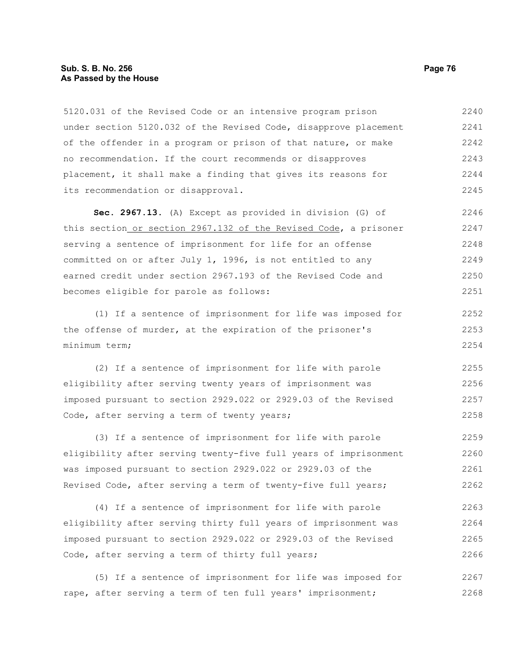## **Sub. S. B. No. 256 Page 76 As Passed by the House**

5120.031 of the Revised Code or an intensive program prison under section 5120.032 of the Revised Code, disapprove placement of the offender in a program or prison of that nature, or make no recommendation. If the court recommends or disapproves placement, it shall make a finding that gives its reasons for its recommendation or disapproval. 2240 2241 2242 2243 2244 2245

**Sec. 2967.13.** (A) Except as provided in division (G) of this section or section 2967.132 of the Revised Code, a prisoner serving a sentence of imprisonment for life for an offense committed on or after July 1, 1996, is not entitled to any earned credit under section 2967.193 of the Revised Code and becomes eligible for parole as follows: 2246 2247 2248 2249 2250 2251

(1) If a sentence of imprisonment for life was imposed for the offense of murder, at the expiration of the prisoner's minimum term;

(2) If a sentence of imprisonment for life with parole eligibility after serving twenty years of imprisonment was imposed pursuant to section 2929.022 or 2929.03 of the Revised Code, after serving a term of twenty years; 2255 2256 2257 2258

(3) If a sentence of imprisonment for life with parole eligibility after serving twenty-five full years of imprisonment was imposed pursuant to section 2929.022 or 2929.03 of the Revised Code, after serving a term of twenty-five full years; 2259 2260 2261 2262

(4) If a sentence of imprisonment for life with parole eligibility after serving thirty full years of imprisonment was imposed pursuant to section 2929.022 or 2929.03 of the Revised Code, after serving a term of thirty full years; 2263 2264 2265 2266

(5) If a sentence of imprisonment for life was imposed for rape, after serving a term of ten full years' imprisonment; 2267 2268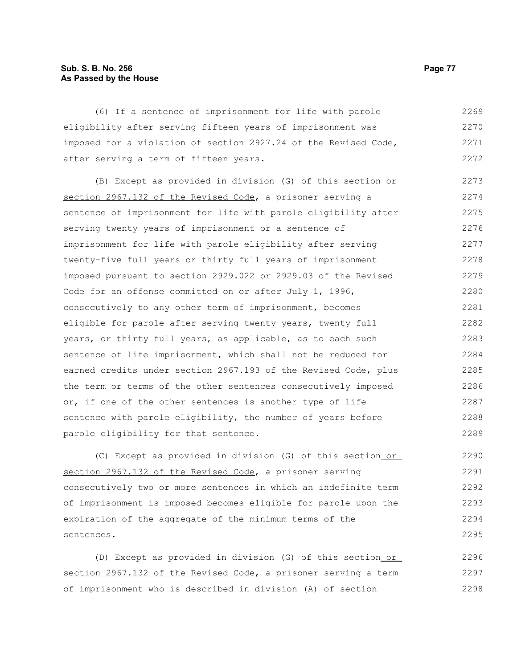## **Sub. S. B. No. 256 Page 77 As Passed by the House**

(6) If a sentence of imprisonment for life with parole eligibility after serving fifteen years of imprisonment was imposed for a violation of section 2927.24 of the Revised Code, after serving a term of fifteen years. 2269 2270 2271 2272

(B) Except as provided in division (G) of this section or section 2967.132 of the Revised Code, a prisoner serving a sentence of imprisonment for life with parole eligibility after serving twenty years of imprisonment or a sentence of imprisonment for life with parole eligibility after serving twenty-five full years or thirty full years of imprisonment imposed pursuant to section 2929.022 or 2929.03 of the Revised Code for an offense committed on or after July 1, 1996, consecutively to any other term of imprisonment, becomes eligible for parole after serving twenty years, twenty full years, or thirty full years, as applicable, as to each such sentence of life imprisonment, which shall not be reduced for earned credits under section 2967.193 of the Revised Code, plus the term or terms of the other sentences consecutively imposed or, if one of the other sentences is another type of life sentence with parole eligibility, the number of years before parole eligibility for that sentence. 2273 2274 2275 2276 2277 2278 2279 2280 2281 2282 2283 2284 2285 2286 2287 2288 2289

(C) Except as provided in division (G) of this section or section 2967.132 of the Revised Code, a prisoner serving consecutively two or more sentences in which an indefinite term of imprisonment is imposed becomes eligible for parole upon the expiration of the aggregate of the minimum terms of the sentences. 2290 2291 2292 2293 2294 2295

(D) Except as provided in division (G) of this section or section 2967.132 of the Revised Code, a prisoner serving a term of imprisonment who is described in division (A) of section 2296 2297 2298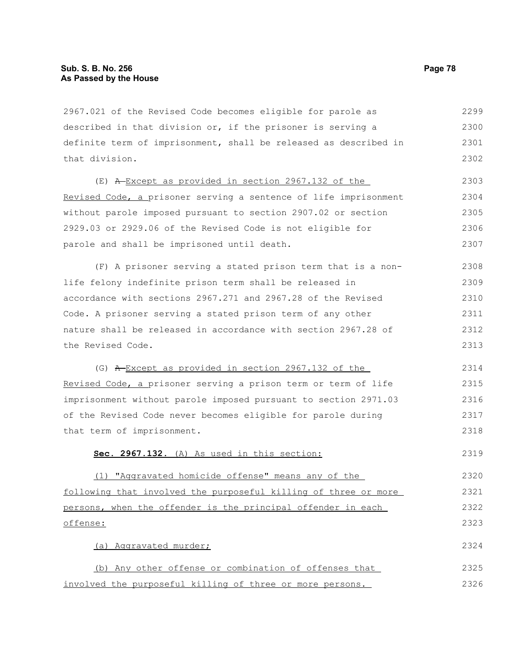2967.021 of the Revised Code becomes eligible for parole as described in that division or, if the prisoner is serving a definite term of imprisonment, shall be released as described in that division. 2299 2300 2301 2302

(E) A Except as provided in section 2967.132 of the Revised Code, a prisoner serving a sentence of life imprisonment without parole imposed pursuant to section 2907.02 or section 2929.03 or 2929.06 of the Revised Code is not eligible for parole and shall be imprisoned until death. 2303 2304 2305 2306 2307

(F) A prisoner serving a stated prison term that is a nonlife felony indefinite prison term shall be released in accordance with sections 2967.271 and 2967.28 of the Revised Code. A prisoner serving a stated prison term of any other nature shall be released in accordance with section 2967.28 of the Revised Code. 2308 2309 2310 2311 2312 2313

(G) A Except as provided in section 2967.132 of the Revised Code, a prisoner serving a prison term or term of life imprisonment without parole imposed pursuant to section 2971.03 of the Revised Code never becomes eligible for parole during that term of imprisonment. 2314 2315 2316 2317 2318

 **Sec. 2967.132.** (A) As used in this section: (1) "Aggravated homicide offense" means any of the following that involved the purposeful killing of three or more persons, when the offender is the principal offender in each offense: 2319 2320 2321 2322 2323

(b) Any other offense or combination of offenses that involved the purposeful killing of three or more persons. 2325 2326

(a) Aggravated murder;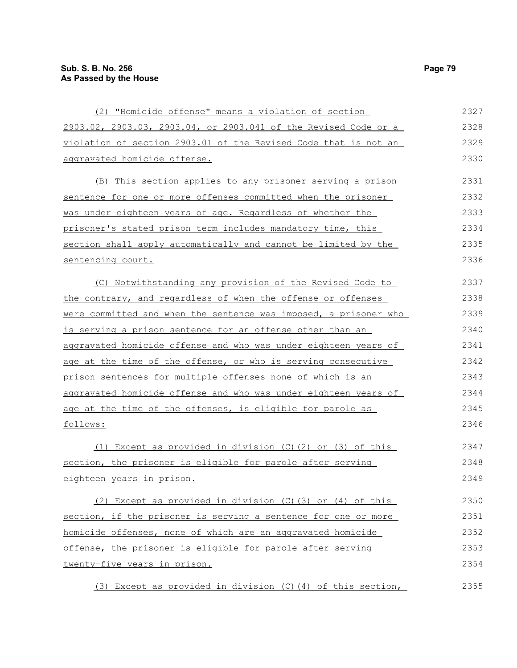| (2) "Homicide offense" means a violation of section              | 2327 |
|------------------------------------------------------------------|------|
| 2903.02, 2903.03, 2903.04, or 2903.041 of the Revised Code or a  | 2328 |
| violation of section 2903.01 of the Revised Code that is not an  | 2329 |
| aggravated homicide offense.                                     | 2330 |
| (B) This section applies to any prisoner serving a prison        | 2331 |
| sentence for one or more offenses committed when the prisoner    | 2332 |
| was under eighteen years of age. Regardless of whether the       | 2333 |
| prisoner's stated prison term includes mandatory time, this      | 2334 |
| section shall apply automatically and cannot be limited by the   | 2335 |
| sentencing court.                                                | 2336 |
| (C) Notwithstanding any provision of the Revised Code to         | 2337 |
| the contrary, and regardless of when the offense or offenses     | 2338 |
| were committed and when the sentence was imposed, a prisoner who | 2339 |
| is serving a prison sentence for an offense other than an        | 2340 |
| aggravated homicide offense and who was under eighteen years of  | 2341 |
| age at the time of the offense, or who is serving consecutive    | 2342 |
| prison sentences for multiple offenses none of which is an       | 2343 |
| aggravated homicide offense and who was under eighteen years of  | 2344 |
| age at the time of the offenses, is eligible for parole as       | 2345 |
| follows:                                                         | 2346 |
| (1) Except as provided in division $(C)$ $(2)$ or $(3)$ of this  | 2347 |
| section, the prisoner is eligible for parole after serving       | 2348 |
| eighteen years in prison.                                        | 2349 |
| (2) Except as provided in division (C) (3) or (4) of this        | 2350 |
| section, if the prisoner is serving a sentence for one or more   | 2351 |
| homicide offenses, none of which are an aggravated homicide      | 2352 |
| offense, the prisoner is eligible for parole after serving       | 2353 |
| twenty-five years in prison.                                     | 2354 |
| (3) Except as provided in division (C) (4) of this section,      | 2355 |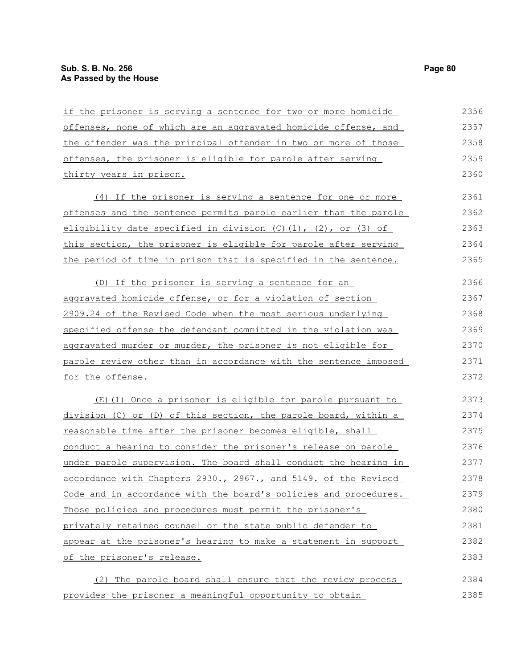| if the prisoner is serving a sentence for two or more homicide   | 2356 |
|------------------------------------------------------------------|------|
| offenses, none of which are an aggravated homicide offense, and  | 2357 |
| the offender was the principal offender in two or more of those  | 2358 |
| offenses, the prisoner is eligible for parole after serving      | 2359 |
| thirty years in prison.                                          | 2360 |
| (4) If the prisoner is serving a sentence for one or more        | 2361 |
| offenses and the sentence permits parole earlier than the parole | 2362 |
| eligibility date specified in division (C)(1), (2), or (3) of    | 2363 |
| this section, the prisoner is eligible for parole after serving  | 2364 |
| the period of time in prison that is specified in the sentence.  | 2365 |
| (D) If the prisoner is serving a sentence for an                 | 2366 |
| aggravated homicide offense, or for a violation of section       | 2367 |
| 2909.24 of the Revised Code when the most serious underlying     | 2368 |
| specified offense the defendant committed in the violation was   | 2369 |
| aggravated murder or murder, the prisoner is not eligible for    | 2370 |
| parole review other than in accordance with the sentence imposed | 2371 |
| for the offense.                                                 | 2372 |
| (E)(1) Once a prisoner is eligible for parole pursuant to        | 2373 |
| division (C) or (D) of this section, the parole board, within a  | 2374 |
| reasonable time after the prisoner becomes eligible, shall       | 2375 |
| conduct a hearing to consider the prisoner's release on parole   | 2376 |
| under parole supervision. The board shall conduct the hearing in | 2377 |
| accordance with Chapters 2930., 2967., and 5149. of the Revised  | 2378 |
| Code and in accordance with the board's policies and procedures. | 2379 |
| Those policies and procedures must permit the prisoner's         | 2380 |
| privately retained counsel or the state public defender to       | 2381 |
| appear at the prisoner's hearing to make a statement in support  | 2382 |
| of the prisoner's release.                                       | 2383 |
| (2) The parole board shall ensure that the review process        | 2384 |
| provides the prisoner a meaningful opportunity to obtain         | 2385 |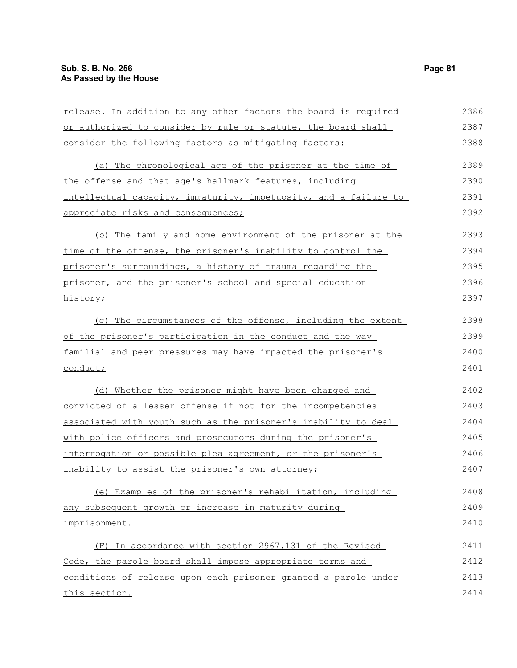| release. In addition to any other factors the board is required  | 2386 |
|------------------------------------------------------------------|------|
| or authorized to consider by rule or statute, the board shall    | 2387 |
| consider the following factors as mitigating factors:            | 2388 |
| (a) The chronological age of the prisoner at the time of         | 2389 |
| the offense and that age's hallmark features, including          | 2390 |
| intellectual capacity, immaturity, impetuosity, and a failure to | 2391 |
| appreciate risks and consequences;                               | 2392 |
| (b) The family and home environment of the prisoner at the       | 2393 |
| time of the offense, the prisoner's inability to control the     | 2394 |
| prisoner's surroundings, a history of trauma regarding the       | 2395 |
| prisoner, and the prisoner's school and special education        | 2396 |
| history;                                                         | 2397 |
| (c) The circumstances of the offense, including the extent       | 2398 |
| of the prisoner's participation in the conduct and the way       | 2399 |
| familial and peer pressures may have impacted the prisoner's     | 2400 |
| conduct;                                                         | 2401 |
| (d) Whether the prisoner might have been charged and             | 2402 |
| convicted of a lesser offense if not for the incompetencies      | 2403 |
| associated with youth such as the prisoner's inability to deal   | 2404 |
| with police officers and prosecutors during the prisoner's       | 2405 |
| interrogation or possible plea agreement, or the prisoner's      | 2406 |
| inability to assist the prisoner's own attorney;                 | 2407 |
| (e) Examples of the prisoner's rehabilitation, including         | 2408 |
| any subsequent growth or increase in maturity during             | 2409 |
| imprisonment.                                                    | 2410 |
| In accordance with section 2967.131 of the Revised<br>(F)        | 2411 |
| Code, the parole board shall impose appropriate terms and        | 2412 |
| conditions of release upon each prisoner granted a parole under  | 2413 |
| this section.                                                    | 2414 |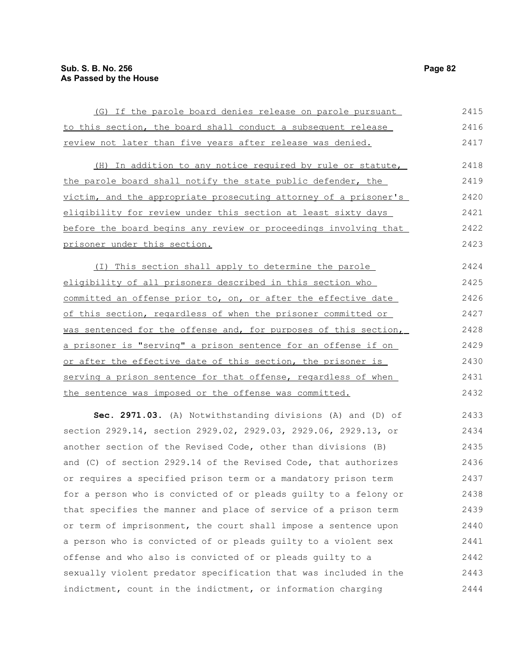| (G) If the parole board denies release on parole pursuant        | 2415 |
|------------------------------------------------------------------|------|
| to this section, the board shall conduct a subsequent release    | 2416 |
| review not later than five years after release was denied.       | 2417 |
| (H) In addition to any notice required by rule or statute,       | 2418 |
| the parole board shall notify the state public defender, the     | 2419 |
| victim, and the appropriate prosecuting attorney of a prisoner's | 2420 |
| eligibility for review under this section at least sixty days    | 2421 |
| before the board begins any review or proceedings involving that | 2422 |
| <u>prisoner under this section.</u>                              | 2423 |
| (I) This section shall apply to determine the parole             | 2424 |
| eligibility of all prisoners described in this section who       | 2425 |
| committed an offense prior to, on, or after the effective date   | 2426 |
| of this section, regardless of when the prisoner committed or    | 2427 |
| was sentenced for the offense and, for purposes of this section, | 2428 |
| a prisoner is "serving" a prison sentence for an offense if on   | 2429 |
| or after the effective date of this section, the prisoner is     | 2430 |
| serving a prison sentence for that offense, regardless of when   | 2431 |
| the sentence was imposed or the offense was committed.           | 2432 |
| Sec. 2971.03. (A) Notwithstanding divisions (A) and (D) of       | 2433 |
| section 2929.14, section 2929.02, 2929.03, 2929.06, 2929.13, or  | 2434 |
| another section of the Revised Code, other than divisions (B)    | 2435 |
| and (C) of section 2929.14 of the Revised Code, that authorizes  | 2436 |
| or requires a specified prison term or a mandatory prison term   | 2437 |
| for a person who is convicted of or pleads guilty to a felony or | 2438 |
| that specifies the manner and place of service of a prison term  | 2439 |
| or term of imprisonment, the court shall impose a sentence upon  | 2440 |
| a person who is convicted of or pleads guilty to a violent sex   | 2441 |

offense and who also is convicted of or pleads guilty to a sexually violent predator specification that was included in the indictment, count in the indictment, or information charging 2442 2443 2444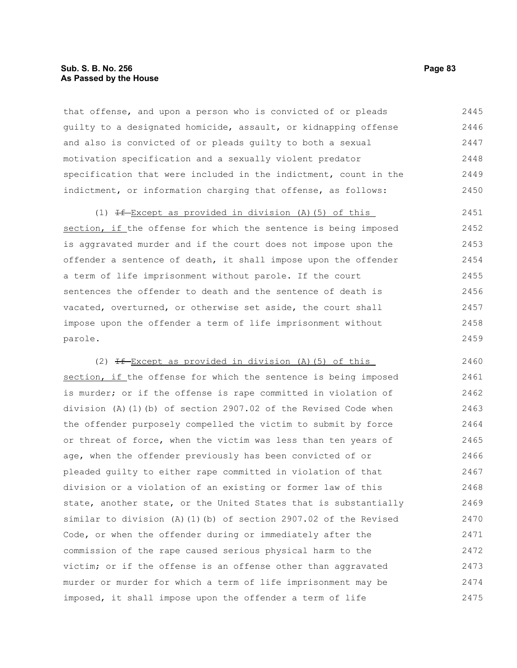## **Sub. S. B. No. 256 Page 83 As Passed by the House**

that offense, and upon a person who is convicted of or pleads guilty to a designated homicide, assault, or kidnapping offense and also is convicted of or pleads guilty to both a sexual motivation specification and a sexually violent predator specification that were included in the indictment, count in the indictment, or information charging that offense, as follows: 2445 2446 2447 2448 2449 2450

(1)  $H$ Except as provided in division (A)(5) of this section, if the offense for which the sentence is being imposed is aggravated murder and if the court does not impose upon the offender a sentence of death, it shall impose upon the offender a term of life imprisonment without parole. If the court sentences the offender to death and the sentence of death is vacated, overturned, or otherwise set aside, the court shall impose upon the offender a term of life imprisonment without parole. 2451 2452 2453 2454 2455 2456 2457 2458 2459

(2)  $H$ Except as provided in division (A)(5) of this section, if the offense for which the sentence is being imposed is murder; or if the offense is rape committed in violation of division (A)(1)(b) of section 2907.02 of the Revised Code when the offender purposely compelled the victim to submit by force or threat of force, when the victim was less than ten years of age, when the offender previously has been convicted of or pleaded guilty to either rape committed in violation of that division or a violation of an existing or former law of this state, another state, or the United States that is substantially similar to division (A)(1)(b) of section 2907.02 of the Revised Code, or when the offender during or immediately after the commission of the rape caused serious physical harm to the victim; or if the offense is an offense other than aggravated murder or murder for which a term of life imprisonment may be imposed, it shall impose upon the offender a term of life 2460 2461 2462 2463 2464 2465 2466 2467 2468 2469 2470 2471 2472 2473 2474 2475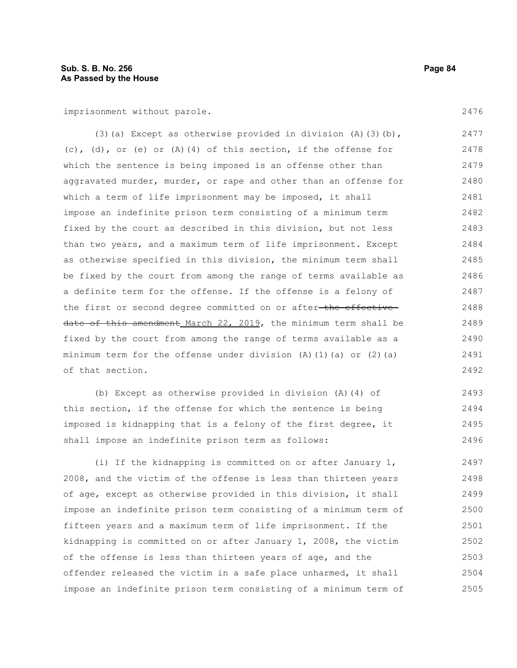imprisonment without parole.

(3)(a) Except as otherwise provided in division (A)(3)(b), (c), (d), or (e) or (A)(4) of this section, if the offense for which the sentence is being imposed is an offense other than aggravated murder, murder, or rape and other than an offense for which a term of life imprisonment may be imposed, it shall impose an indefinite prison term consisting of a minimum term fixed by the court as described in this division, but not less than two years, and a maximum term of life imprisonment. Except as otherwise specified in this division, the minimum term shall be fixed by the court from among the range of terms available as a definite term for the offense. If the offense is a felony of the first or second degree committed on or after-the effectivedate of this amendment March 22, 2019, the minimum term shall be fixed by the court from among the range of terms available as a minimum term for the offense under division  $(A)$   $(1)$   $(a)$  or  $(2)$   $(a)$ of that section. 2477 2478 2479 2480 2481 2482 2483 2484 2485 2486 2487 2488 2489 2490 2491 2492

(b) Except as otherwise provided in division (A)(4) of this section, if the offense for which the sentence is being imposed is kidnapping that is a felony of the first degree, it shall impose an indefinite prison term as follows: 2493 2494 2495 2496

(i) If the kidnapping is committed on or after January 1, 2008, and the victim of the offense is less than thirteen years of age, except as otherwise provided in this division, it shall impose an indefinite prison term consisting of a minimum term of fifteen years and a maximum term of life imprisonment. If the kidnapping is committed on or after January 1, 2008, the victim of the offense is less than thirteen years of age, and the offender released the victim in a safe place unharmed, it shall impose an indefinite prison term consisting of a minimum term of 2497 2498 2499 2500 2501 2502 2503 2504 2505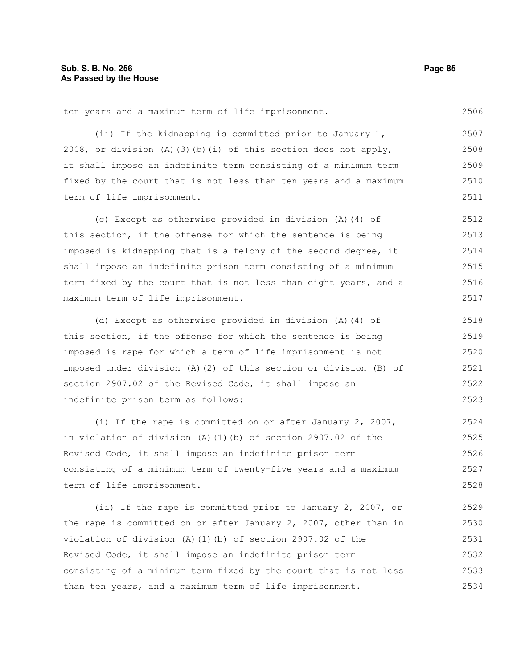ten years and a maximum term of life imprisonment.

(ii) If the kidnapping is committed prior to January 1, 2008, or division (A)(3)(b)(i) of this section does not apply, it shall impose an indefinite term consisting of a minimum term fixed by the court that is not less than ten years and a maximum term of life imprisonment. 2507 2508 2509 2510 2511

(c) Except as otherwise provided in division (A)(4) of this section, if the offense for which the sentence is being imposed is kidnapping that is a felony of the second degree, it shall impose an indefinite prison term consisting of a minimum term fixed by the court that is not less than eight years, and a maximum term of life imprisonment. 2512 2513 2514 2515 2516 2517

(d) Except as otherwise provided in division (A)(4) of this section, if the offense for which the sentence is being imposed is rape for which a term of life imprisonment is not imposed under division (A)(2) of this section or division (B) of section 2907.02 of the Revised Code, it shall impose an indefinite prison term as follows: 2518 2519 2520 2521 2522 2523

(i) If the rape is committed on or after January 2, 2007, in violation of division (A)(1)(b) of section 2907.02 of the Revised Code, it shall impose an indefinite prison term consisting of a minimum term of twenty-five years and a maximum term of life imprisonment. 2524 2525 2526 2527 2528

(ii) If the rape is committed prior to January 2, 2007, or the rape is committed on or after January 2, 2007, other than in violation of division (A)(1)(b) of section 2907.02 of the Revised Code, it shall impose an indefinite prison term consisting of a minimum term fixed by the court that is not less than ten years, and a maximum term of life imprisonment. 2529 2530 2531 2532 2533 2534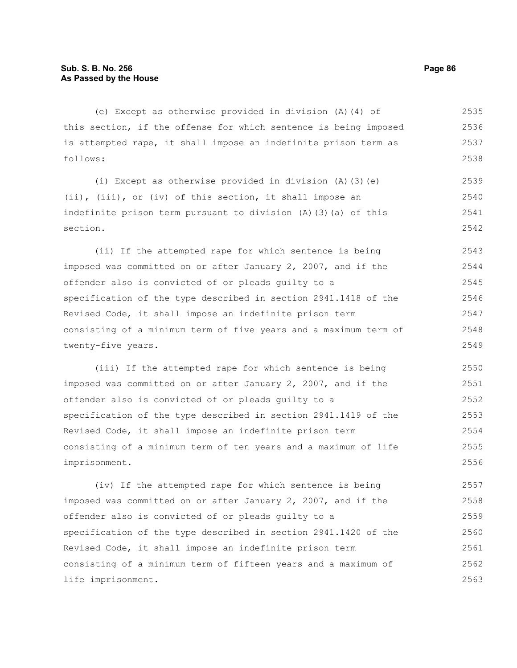(e) Except as otherwise provided in division (A)(4) of this section, if the offense for which sentence is being imposed is attempted rape, it shall impose an indefinite prison term as follows: 2535 2536 2537 2538

(i) Except as otherwise provided in division (A)(3)(e) (ii), (iii), or (iv) of this section, it shall impose an indefinite prison term pursuant to division (A)(3)(a) of this section. 2539 2540 2541 2542

(ii) If the attempted rape for which sentence is being imposed was committed on or after January 2, 2007, and if the offender also is convicted of or pleads guilty to a specification of the type described in section 2941.1418 of the Revised Code, it shall impose an indefinite prison term consisting of a minimum term of five years and a maximum term of twenty-five years. 2543 2544 2545 2546 2547 2548 2549

(iii) If the attempted rape for which sentence is being imposed was committed on or after January 2, 2007, and if the offender also is convicted of or pleads guilty to a specification of the type described in section 2941.1419 of the Revised Code, it shall impose an indefinite prison term consisting of a minimum term of ten years and a maximum of life imprisonment. 2550 2551 2552 2553 2554 2555 2556

(iv) If the attempted rape for which sentence is being imposed was committed on or after January 2, 2007, and if the offender also is convicted of or pleads guilty to a specification of the type described in section 2941.1420 of the Revised Code, it shall impose an indefinite prison term consisting of a minimum term of fifteen years and a maximum of life imprisonment. 2557 2558 2559 2560 2561 2562 2563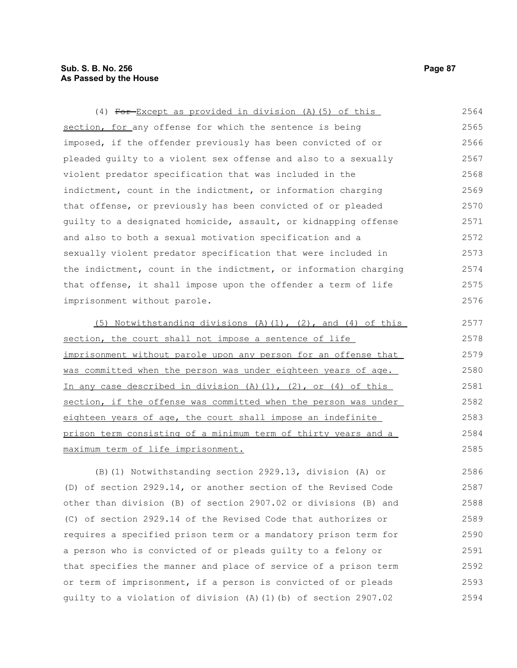# **Sub. S. B. No. 256 Page 87 As Passed by the House**

| (4) For Except as provided in division (A) (5) of this                   | 2564 |
|--------------------------------------------------------------------------|------|
| section, for any offense for which the sentence is being                 | 2565 |
| imposed, if the offender previously has been convicted of or             | 2566 |
| pleaded quilty to a violent sex offense and also to a sexually           | 2567 |
| violent predator specification that was included in the                  | 2568 |
| indictment, count in the indictment, or information charging             | 2569 |
| that offense, or previously has been convicted of or pleaded             | 2570 |
| quilty to a designated homicide, assault, or kidnapping offense          | 2571 |
| and also to both a sexual motivation specification and a                 | 2572 |
| sexually violent predator specification that were included in            | 2573 |
| the indictment, count in the indictment, or information charging         | 2574 |
| that offense, it shall impose upon the offender a term of life           | 2575 |
| imprisonment without parole.                                             | 2576 |
| (5) Notwithstanding divisions (A)(1), (2), and (4) of this               | 2577 |
| section, the court shall not impose a sentence of life                   | 2578 |
| imprisonment without parole upon any person for an offense that          | 2579 |
| was committed when the person was under eighteen years of age.           | 2580 |
| In any case described in division $(A)$ $(1)$ , $(2)$ , or $(4)$ of this | 2581 |
| section, if the offense was committed when the person was under          | 2582 |
| eighteen years of age, the court shall impose an indefinite              | 2583 |
| prison term consisting of a minimum term of thirty years and a           | 2584 |
| <u>maximum term of life imprisonment.</u>                                | 2585 |
|                                                                          |      |

(B)(1) Notwithstanding section 2929.13, division (A) or (D) of section 2929.14, or another section of the Revised Code other than division (B) of section 2907.02 or divisions (B) and (C) of section 2929.14 of the Revised Code that authorizes or requires a specified prison term or a mandatory prison term for a person who is convicted of or pleads guilty to a felony or that specifies the manner and place of service of a prison term or term of imprisonment, if a person is convicted of or pleads guilty to a violation of division (A)(1)(b) of section 2907.02 2586 2587 2588 2589 2590 2591 2592 2593 2594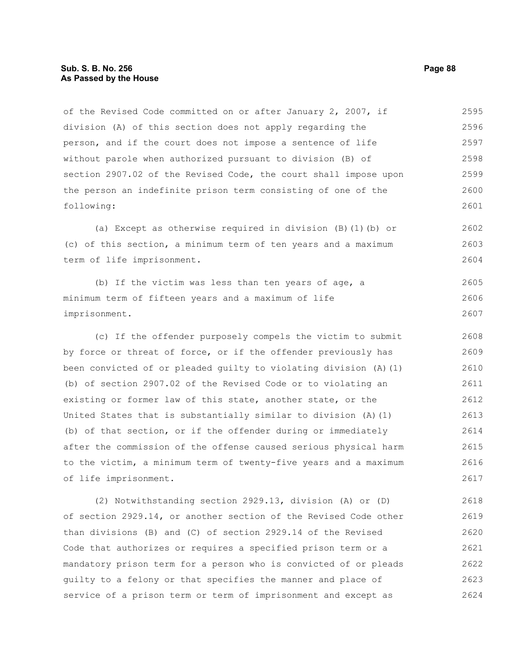#### **Sub. S. B. No. 256 Page 88 As Passed by the House**

of the Revised Code committed on or after January 2, 2007, if division (A) of this section does not apply regarding the person, and if the court does not impose a sentence of life without parole when authorized pursuant to division (B) of section 2907.02 of the Revised Code, the court shall impose upon the person an indefinite prison term consisting of one of the following: 2595 2596 2597 2598 2599 2600 2601

(a) Except as otherwise required in division (B)(1)(b) or (c) of this section, a minimum term of ten years and a maximum term of life imprisonment. 2602 2603 2604

(b) If the victim was less than ten years of age, a minimum term of fifteen years and a maximum of life imprisonment. 2605 2606 2607

(c) If the offender purposely compels the victim to submit by force or threat of force, or if the offender previously has been convicted of or pleaded guilty to violating division (A)(1) (b) of section 2907.02 of the Revised Code or to violating an existing or former law of this state, another state, or the United States that is substantially similar to division (A)(1) (b) of that section, or if the offender during or immediately after the commission of the offense caused serious physical harm to the victim, a minimum term of twenty-five years and a maximum of life imprisonment. 2608 2609 2610 2611 2612 2613 2614 2615 2616 2617

(2) Notwithstanding section 2929.13, division (A) or (D) of section 2929.14, or another section of the Revised Code other than divisions (B) and (C) of section 2929.14 of the Revised Code that authorizes or requires a specified prison term or a mandatory prison term for a person who is convicted of or pleads guilty to a felony or that specifies the manner and place of service of a prison term or term of imprisonment and except as 2618 2619 2620 2621 2622 2623 2624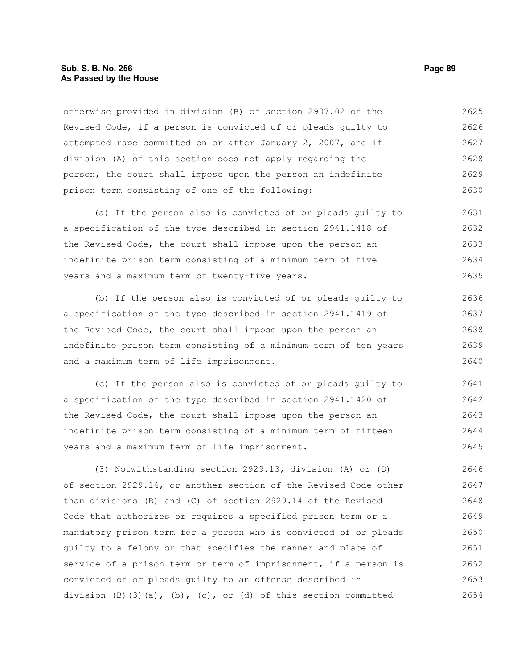#### **Sub. S. B. No. 256 Page 89 As Passed by the House**

otherwise provided in division (B) of section 2907.02 of the Revised Code, if a person is convicted of or pleads guilty to attempted rape committed on or after January 2, 2007, and if division (A) of this section does not apply regarding the person, the court shall impose upon the person an indefinite prison term consisting of one of the following: 2625 2626 2627 2628 2629 2630

(a) If the person also is convicted of or pleads guilty to a specification of the type described in section 2941.1418 of the Revised Code, the court shall impose upon the person an indefinite prison term consisting of a minimum term of five years and a maximum term of twenty-five years. 2631 2632 2633 2634 2635

(b) If the person also is convicted of or pleads guilty to a specification of the type described in section 2941.1419 of the Revised Code, the court shall impose upon the person an indefinite prison term consisting of a minimum term of ten years and a maximum term of life imprisonment. 2636 2637 2638 2639 2640

(c) If the person also is convicted of or pleads guilty to a specification of the type described in section 2941.1420 of the Revised Code, the court shall impose upon the person an indefinite prison term consisting of a minimum term of fifteen years and a maximum term of life imprisonment. 2641 2642 2643 2644 2645

(3) Notwithstanding section 2929.13, division (A) or (D) of section 2929.14, or another section of the Revised Code other than divisions (B) and (C) of section 2929.14 of the Revised Code that authorizes or requires a specified prison term or a mandatory prison term for a person who is convicted of or pleads guilty to a felony or that specifies the manner and place of service of a prison term or term of imprisonment, if a person is convicted of or pleads guilty to an offense described in division  $(B)(3)(a)$ ,  $(b)$ ,  $(c)$ , or  $(d)$  of this section committed 2646 2647 2648 2649 2650 2651 2652 2653 2654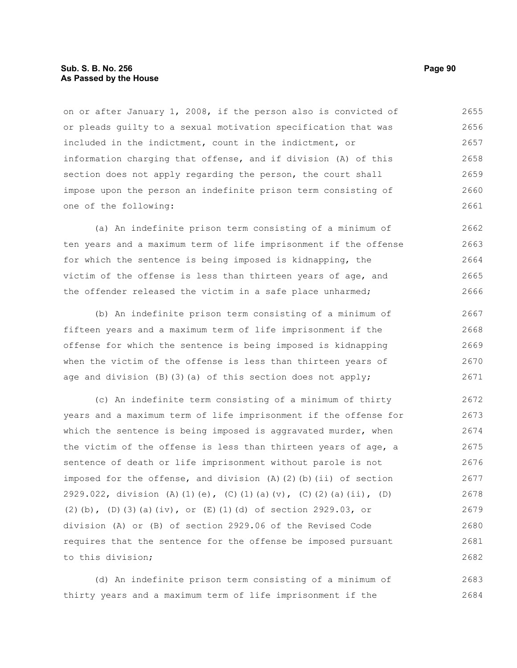#### **Sub. S. B. No. 256 Page 90 As Passed by the House**

on or after January 1, 2008, if the person also is convicted of or pleads guilty to a sexual motivation specification that was included in the indictment, count in the indictment, or information charging that offense, and if division (A) of this section does not apply regarding the person, the court shall impose upon the person an indefinite prison term consisting of one of the following: 2655 2656 2657 2658 2659 2660 2661

(a) An indefinite prison term consisting of a minimum of ten years and a maximum term of life imprisonment if the offense for which the sentence is being imposed is kidnapping, the victim of the offense is less than thirteen years of age, and the offender released the victim in a safe place unharmed; 2662 2663 2664 2665 2666

(b) An indefinite prison term consisting of a minimum of fifteen years and a maximum term of life imprisonment if the offense for which the sentence is being imposed is kidnapping when the victim of the offense is less than thirteen years of age and division  $(B)$   $(3)$   $(a)$  of this section does not apply; 2667 2668 2669 2670 2671

(c) An indefinite term consisting of a minimum of thirty years and a maximum term of life imprisonment if the offense for which the sentence is being imposed is aggravated murder, when the victim of the offense is less than thirteen years of age, a sentence of death or life imprisonment without parole is not imposed for the offense, and division  $(A)$   $(2)$   $(b)$   $(ii)$  of section 2929.022, division (A)(1)(e), (C)(1)(a)(v), (C)(2)(a)(ii), (D) (2)(b), (D)(3)(a)(iv), or (E)(1)(d) of section 2929.03, or division (A) or (B) of section 2929.06 of the Revised Code requires that the sentence for the offense be imposed pursuant to this division; 2672 2673 2674 2675 2676 2677 2678 2679 2680 2681 2682

(d) An indefinite prison term consisting of a minimum of thirty years and a maximum term of life imprisonment if the 2683 2684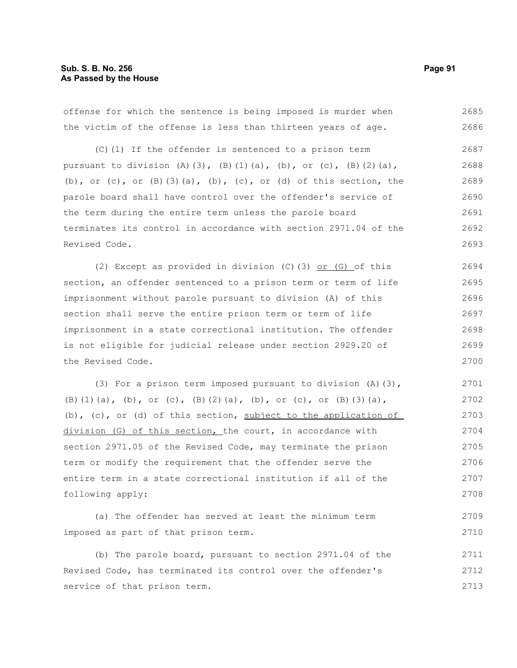offense for which the sentence is being imposed is murder when the victim of the offense is less than thirteen years of age. 2685 2686

(C)(1) If the offender is sentenced to a prison term pursuant to division (A)(3), (B)(1)(a), (b), or (c), (B)(2)(a), (b), or (c), or  $(B)$ (3)(a), (b), (c), or (d) of this section, the parole board shall have control over the offender's service of the term during the entire term unless the parole board terminates its control in accordance with section 2971.04 of the Revised Code. 2687 2688 2689 2690 2691 2692 2693

(2) Except as provided in division (C)(3) or (G) of this section, an offender sentenced to a prison term or term of life imprisonment without parole pursuant to division (A) of this section shall serve the entire prison term or term of life imprisonment in a state correctional institution. The offender is not eligible for judicial release under section 2929.20 of the Revised Code. 2694 2695 2696 2697 2698 2699 2700

(3) For a prison term imposed pursuant to division  $(A)$  (3), (B)(1)(a), (b), or (c), (B)(2)(a), (b), or (c), or (B)(3)(a), (b), (c), or (d) of this section, subject to the application of division (G) of this section, the court, in accordance with section 2971.05 of the Revised Code, may terminate the prison term or modify the requirement that the offender serve the entire term in a state correctional institution if all of the following apply: 2701 2702 2703 2704 2705 2706 2707 2708

(a) The offender has served at least the minimum term imposed as part of that prison term. 2709 2710

(b) The parole board, pursuant to section 2971.04 of the Revised Code, has terminated its control over the offender's service of that prison term. 2711 2712 2713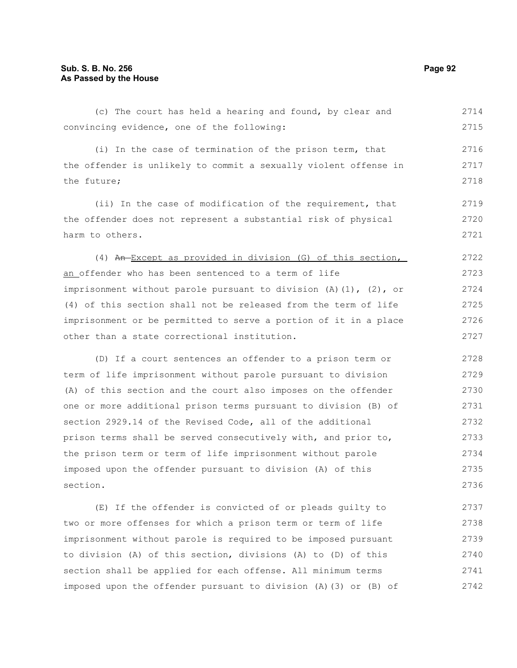(c) The court has held a hearing and found, by clear and convincing evidence, one of the following: (i) In the case of termination of the prison term, that the offender is unlikely to commit a sexually violent offense in the future; (ii) In the case of modification of the requirement, that the offender does not represent a substantial risk of physical harm to others. (4) An Except as provided in division (G) of this section, an offender who has been sentenced to a term of life imprisonment without parole pursuant to division  $(A)$   $(1)$ ,  $(2)$ , or (4) of this section shall not be released from the term of life imprisonment or be permitted to serve a portion of it in a place other than a state correctional institution. (D) If a court sentences an offender to a prison term or term of life imprisonment without parole pursuant to division (A) of this section and the court also imposes on the offender one or more additional prison terms pursuant to division (B) of section 2929.14 of the Revised Code, all of the additional prison terms shall be served consecutively with, and prior to, the prison term or term of life imprisonment without parole imposed upon the offender pursuant to division (A) of this section. (E) If the offender is convicted of or pleads guilty to two or more offenses for which a prison term or term of life imprisonment without parole is required to be imposed pursuant to division (A) of this section, divisions (A) to (D) of this 2714 2715 2716 2717 2718 2719 2720 2721 2722 2723 2724 2725 2726 2727 2728 2729 2730 2731 2732 2733 2734 2735 2736 2737 2738 2739 2740

section shall be applied for each offense. All minimum terms

imposed upon the offender pursuant to division (A)(3) or (B) of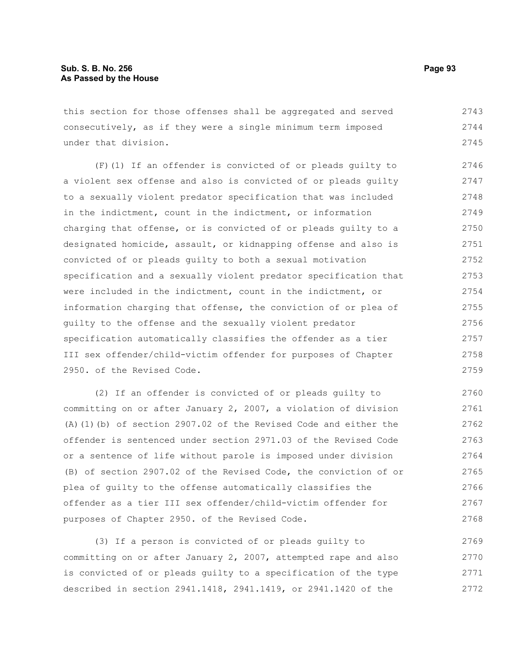this section for those offenses shall be aggregated and served consecutively, as if they were a single minimum term imposed under that division. 2743 2744 2745

(F)(1) If an offender is convicted of or pleads guilty to a violent sex offense and also is convicted of or pleads guilty to a sexually violent predator specification that was included in the indictment, count in the indictment, or information charging that offense, or is convicted of or pleads guilty to a designated homicide, assault, or kidnapping offense and also is convicted of or pleads guilty to both a sexual motivation specification and a sexually violent predator specification that were included in the indictment, count in the indictment, or information charging that offense, the conviction of or plea of guilty to the offense and the sexually violent predator specification automatically classifies the offender as a tier III sex offender/child-victim offender for purposes of Chapter 2950. of the Revised Code. 2746 2747 2748 2749 2750 2751 2752 2753 2754 2755 2756 2757 2758 2759

(2) If an offender is convicted of or pleads guilty to committing on or after January 2, 2007, a violation of division (A)(1)(b) of section 2907.02 of the Revised Code and either the offender is sentenced under section 2971.03 of the Revised Code or a sentence of life without parole is imposed under division (B) of section 2907.02 of the Revised Code, the conviction of or plea of guilty to the offense automatically classifies the offender as a tier III sex offender/child-victim offender for purposes of Chapter 2950. of the Revised Code. 2760 2761 2762 2763 2764 2765 2766 2767 2768

(3) If a person is convicted of or pleads guilty to committing on or after January 2, 2007, attempted rape and also is convicted of or pleads guilty to a specification of the type described in section 2941.1418, 2941.1419, or 2941.1420 of the 2769 2770 2771 2772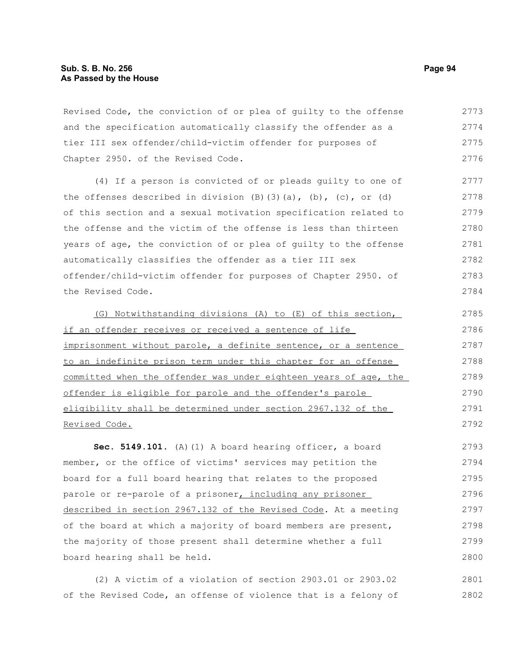Revised Code, the conviction of or plea of guilty to the offense and the specification automatically classify the offender as a tier III sex offender/child-victim offender for purposes of Chapter 2950. of the Revised Code. 2773 2774 2775 2776

(4) If a person is convicted of or pleads guilty to one of the offenses described in division  $(B)$  (3)(a),  $(b)$ ,  $(c)$ , or  $(d)$ of this section and a sexual motivation specification related to the offense and the victim of the offense is less than thirteen years of age, the conviction of or plea of guilty to the offense automatically classifies the offender as a tier III sex offender/child-victim offender for purposes of Chapter 2950. of the Revised Code. 2777 2778 2779 2780 2781 2782 2783 2784

(G) Notwithstanding divisions (A) to (E) of this section, if an offender receives or received a sentence of life imprisonment without parole, a definite sentence, or a sentence to an indefinite prison term under this chapter for an offense committed when the offender was under eighteen years of age, the offender is eligible for parole and the offender's parole eligibility shall be determined under section 2967.132 of the Revised Code. 2785 2786 2787 2788 2789 2790 2791 2792

**Sec. 5149.101.** (A)(1) A board hearing officer, a board member, or the office of victims' services may petition the board for a full board hearing that relates to the proposed parole or re-parole of a prisoner, including any prisoner described in section 2967.132 of the Revised Code. At a meeting of the board at which a majority of board members are present, the majority of those present shall determine whether a full board hearing shall be held. 2793 2794 2795 2796 2797 2798 2799 2800

(2) A victim of a violation of section 2903.01 or 2903.02 of the Revised Code, an offense of violence that is a felony of 2801 2802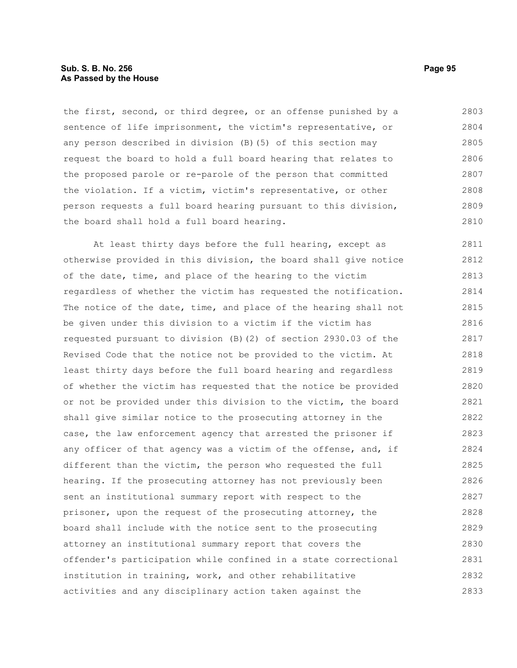# **Sub. S. B. No. 256 Page 95 As Passed by the House**

the first, second, or third degree, or an offense punished by a sentence of life imprisonment, the victim's representative, or any person described in division (B)(5) of this section may request the board to hold a full board hearing that relates to the proposed parole or re-parole of the person that committed the violation. If a victim, victim's representative, or other person requests a full board hearing pursuant to this division, the board shall hold a full board hearing. 2803 2804 2805 2806 2807 2808 2809 2810

At least thirty days before the full hearing, except as otherwise provided in this division, the board shall give notice of the date, time, and place of the hearing to the victim regardless of whether the victim has requested the notification. The notice of the date, time, and place of the hearing shall not be given under this division to a victim if the victim has requested pursuant to division (B)(2) of section 2930.03 of the Revised Code that the notice not be provided to the victim. At least thirty days before the full board hearing and regardless of whether the victim has requested that the notice be provided or not be provided under this division to the victim, the board shall give similar notice to the prosecuting attorney in the case, the law enforcement agency that arrested the prisoner if any officer of that agency was a victim of the offense, and, if different than the victim, the person who requested the full hearing. If the prosecuting attorney has not previously been sent an institutional summary report with respect to the prisoner, upon the request of the prosecuting attorney, the board shall include with the notice sent to the prosecuting attorney an institutional summary report that covers the offender's participation while confined in a state correctional institution in training, work, and other rehabilitative activities and any disciplinary action taken against the 2811 2812 2813 2814 2815 2816 2817 2818 2819 2820 2821 2822 2823 2824 2825 2826 2827 2828 2829 2830 2831 2832 2833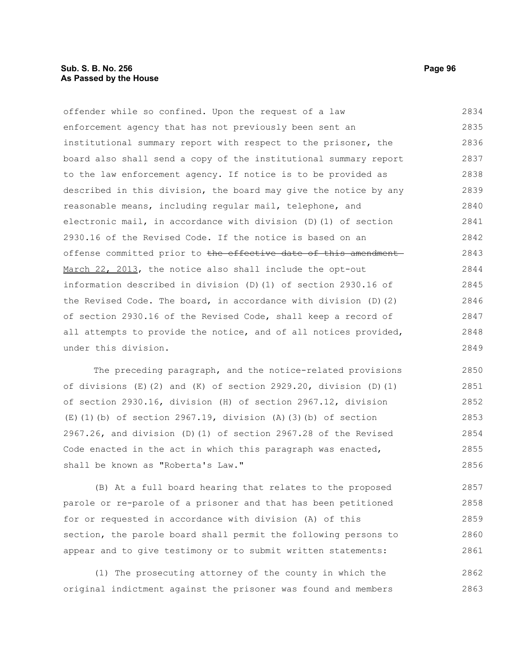| 2834 |
|------|
| 2835 |
| 2836 |
| 2837 |
| 2838 |
| 2839 |
| 2840 |
| 2841 |
| 2842 |
| 2843 |
| 2844 |
| 2845 |
| 2846 |
| 2847 |
| 2848 |
| 2849 |
|      |

The preceding paragraph, and the notice-related provisions of divisions (E)(2) and (K) of section 2929.20, division (D)(1) of section 2930.16, division (H) of section 2967.12, division (E)(1)(b) of section 2967.19, division (A)(3)(b) of section 2967.26, and division (D)(1) of section 2967.28 of the Revised Code enacted in the act in which this paragraph was enacted, shall be known as "Roberta's Law." 2850 2851 2852 2853 2854 2855 2856

(B) At a full board hearing that relates to the proposed parole or re-parole of a prisoner and that has been petitioned for or requested in accordance with division (A) of this section, the parole board shall permit the following persons to appear and to give testimony or to submit written statements: 2857 2858 2859 2860 2861

(1) The prosecuting attorney of the county in which the original indictment against the prisoner was found and members 2862 2863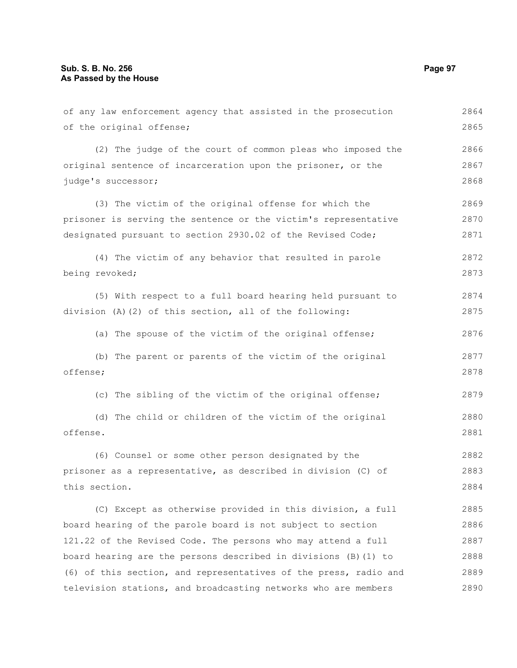of any law enforcement agency that assisted in the prosecution of the original offense; (2) The judge of the court of common pleas who imposed the original sentence of incarceration upon the prisoner, or the judge's successor; (3) The victim of the original offense for which the prisoner is serving the sentence or the victim's representative designated pursuant to section 2930.02 of the Revised Code; (4) The victim of any behavior that resulted in parole being revoked; (5) With respect to a full board hearing held pursuant to division (A)(2) of this section, all of the following: (a) The spouse of the victim of the original offense; (b) The parent or parents of the victim of the original offense; (c) The sibling of the victim of the original offense; (d) The child or children of the victim of the original offense. (6) Counsel or some other person designated by the prisoner as a representative, as described in division (C) of this section. (C) Except as otherwise provided in this division, a full board hearing of the parole board is not subject to section 121.22 of the Revised Code. The persons who may attend a full board hearing are the persons described in divisions (B)(1) to (6) of this section, and representatives of the press, radio and television stations, and broadcasting networks who are members 2864 2865 2866 2867 2868 2869 2870 2871 2872 2873 2874 2875 2876 2877 2878 2879 2880 2881 2882 2883 2884 2885 2886 2887 2888 2889 2890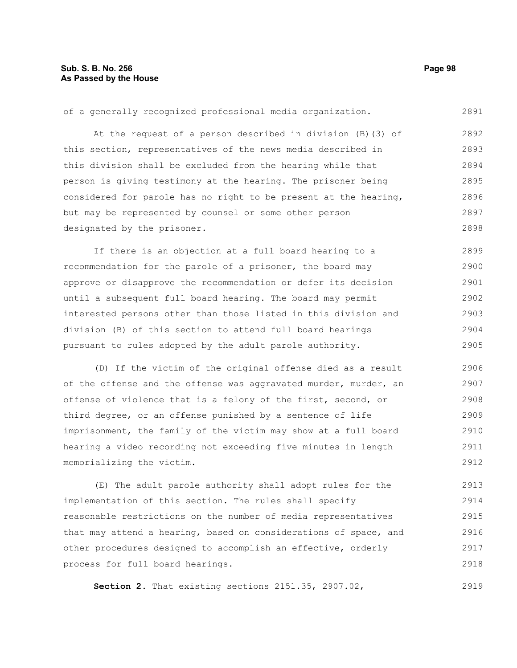# **Sub. S. B. No. 256 Page 98 As Passed by the House**

of a generally recognized professional media organization. 2891

At the request of a person described in division (B)(3) of this section, representatives of the news media described in this division shall be excluded from the hearing while that person is giving testimony at the hearing. The prisoner being considered for parole has no right to be present at the hearing, but may be represented by counsel or some other person designated by the prisoner. 2892 2893 2894 2895 2896 2897 2898

If there is an objection at a full board hearing to a recommendation for the parole of a prisoner, the board may approve or disapprove the recommendation or defer its decision until a subsequent full board hearing. The board may permit interested persons other than those listed in this division and division (B) of this section to attend full board hearings pursuant to rules adopted by the adult parole authority. 2899 2900 2901 2902 2903 2904 2905

(D) If the victim of the original offense died as a result of the offense and the offense was aggravated murder, murder, an offense of violence that is a felony of the first, second, or third degree, or an offense punished by a sentence of life imprisonment, the family of the victim may show at a full board hearing a video recording not exceeding five minutes in length memorializing the victim. 2906 2907 2908 2909 2910 2911 2912

(E) The adult parole authority shall adopt rules for the implementation of this section. The rules shall specify reasonable restrictions on the number of media representatives that may attend a hearing, based on considerations of space, and other procedures designed to accomplish an effective, orderly process for full board hearings. 2913 2914 2915 2916 2917 2918

**Section 2.** That existing sections 2151.35, 2907.02, 2919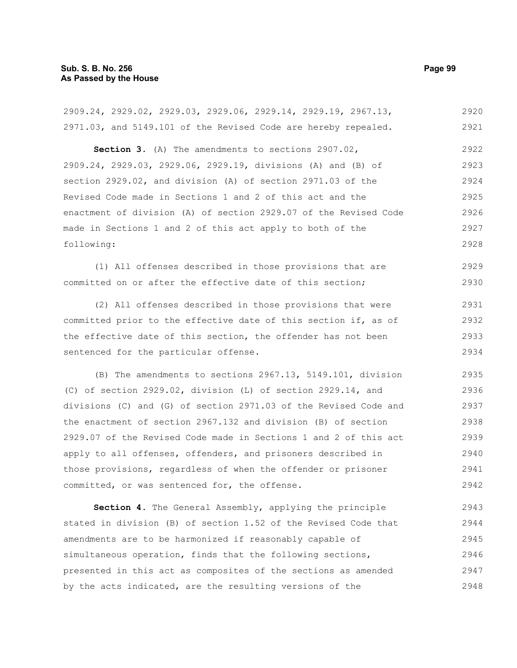## **Sub. S. B. No. 256 Page 99 As Passed by the House**

2909.24, 2929.02, 2929.03, 2929.06, 2929.14, 2929.19, 2967.13, 2971.03, and 5149.101 of the Revised Code are hereby repealed. **Section 3.** (A) The amendments to sections 2907.02, 2909.24, 2929.03, 2929.06, 2929.19, divisions (A) and (B) of section 2929.02, and division (A) of section 2971.03 of the Revised Code made in Sections 1 and 2 of this act and the enactment of division (A) of section 2929.07 of the Revised Code made in Sections 1 and 2 of this act apply to both of the following: (1) All offenses described in those provisions that are committed on or after the effective date of this section; (2) All offenses described in those provisions that were committed prior to the effective date of this section if, as of the effective date of this section, the offender has not been sentenced for the particular offense. (B) The amendments to sections 2967.13, 5149.101, division (C) of section 2929.02, division (L) of section 2929.14, and divisions (C) and (G) of section 2971.03 of the Revised Code and the enactment of section 2967.132 and division (B) of section 2929.07 of the Revised Code made in Sections 1 and 2 of this act apply to all offenses, offenders, and prisoners described in those provisions, regardless of when the offender or prisoner committed, or was sentenced for, the offense. **Section 4.** The General Assembly, applying the principle 2920 2921 2922 2923 2924 2925 2926 2927 2928 2929 2930 2931 2932 2933 2934 2935 2936 2937 2938 2939 2940 2941 2942 2943

stated in division (B) of section 1.52 of the Revised Code that amendments are to be harmonized if reasonably capable of simultaneous operation, finds that the following sections, presented in this act as composites of the sections as amended by the acts indicated, are the resulting versions of the 2944 2945 2946 2947 2948